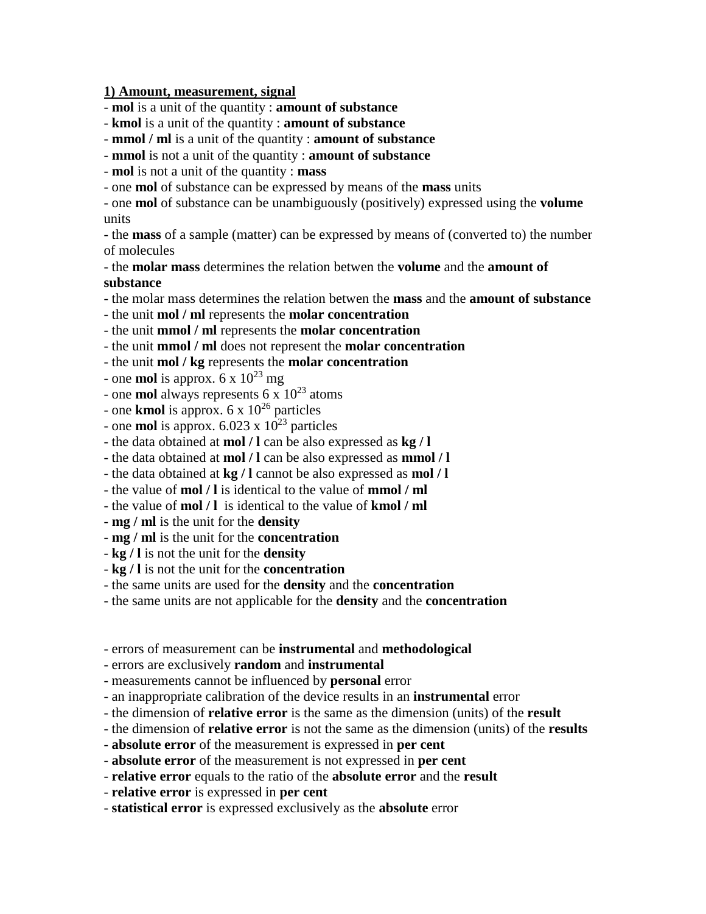## **1) Amount, measurement, signal**

- **mol** is a unit of the quantity : **amount of substance**

- **kmol** is a unit of the quantity : **amount of substance**
- **mmol / ml** is a unit of the quantity : **amount of substance**
- **mmol** is not a unit of the quantity : **amount of substance**
- **mol** is not a unit of the quantity : **mass**
- one **mol** of substance can be expressed by means of the **mass** units

- one **mol** of substance can be unambiguously (positively) expressed using the **volume** units

- the **mass** of a sample (matter) can be expressed by means of (converted to) the number of molecules

- the **molar mass** determines the relation betwen the **volume** and the **amount of substance**

- the molar mass determines the relation betwen the **mass** and the **amount of substance**

- the unit **mol / ml** represents the **molar concentration**
- the unit **mmol / ml** represents the **molar concentration**
- the unit **mmol / ml** does not represent the **molar concentration**

- the unit **mol / kg** represents the **molar concentration**

- one **mol** is approx.  $6 \times 10^{23}$  mg
- one **mol** always represents 6 x 10<sup>23</sup> atoms
- one **kmol** is approx.  $6 \times 10^{26}$  particles
- one **mol** is approx.  $6.023 \times 10^{23}$  particles
- the data obtained at **mol / l** can be also expressed as **kg / l**
- the data obtained at **mol / l** can be also expressed as **mmol / l**
- the data obtained at **kg / l** cannot be also expressed as **mol / l**
- the value of **mol / l** is identical to the value of **mmol / ml**
- the value of **mol / l** is identical to the value of **kmol / ml**
- **mg / ml** is the unit for the **density**
- **mg / ml** is the unit for the **concentration**
- **kg / l** is not the unit for the **density**
- **kg / l** is not the unit for the **concentration**
- the same units are used for the **density** and the **concentration**
- the same units are not applicable for the **density** and the **concentration**
- errors of measurement can be **instrumental** and **methodological**
- errors are exclusively **random** and **instrumental**
- measurements cannot be influenced by **personal** error
- an inappropriate calibration of the device results in an **instrumental** error
- the dimension of **relative error** is the same as the dimension (units) of the **result**
- the dimension of **relative error** is not the same as the dimension (units) of the **results**
- **absolute error** of the measurement is expressed in **per cent**
- **absolute error** of the measurement is not expressed in **per cent**
- **relative error** equals to the ratio of the **absolute error** and the **result**
- **relative error** is expressed in **per cent**
- **statistical error** is expressed exclusively as the **absolute** error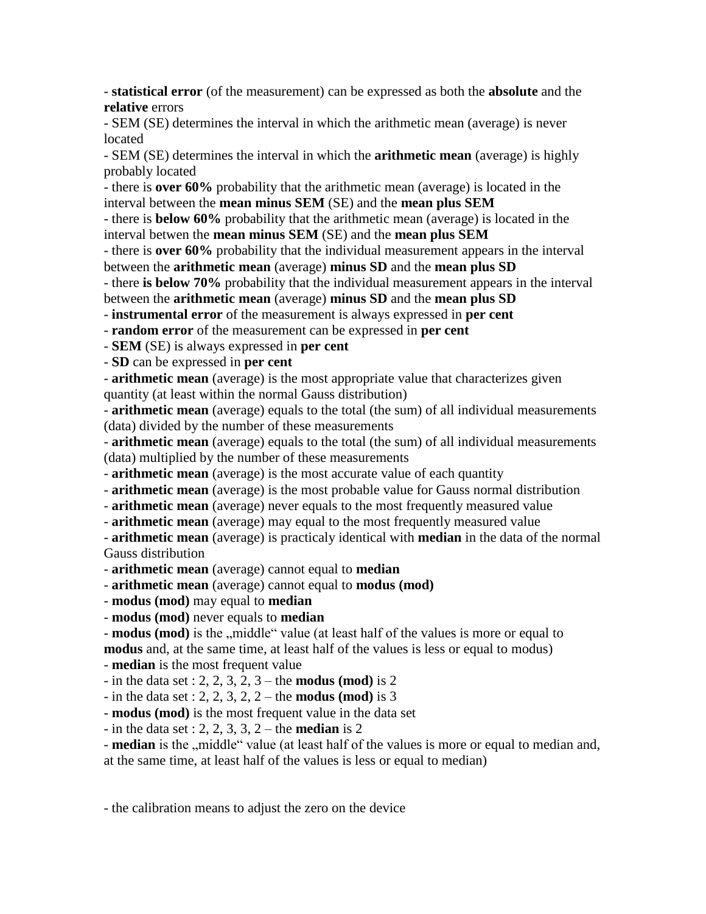- **statistical error** (of the measurement) can be expressed as both the **absolute** and the **relative** errors

- SEM (SE) determines the interval in which the arithmetic mean (average) is never located

- SEM (SE) determines the interval in which the **arithmetic mean** (average) is highly probably located

- there is **over 60%** probability that the arithmetic mean (average) is located in the interval between the **mean minus SEM** (SE) and the **mean plus SEM** 

- there is **below 60%** probability that the arithmetic mean (average) is located in the interval betwen the **mean minus SEM** (SE) and the **mean plus SEM**

- there is **over 60%** probability that the individual measurement appears in the interval between the **arithmetic mean** (average) **minus SD** and the **mean plus SD**

- there **is below 70%** probability that the individual measurement appears in the interval

between the **arithmetic mean** (average) **minus SD** and the **mean plus SD**

- **instrumental error** of the measurement is always expressed in **per cent**

- **random error** of the measurement can be expressed in **per cent**

- **SEM** (SE) is always expressed in **per cent**

- **SD** can be expressed in **per cent**

- **arithmetic mean** (average) is the most appropriate value that characterizes given quantity (at least within the normal Gauss distribution)

- **arithmetic mean** (average) equals to the total (the sum) of all individual measurements (data) divided by the number of these measurements

- **arithmetic mean** (average) equals to the total (the sum) of all individual measurements (data) multiplied by the number of these measurements

- **arithmetic mean** (average) is the most accurate value of each quantity

- **arithmetic mean** (average) is the most probable value for Gauss normal distribution

- **arithmetic mean** (average) never equals to the most frequently measured value

- **arithmetic mean** (average) may equal to the most frequently measured value

- **arithmetic mean** (average) is practicaly identical with **median** in the data of the normal Gauss distribution

- **arithmetic mean** (average) cannot equal to **median**

- **arithmetic mean** (average) cannot equal to **modus (mod)**

- **modus (mod)** may equal to **median**

- **modus (mod)** never equals to **median**

- **modus (mod)** is the ,,middle" value (at least half of the values is more or equal to **modus** and, at the same time, at least half of the values is less or equal to modus) - **median** is the most frequent value

- in the data set : 2, 2, 3, 2, 3 – the **modus (mod)** is 2

- in the data set : 2, 2, 3, 2, 2 – the **modus (mod)** is 3

- **modus (mod)** is the most frequent value in the data set

- in the data set : 2, 2, 3, 3, 2 – the **median** is 2

- **median** is the <sub>"</sub>middle" value (at least half of the values is more or equal to median and, at the same time, at least half of the values is less or equal to median)

- the calibration means to adjust the zero on the device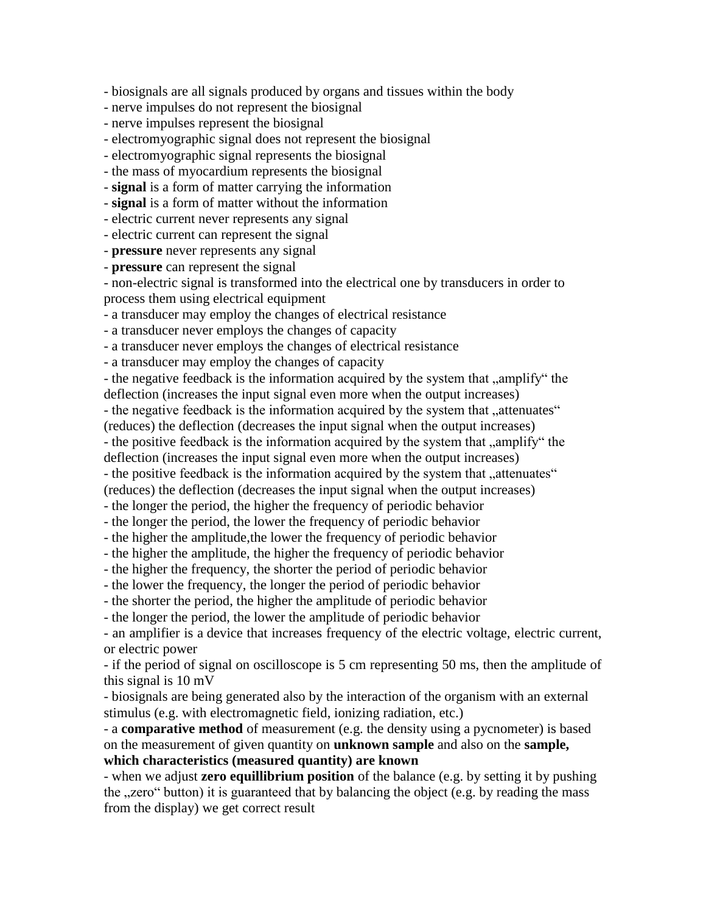- biosignals are all signals produced by organs and tissues within the body

- nerve impulses do not represent the biosignal

- nerve impulses represent the biosignal
- electromyographic signal does not represent the biosignal
- electromyographic signal represents the biosignal
- the mass of myocardium represents the biosignal
- **signal** is a form of matter carrying the information
- **signal** is a form of matter without the information
- electric current never represents any signal

- electric current can represent the signal

- **pressure** never represents any signal

- **pressure** can represent the signal

- non-electric signal is transformed into the electrical one by transducers in order to process them using electrical equipment

- a transducer may employ the changes of electrical resistance

- a transducer never employs the changes of capacity

- a transducer never employs the changes of electrical resistance

- a transducer may employ the changes of capacity

- the negative feedback is the information acquired by the system that "amplify" the deflection (increases the input signal even more when the output increases)

- the negative feedback is the information acquired by the system that "attenuates"

(reduces) the deflection (decreases the input signal when the output increases)

- the positive feedback is the information acquired by the system that "amplify" the

deflection (increases the input signal even more when the output increases)

- the positive feedback is the information acquired by the system that "attenuates"

(reduces) the deflection (decreases the input signal when the output increases)

- the longer the period, the higher the frequency of periodic behavior

- the longer the period, the lower the frequency of periodic behavior

- the higher the amplitude,the lower the frequency of periodic behavior

- the higher the amplitude, the higher the frequency of periodic behavior

- the higher the frequency, the shorter the period of periodic behavior

- the lower the frequency, the longer the period of periodic behavior

- the shorter the period, the higher the amplitude of periodic behavior

- the longer the period, the lower the amplitude of periodic behavior

- an amplifier is a device that increases frequency of the electric voltage, electric current, or electric power

- if the period of signal on oscilloscope is 5 cm representing 50 ms, then the amplitude of this signal is 10 mV

- biosignals are being generated also by the interaction of the organism with an external stimulus (e.g. with electromagnetic field, ionizing radiation, etc.)

- a **comparative method** of measurement (e.g. the density using a pycnometer) is based on the measurement of given quantity on **unknown sample** and also on the **sample, which characteristics (measured quantity) are known**

- when we adjust **zero equillibrium position** of the balance (e.g. by setting it by pushing the "zero" button) it is guaranteed that by balancing the object (e.g. by reading the mass from the display) we get correct result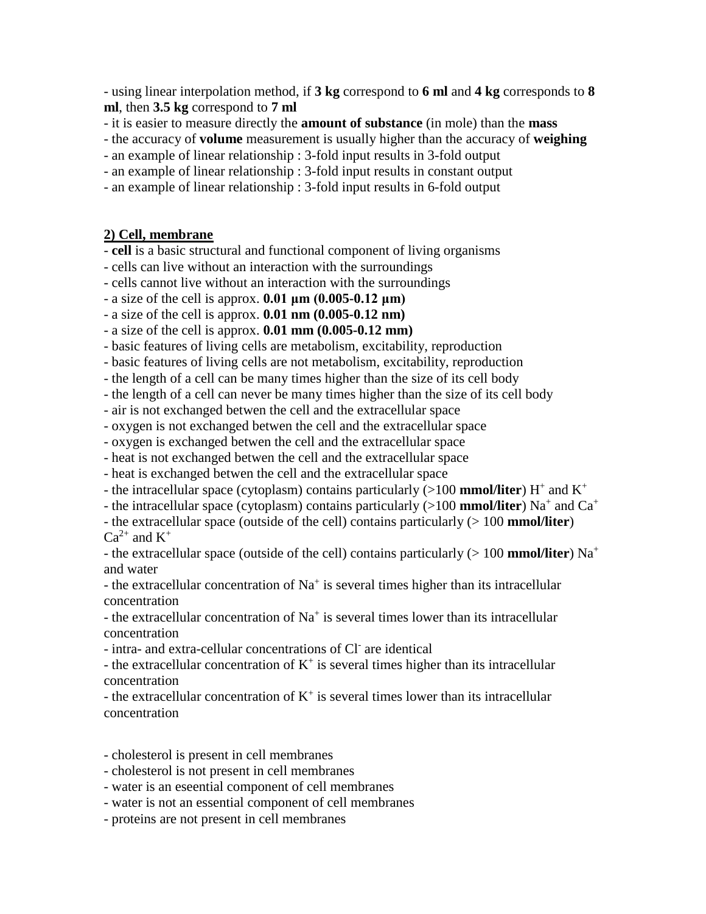- using linear interpolation method, if **3 kg** correspond to **6 ml** and **4 kg** corresponds to **8 ml**, then **3.5 kg** correspond to **7 ml**

- it is easier to measure directly the **amount of substance** (in mole) than the **mass**

- the accuracy of **volume** measurement is usually higher than the accuracy of **weighing**

- an example of linear relationship : 3-fold input results in 3-fold output

- an example of linear relationship : 3-fold input results in constant output

- an example of linear relationship : 3-fold input results in 6-fold output

## **2) Cell, membrane**

- **cell** is a basic structural and functional component of living organisms

- cells can live without an interaction with the surroundings

- cells cannot live without an interaction with the surroundings

- a size of the cell is approx. **0.01 μm (0.005-0.12 μm)**

- a size of the cell is approx. **0.01 nm (0.005-0.12 nm)**

- a size of the cell is approx. **0.01 mm (0.005-0.12 mm)**

- basic features of living cells are metabolism, excitability, reproduction

- basic features of living cells are not metabolism, excitability, reproduction

- the length of a cell can be many times higher than the size of its cell body

- the length of a cell can never be many times higher than the size of its cell body

- air is not exchanged betwen the cell and the extracellular space

- oxygen is not exchanged betwen the cell and the extracellular space

- oxygen is exchanged betwen the cell and the extracellular space

- heat is not exchanged betwen the cell and the extracellular space

- heat is exchanged betwen the cell and the extracellular space

- the intracellular space (cytoplasm) contains particularly (>100 **mmol/liter**) H<sup>+</sup> and K<sup>+</sup>

- the intracellular space (cytoplasm) contains particularly (>100 **mmol/liter**) Na<sup>+</sup> and Ca<sup>+</sup>

- the extracellular space (outside of the cell) contains particularly (> 100 **mmol/liter**)  $Ca^{2+}$  and  $K^+$ 

- the extracellular space (outside of the cell) contains particularly (> 100 **mmol/liter**) Na<sup>+</sup> and water

- the extracellular concentration of  $Na<sup>+</sup>$  is several times higher than its intracellular concentration

- the extracellular concentration of  $Na<sup>+</sup>$  is several times lower than its intracellular concentration

- intra- and extra-cellular concentrations of Cl are identical

- the extracellular concentration of  $K^+$  is several times higher than its intracellular concentration

- the extracellular concentration of  $K^+$  is several times lower than its intracellular concentration

- cholesterol is present in cell membranes

- cholesterol is not present in cell membranes

- water is an eseential component of cell membranes

- water is not an essential component of cell membranes

- proteins are not present in cell membranes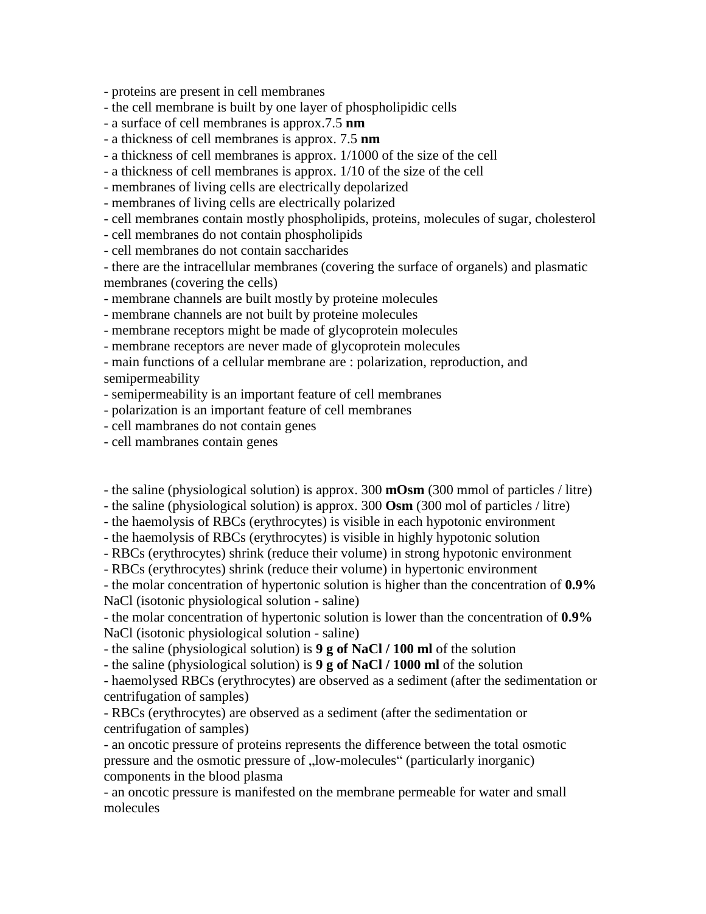- proteins are present in cell membranes

- the cell membrane is built by one layer of phospholipidic cells

- a surface of cell membranes is approx.7.5 **nm**
- a thickness of cell membranes is approx. 7.5 **nm**

- a thickness of cell membranes is approx. 1/1000 of the size of the cell

- a thickness of cell membranes is approx. 1/10 of the size of the cell

- membranes of living cells are electrically depolarized

- membranes of living cells are electrically polarized

- cell membranes contain mostly phospholipids, proteins, molecules of sugar, cholesterol

- cell membranes do not contain phospholipids

- cell membranes do not contain saccharides

- there are the intracellular membranes (covering the surface of organels) and plasmatic membranes (covering the cells)

- membrane channels are built mostly by proteine molecules

- membrane channels are not built by proteine molecules

- membrane receptors might be made of glycoprotein molecules

- membrane receptors are never made of glycoprotein molecules

- main functions of a cellular membrane are : polarization, reproduction, and semipermeability

- semipermeability is an important feature of cell membranes

- polarization is an important feature of cell membranes

- cell mambranes do not contain genes

- cell mambranes contain genes

- the saline (physiological solution) is approx. 300 **mOsm** (300 mmol of particles / litre)

- the saline (physiological solution) is approx. 300 **Osm** (300 mol of particles / litre)

- the haemolysis of RBCs (erythrocytes) is visible in each hypotonic environment

- the haemolysis of RBCs (erythrocytes) is visible in highly hypotonic solution

- RBCs (erythrocytes) shrink (reduce their volume) in strong hypotonic environment

- RBCs (erythrocytes) shrink (reduce their volume) in hypertonic environment

- the molar concentration of hypertonic solution is higher than the concentration of **0.9%** NaCl (isotonic physiological solution - saline)

- the molar concentration of hypertonic solution is lower than the concentration of **0.9%** NaCl (isotonic physiological solution - saline)

- the saline (physiological solution) is **9 g of NaCl / 100 ml** of the solution

- the saline (physiological solution) is **9 g of NaCl / 1000 ml** of the solution

- haemolysed RBCs (erythrocytes) are observed as a sediment (after the sedimentation or centrifugation of samples)

- RBCs (erythrocytes) are observed as a sediment (after the sedimentation or centrifugation of samples)

- an oncotic pressure of proteins represents the difference between the total osmotic pressure and the osmotic pressure of "low-molecules" (particularly inorganic) components in the blood plasma

- an oncotic pressure is manifested on the membrane permeable for water and small molecules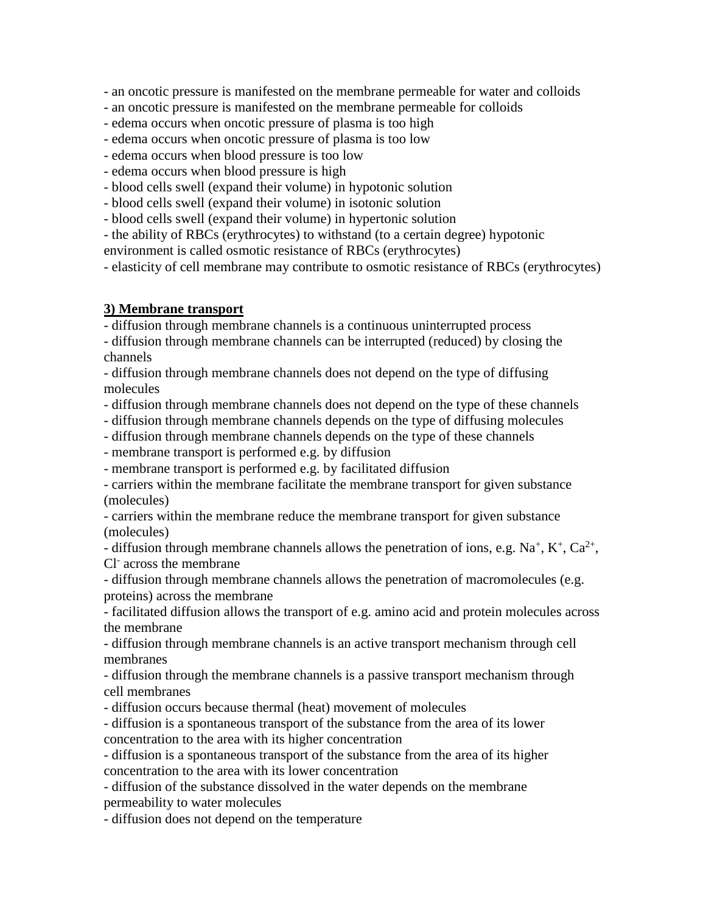- an oncotic pressure is manifested on the membrane permeable for water and colloids

- an oncotic pressure is manifested on the membrane permeable for colloids

- edema occurs when oncotic pressure of plasma is too high
- edema occurs when oncotic pressure of plasma is too low
- edema occurs when blood pressure is too low
- edema occurs when blood pressure is high
- blood cells swell (expand their volume) in hypotonic solution
- blood cells swell (expand their volume) in isotonic solution
- blood cells swell (expand their volume) in hypertonic solution
- the ability of RBCs (erythrocytes) to withstand (to a certain degree) hypotonic

environment is called osmotic resistance of RBCs (erythrocytes)

- elasticity of cell membrane may contribute to osmotic resistance of RBCs (erythrocytes)

# **3) Membrane transport**

- diffusion through membrane channels is a continuous uninterrupted process

- diffusion through membrane channels can be interrupted (reduced) by closing the channels

- diffusion through membrane channels does not depend on the type of diffusing molecules

- diffusion through membrane channels does not depend on the type of these channels

- diffusion through membrane channels depends on the type of diffusing molecules
- diffusion through membrane channels depends on the type of these channels

- membrane transport is performed e.g. by diffusion

- membrane transport is performed e.g. by facilitated diffusion

- carriers within the membrane facilitate the membrane transport for given substance (molecules)

- carriers within the membrane reduce the membrane transport for given substance (molecules)

- diffusion through membrane channels allows the penetration of ions, e.g.  $Na^+$ ,  $K^+$ ,  $Ca^{2+}$ , Cl-across the membrane

- diffusion through membrane channels allows the penetration of macromolecules (e.g. proteins) across the membrane

- facilitated diffusion allows the transport of e.g. amino acid and protein molecules across the membrane

- diffusion through membrane channels is an active transport mechanism through cell membranes

- diffusion through the membrane channels is a passive transport mechanism through cell membranes

- diffusion occurs because thermal (heat) movement of molecules

- diffusion is a spontaneous transport of the substance from the area of its lower concentration to the area with its higher concentration

- diffusion is a spontaneous transport of the substance from the area of its higher concentration to the area with its lower concentration

- diffusion of the substance dissolved in the water depends on the membrane permeability to water molecules

- diffusion does not depend on the temperature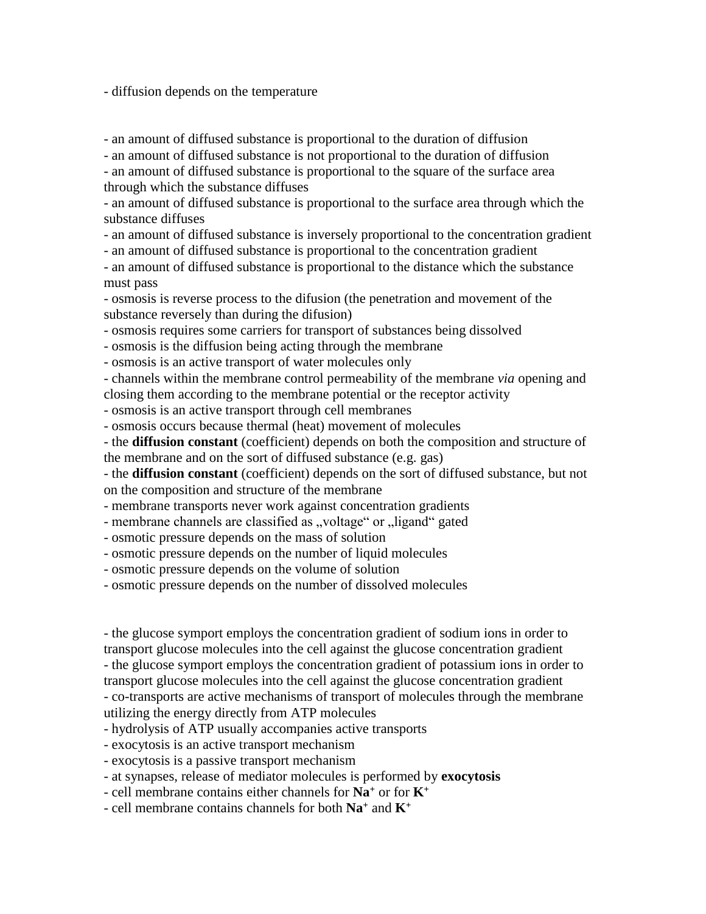- diffusion depends on the temperature

- an amount of diffused substance is proportional to the duration of diffusion

- an amount of diffused substance is not proportional to the duration of diffusion

- an amount of diffused substance is proportional to the square of the surface area through which the substance diffuses

- an amount of diffused substance is proportional to the surface area through which the substance diffuses

- an amount of diffused substance is inversely proportional to the concentration gradient

- an amount of diffused substance is proportional to the concentration gradient

- an amount of diffused substance is proportional to the distance which the substance must pass

- osmosis is reverse process to the difusion (the penetration and movement of the substance reversely than during the difusion)

- osmosis requires some carriers for transport of substances being dissolved

- osmosis is the diffusion being acting through the membrane

- osmosis is an active transport of water molecules only

- channels within the membrane control permeability of the membrane *via* opening and closing them according to the membrane potential or the receptor activity

- osmosis is an active transport through cell membranes

- osmosis occurs because thermal (heat) movement of molecules

- the **diffusion constant** (coefficient) depends on both the composition and structure of the membrane and on the sort of diffused substance (e.g. gas)

- the **diffusion constant** (coefficient) depends on the sort of diffused substance, but not on the composition and structure of the membrane

- membrane transports never work against concentration gradients

- membrane channels are classified as "voltage" or "ligand" gated

- osmotic pressure depends on the mass of solution

- osmotic pressure depends on the number of liquid molecules

- osmotic pressure depends on the volume of solution

- osmotic pressure depends on the number of dissolved molecules

- the glucose symport employs the concentration gradient of sodium ions in order to transport glucose molecules into the cell against the glucose concentration gradient - the glucose symport employs the concentration gradient of potassium ions in order to transport glucose molecules into the cell against the glucose concentration gradient - co-transports are active mechanisms of transport of molecules through the membrane

utilizing the energy directly from ATP molecules

- hydrolysis of ATP usually accompanies active transports

- exocytosis is an active transport mechanism

- exocytosis is a passive transport mechanism

- at synapses, release of mediator molecules is performed by **exocytosis**

- cell membrane contains either channels for **Na<sup>+</sup>** or for **K<sup>+</sup>**

- cell membrane contains channels for both **Na<sup>+</sup>** and **K<sup>+</sup>**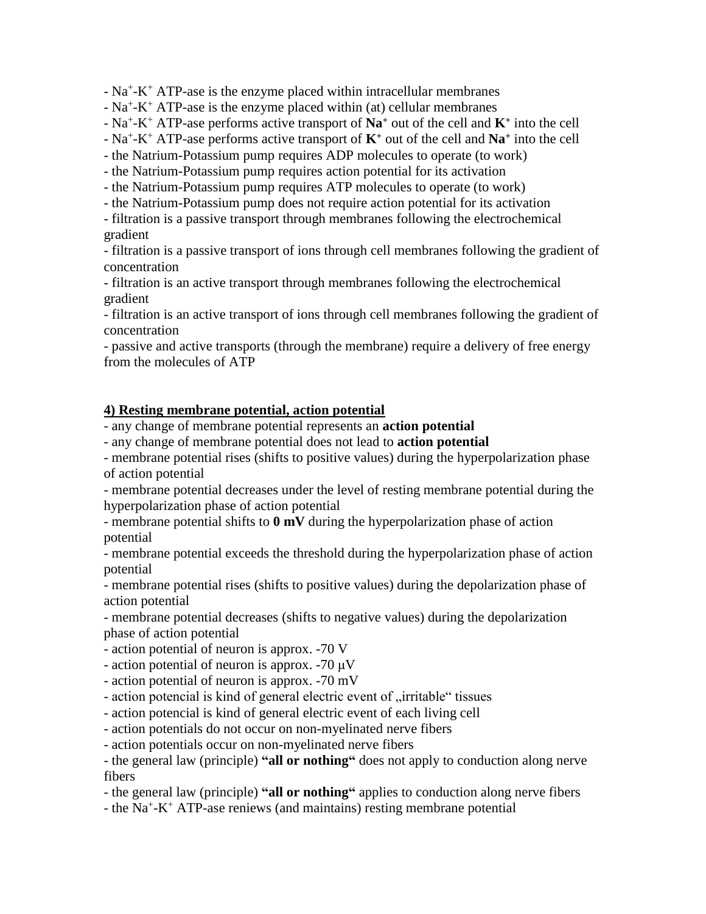$- Na^+ - K^+ ATP$ -ase is the enzyme placed within intracellular membranes

 $- Na^+K^+ATP$ -ase is the enzyme placed within (at) cellular membranes

- Na<sup>+</sup> -K <sup>+</sup> ATP-ase performs active transport of **Na<sup>+</sup>** out of the cell and **K<sup>+</sup>** into the cell

- Na<sup>+</sup> -K <sup>+</sup> ATP-ase performs active transport of **K<sup>+</sup>** out of the cell and **Na<sup>+</sup>** into the cell

- the Natrium-Potassium pump requires ADP molecules to operate (to work)

- the Natrium-Potassium pump requires action potential for its activation

- the Natrium-Potassium pump requires ATP molecules to operate (to work)

- the Natrium-Potassium pump does not require action potential for its activation

- filtration is a passive transport through membranes following the electrochemical gradient

- filtration is a passive transport of ions through cell membranes following the gradient of concentration

- filtration is an active transport through membranes following the electrochemical gradient

- filtration is an active transport of ions through cell membranes following the gradient of concentration

- passive and active transports (through the membrane) require a delivery of free energy from the molecules of ATP

# **4) Resting membrane potential, action potential**

- any change of membrane potential represents an **action potential**

- any change of membrane potential does not lead to **action potential**

- membrane potential rises (shifts to positive values) during the hyperpolarization phase of action potential

- membrane potential decreases under the level of resting membrane potential during the hyperpolarization phase of action potential

- membrane potential shifts to **0 mV** during the hyperpolarization phase of action potential

- membrane potential exceeds the threshold during the hyperpolarization phase of action potential

- membrane potential rises (shifts to positive values) during the depolarization phase of action potential

- membrane potential decreases (shifts to negative values) during the depolarization phase of action potential

- action potential of neuron is approx. -70 V

- action potential of neuron is approx. -70 μV

- action potential of neuron is approx. -70 mV

- action potencial is kind of general electric event of "irritable" tissues

- action potencial is kind of general electric event of each living cell

- action potentials do not occur on non-myelinated nerve fibers

- action potentials occur on non-myelinated nerve fibers

- the general law (principle) **"all or nothing"** does not apply to conduction along nerve fibers

- the general law (principle) **"all or nothing"** applies to conduction along nerve fibers

- the Na<sup>+</sup>-K<sup>+</sup> ATP-ase reniews (and maintains) resting membrane potential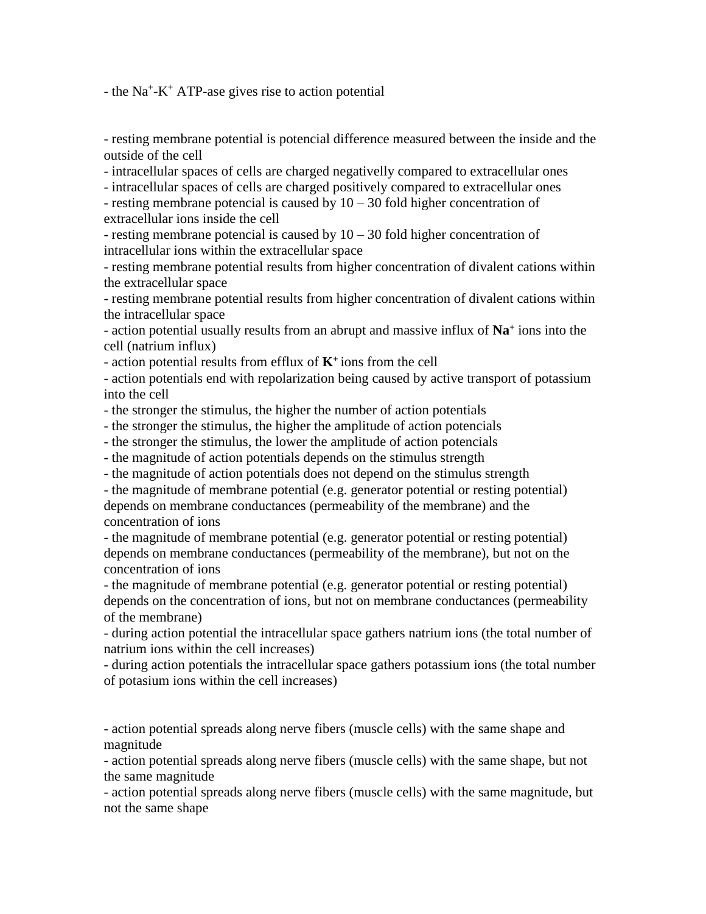$-$  the Na<sup>+</sup>-K<sup>+</sup> ATP-ase gives rise to action potential

- resting membrane potential is potencial difference measured between the inside and the outside of the cell

- intracellular spaces of cells are charged negativelly compared to extracellular ones

- intracellular spaces of cells are charged positively compared to extracellular ones - resting membrane potencial is caused by  $10 - 30$  fold higher concentration of

extracellular ions inside the cell

- resting membrane potencial is caused by  $10 - 30$  fold higher concentration of intracellular ions within the extracellular space

- resting membrane potential results from higher concentration of divalent cations within the extracellular space

- resting membrane potential results from higher concentration of divalent cations within the intracellular space

- action potential usually results from an abrupt and massive influx of **Na<sup>+</sup>** ions into the cell (natrium influx)

- action potential results from efflux of **K<sup>+</sup>** ions from the cell

- action potentials end with repolarization being caused by active transport of potassium into the cell

- the stronger the stimulus, the higher the number of action potentials

- the stronger the stimulus, the higher the amplitude of action potencials

- the stronger the stimulus, the lower the amplitude of action potencials

- the magnitude of action potentials depends on the stimulus strength

- the magnitude of action potentials does not depend on the stimulus strength

- the magnitude of membrane potential (e.g. generator potential or resting potential) depends on membrane conductances (permeability of the membrane) and the concentration of ions

- the magnitude of membrane potential (e.g. generator potential or resting potential) depends on membrane conductances (permeability of the membrane), but not on the concentration of ions

- the magnitude of membrane potential (e.g. generator potential or resting potential) depends on the concentration of ions, but not on membrane conductances (permeability of the membrane)

- during action potential the intracellular space gathers natrium ions (the total number of natrium ions within the cell increases)

- during action potentials the intracellular space gathers potassium ions (the total number of potasium ions within the cell increases)

- action potential spreads along nerve fibers (muscle cells) with the same shape and magnitude

- action potential spreads along nerve fibers (muscle cells) with the same shape, but not the same magnitude

- action potential spreads along nerve fibers (muscle cells) with the same magnitude, but not the same shape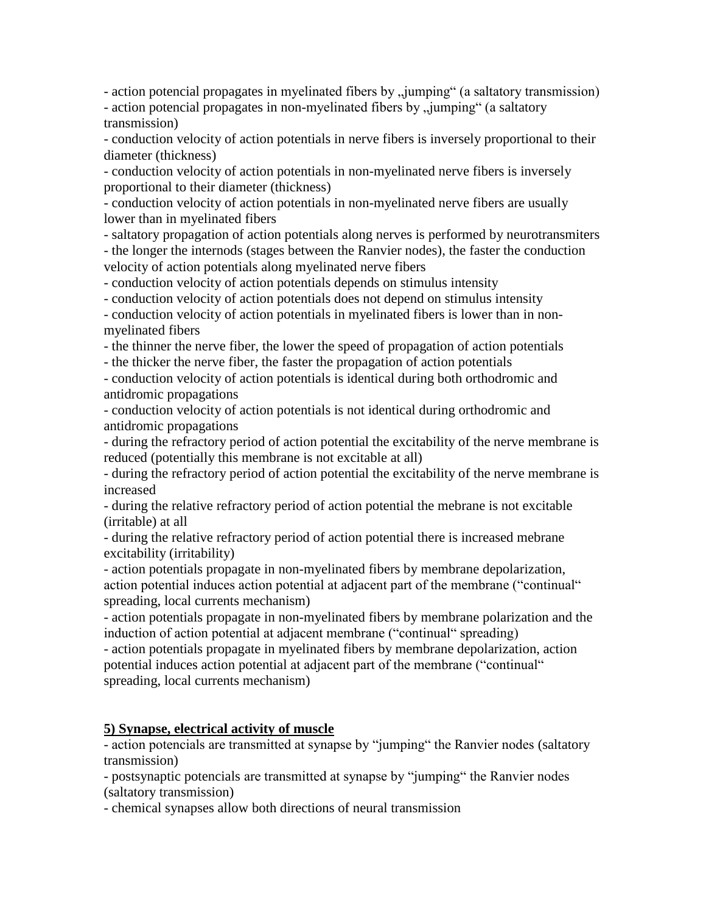- action potencial propagates in myelinated fibers by "jumping" (a saltatory transmission) - action potencial propagates in non-myelinated fibers by "jumping" (a saltatory

transmission)

- conduction velocity of action potentials in nerve fibers is inversely proportional to their diameter (thickness)

- conduction velocity of action potentials in non-myelinated nerve fibers is inversely proportional to their diameter (thickness)

- conduction velocity of action potentials in non-myelinated nerve fibers are usually lower than in myelinated fibers

- saltatory propagation of action potentials along nerves is performed by neurotransmiters - the longer the internods (stages between the Ranvier nodes), the faster the conduction velocity of action potentials along myelinated nerve fibers

- conduction velocity of action potentials depends on stimulus intensity

- conduction velocity of action potentials does not depend on stimulus intensity

- conduction velocity of action potentials in myelinated fibers is lower than in nonmyelinated fibers

- the thinner the nerve fiber, the lower the speed of propagation of action potentials

- the thicker the nerve fiber, the faster the propagation of action potentials

- conduction velocity of action potentials is identical during both orthodromic and antidromic propagations

- conduction velocity of action potentials is not identical during orthodromic and antidromic propagations

- during the refractory period of action potential the excitability of the nerve membrane is reduced (potentially this membrane is not excitable at all)

- during the refractory period of action potential the excitability of the nerve membrane is increased

- during the relative refractory period of action potential the mebrane is not excitable (irritable) at all

- during the relative refractory period of action potential there is increased mebrane excitability (irritability)

- action potentials propagate in non-myelinated fibers by membrane depolarization, action potential induces action potential at adjacent part of the membrane ("continual" spreading, local currents mechanism)

- action potentials propagate in non-myelinated fibers by membrane polarization and the induction of action potential at adjacent membrane ("continual" spreading)

- action potentials propagate in myelinated fibers by membrane depolarization, action potential induces action potential at adjacent part of the membrane ("continual" spreading, local currents mechanism)

# **5) Synapse, electrical activity of muscle**

- action potencials are transmitted at synapse by "jumping" the Ranvier nodes (saltatory transmission)

- postsynaptic potencials are transmitted at synapse by "jumping" the Ranvier nodes (saltatory transmission)

- chemical synapses allow both directions of neural transmission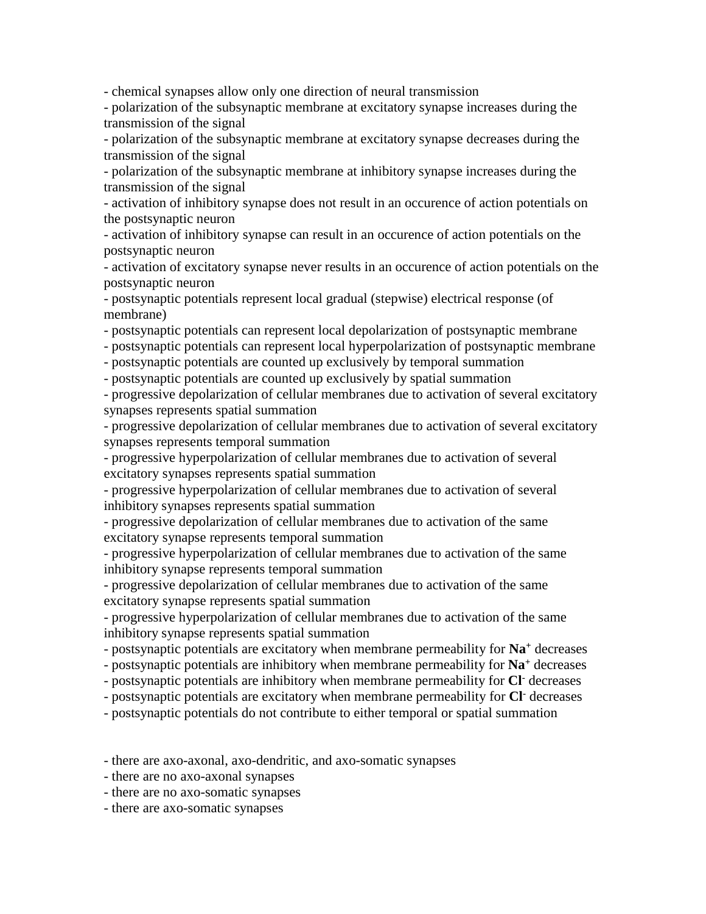- chemical synapses allow only one direction of neural transmission

- polarization of the subsynaptic membrane at excitatory synapse increases during the transmission of the signal

- polarization of the subsynaptic membrane at excitatory synapse decreases during the transmission of the signal

- polarization of the subsynaptic membrane at inhibitory synapse increases during the transmission of the signal

- activation of inhibitory synapse does not result in an occurence of action potentials on the postsynaptic neuron

- activation of inhibitory synapse can result in an occurence of action potentials on the postsynaptic neuron

- activation of excitatory synapse never results in an occurence of action potentials on the postsynaptic neuron

- postsynaptic potentials represent local gradual (stepwise) electrical response (of membrane)

- postsynaptic potentials can represent local depolarization of postsynaptic membrane

- postsynaptic potentials can represent local hyperpolarization of postsynaptic membrane

- postsynaptic potentials are counted up exclusively by temporal summation

- postsynaptic potentials are counted up exclusively by spatial summation

- progressive depolarization of cellular membranes due to activation of several excitatory synapses represents spatial summation

- progressive depolarization of cellular membranes due to activation of several excitatory synapses represents temporal summation

- progressive hyperpolarization of cellular membranes due to activation of several excitatory synapses represents spatial summation

- progressive hyperpolarization of cellular membranes due to activation of several inhibitory synapses represents spatial summation

- progressive depolarization of cellular membranes due to activation of the same excitatory synapse represents temporal summation

- progressive hyperpolarization of cellular membranes due to activation of the same inhibitory synapse represents temporal summation

- progressive depolarization of cellular membranes due to activation of the same excitatory synapse represents spatial summation

- progressive hyperpolarization of cellular membranes due to activation of the same inhibitory synapse represents spatial summation

- postsynaptic potentials are excitatory when membrane permeability for **Na<sup>+</sup>** decreases

- postsynaptic potentials are inhibitory when membrane permeability for **Na<sup>+</sup>** decreases

- postsynaptic potentials are inhibitory when membrane permeability for **Cl-** decreases

- postsynaptic potentials are excitatory when membrane permeability for **Cl-** decreases

- postsynaptic potentials do not contribute to either temporal or spatial summation

- there are axo-axonal, axo-dendritic, and axo-somatic synapses

- there are no axo-axonal synapses

- there are no axo-somatic synapses

- there are axo-somatic synapses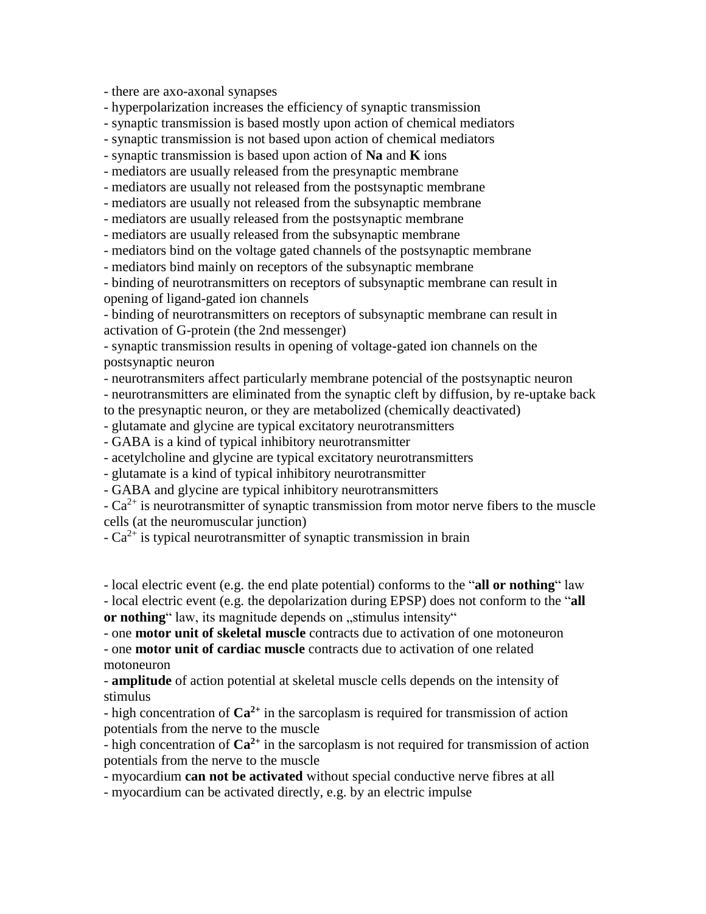- there are axo-axonal synapses

- hyperpolarization increases the efficiency of synaptic transmission

- synaptic transmission is based mostly upon action of chemical mediators

- synaptic transmission is not based upon action of chemical mediators

- synaptic transmission is based upon action of **Na** and **K** ions

- mediators are usually released from the presynaptic membrane

- mediators are usually not released from the postsynaptic membrane

- mediators are usually not released from the subsynaptic membrane

- mediators are usually released from the postsynaptic membrane

- mediators are usually released from the subsynaptic membrane

- mediators bind on the voltage gated channels of the postsynaptic membrane

- mediators bind mainly on receptors of the subsynaptic membrane

- binding of neurotransmitters on receptors of subsynaptic membrane can result in opening of ligand-gated ion channels

- binding of neurotransmitters on receptors of subsynaptic membrane can result in activation of G-protein (the 2nd messenger)

- synaptic transmission results in opening of voltage-gated ion channels on the postsynaptic neuron

- neurotransmiters affect particularly membrane potencial of the postsynaptic neuron - neurotransmitters are eliminated from the synaptic cleft by diffusion, by re-uptake back to the presynaptic neuron, or they are metabolized (chemically deactivated)

- glutamate and glycine are typical excitatory neurotransmitters

- GABA is a kind of typical inhibitory neurotransmitter

- acetylcholine and glycine are typical excitatory neurotransmitters

- glutamate is a kind of typical inhibitory neurotransmitter

- GABA and glycine are typical inhibitory neurotransmitters

 $-Ca^{2+}$  is neurotransmitter of synaptic transmission from motor nerve fibers to the muscle cells (at the neuromuscular junction)

 $-Ca^{2+}$  is typical neurotransmitter of synaptic transmission in brain

- local electric event (e.g. the end plate potential) conforms to the "**all or nothing**" law - local electric event (e.g. the depolarization during EPSP) does not conform to the "**all** 

or nothing<sup>"</sup> law, its magnitude depends on "stimulus intensity"

- one **motor unit of skeletal muscle** contracts due to activation of one motoneuron - one **motor unit of cardiac muscle** contracts due to activation of one related motoneuron

- **amplitude** of action potential at skeletal muscle cells depends on the intensity of stimulus

- high concentration of **Ca2+** in the sarcoplasm is required for transmission of action potentials from the nerve to the muscle

- high concentration of **Ca2+** in the sarcoplasm is not required for transmission of action potentials from the nerve to the muscle

- myocardium **can not be activated** without special conductive nerve fibres at all

- myocardium can be activated directly, e.g. by an electric impulse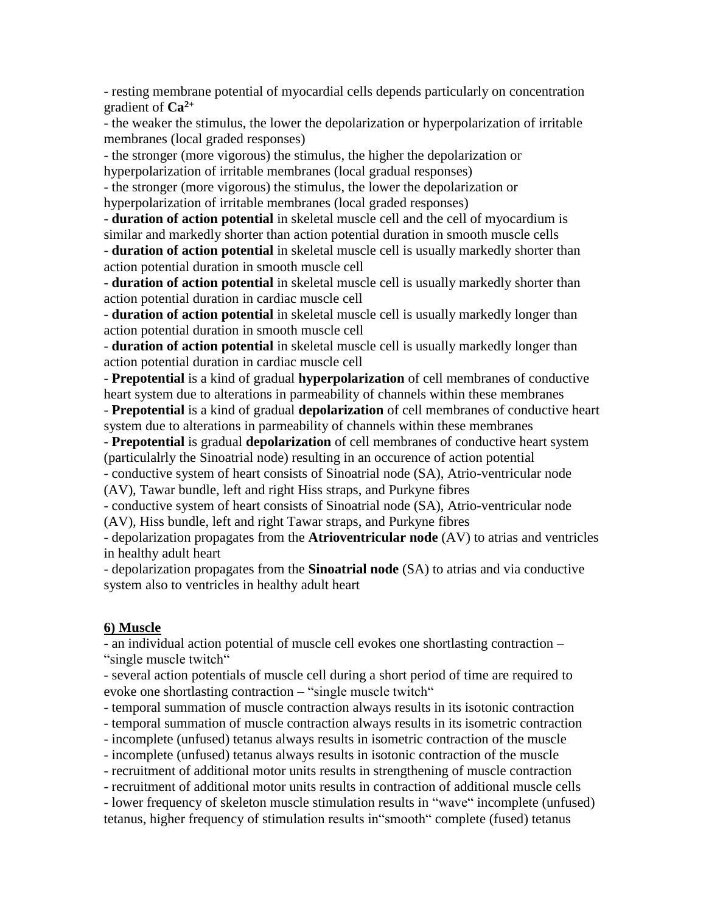- resting membrane potential of myocardial cells depends particularly on concentration gradient of **Ca2+**

- the weaker the stimulus, the lower the depolarization or hyperpolarization of irritable membranes (local graded responses)

- the stronger (more vigorous) the stimulus, the higher the depolarization or hyperpolarization of irritable membranes (local gradual responses)

- the stronger (more vigorous) the stimulus, the lower the depolarization or hyperpolarization of irritable membranes (local graded responses)

- **duration of action potential** in skeletal muscle cell and the cell of myocardium is similar and markedly shorter than action potential duration in smooth muscle cells

- **duration of action potential** in skeletal muscle cell is usually markedly shorter than action potential duration in smooth muscle cell

- **duration of action potential** in skeletal muscle cell is usually markedly shorter than action potential duration in cardiac muscle cell

- **duration of action potential** in skeletal muscle cell is usually markedly longer than action potential duration in smooth muscle cell

- **duration of action potential** in skeletal muscle cell is usually markedly longer than action potential duration in cardiac muscle cell

- **Prepotential** is a kind of gradual **hyperpolarization** of cell membranes of conductive heart system due to alterations in parmeability of channels within these membranes

- **Prepotential** is a kind of gradual **depolarization** of cell membranes of conductive heart system due to alterations in parmeability of channels within these membranes

- **Prepotential** is gradual **depolarization** of cell membranes of conductive heart system (particulalrly the Sinoatrial node) resulting in an occurence of action potential

- conductive system of heart consists of Sinoatrial node (SA), Atrio-ventricular node (AV), Tawar bundle, left and right Hiss straps, and Purkyne fibres

- conductive system of heart consists of Sinoatrial node (SA), Atrio-ventricular node (AV), Hiss bundle, left and right Tawar straps, and Purkyne fibres

- depolarization propagates from the **Atrioventricular node** (AV) to atrias and ventricles in healthy adult heart

- depolarization propagates from the **Sinoatrial node** (SA) to atrias and via conductive system also to ventricles in healthy adult heart

# **6) Muscle**

- an individual action potential of muscle cell evokes one shortlasting contraction – "single muscle twitch"

- several action potentials of muscle cell during a short period of time are required to evoke one shortlasting contraction – "single muscle twitch"

- temporal summation of muscle contraction always results in its isotonic contraction

- temporal summation of muscle contraction always results in its isometric contraction

- incomplete (unfused) tetanus always results in isometric contraction of the muscle

- incomplete (unfused) tetanus always results in isotonic contraction of the muscle

- recruitment of additional motor units results in strengthening of muscle contraction

- recruitment of additional motor units results in contraction of additional muscle cells

- lower frequency of skeleton muscle stimulation results in "wave" incomplete (unfused) tetanus, higher frequency of stimulation results in"smooth" complete (fused) tetanus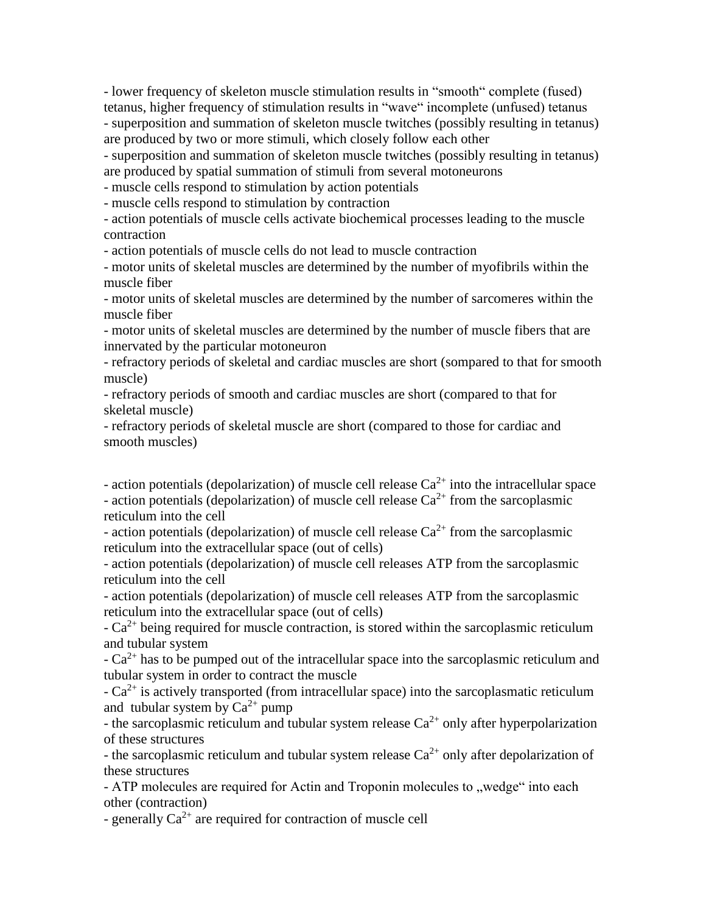- lower frequency of skeleton muscle stimulation results in "smooth" complete (fused) tetanus, higher frequency of stimulation results in "wave" incomplete (unfused) tetanus - superposition and summation of skeleton muscle twitches (possibly resulting in tetanus) are produced by two or more stimuli, which closely follow each other

- superposition and summation of skeleton muscle twitches (possibly resulting in tetanus) are produced by spatial summation of stimuli from several motoneurons

- muscle cells respond to stimulation by action potentials

- muscle cells respond to stimulation by contraction

- action potentials of muscle cells activate biochemical processes leading to the muscle contraction

- action potentials of muscle cells do not lead to muscle contraction

- motor units of skeletal muscles are determined by the number of myofibrils within the muscle fiber

- motor units of skeletal muscles are determined by the number of sarcomeres within the muscle fiber

- motor units of skeletal muscles are determined by the number of muscle fibers that are innervated by the particular motoneuron

- refractory periods of skeletal and cardiac muscles are short (sompared to that for smooth muscle)

- refractory periods of smooth and cardiac muscles are short (compared to that for skeletal muscle)

- refractory periods of skeletal muscle are short (compared to those for cardiac and smooth muscles)

- action potentials (depolarization) of muscle cell release  $Ca^{2+}$  into the intracellular space - action potentials (depolarization) of muscle cell release  $Ca^{2+}$  from the sarcoplasmic reticulum into the cell

- action potentials (depolarization) of muscle cell release  $Ca^{2+}$  from the sarcoplasmic reticulum into the extracellular space (out of cells)

- action potentials (depolarization) of muscle cell releases ATP from the sarcoplasmic reticulum into the cell

- action potentials (depolarization) of muscle cell releases ATP from the sarcoplasmic reticulum into the extracellular space (out of cells)

 $-Ca^{2+}$  being required for muscle contraction, is stored within the sarcoplasmic reticulum and tubular system

 $-Ca^{2+}$  has to be pumped out of the intracellular space into the sarcoplasmic reticulum and tubular system in order to contract the muscle

 $-Ca^{2+}$  is actively transported (from intracellular space) into the sarcoplasmatic reticulum and tubular system by  $Ca^{2+}$  pump

- the sarcoplasmic reticulum and tubular system release  $Ca^{2+}$  only after hyperpolarization of these structures

- the sarcoplasmic reticulum and tubular system release  $Ca^{2+}$  only after depolarization of these structures

- ATP molecules are required for Actin and Troponin molecules to "wedge" into each other (contraction)

- generally  $Ca^{2+}$  are required for contraction of muscle cell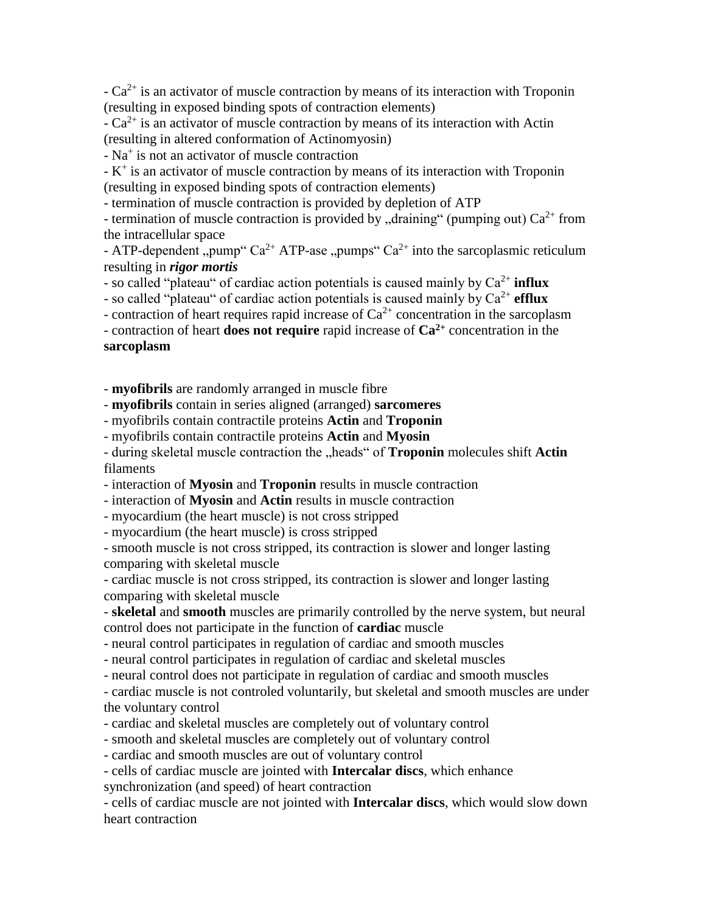$-Ca^{2+}$  is an activator of muscle contraction by means of its interaction with Troponin (resulting in exposed binding spots of contraction elements)

 $-Ca^{2+}$  is an activator of muscle contraction by means of its interaction with Actin (resulting in altered conformation of Actinomyosin)

- Na + is not an activator of muscle contraction

 $-K^+$  is an activator of muscle contraction by means of its interaction with Troponin (resulting in exposed binding spots of contraction elements)

- termination of muscle contraction is provided by depletion of ATP

- termination of muscle contraction is provided by "draining" (pumping out)  $Ca^{2+}$  from the intracellular space

- ATP-dependent "pump"  $Ca^{2+}$  ATP-ase "pumps"  $Ca^{2+}$  into the sarcoplasmic reticulum resulting in *rigor mortis*

- so called "plateau" of cardiac action potentials is caused mainly by  $Ca^{2+}$  influx

- so called "plateau" of cardiac action potentials is caused mainly by  $Ca^{2+}$  **efflux** 

- contraction of heart requires rapid increase of  $Ca^{2+}$  concentration in the sarcoplasm

- contraction of heart **does not require** rapid increase of **Ca2+** concentration in the **sarcoplasm**

- **myofibrils** are randomly arranged in muscle fibre

- **myofibrils** contain in series aligned (arranged) **sarcomeres**

- myofibrils contain contractile proteins **Actin** and **Troponin**

- myofibrils contain contractile proteins **Actin** and **Myosin**

- during skeletal muscle contraction the "heads" of **Troponin** molecules shift **Actin** filaments

- interaction of **Myosin** and **Troponin** results in muscle contraction

- interaction of **Myosin** and **Actin** results in muscle contraction

- myocardium (the heart muscle) is not cross stripped

- myocardium (the heart muscle) is cross stripped

- smooth muscle is not cross stripped, its contraction is slower and longer lasting comparing with skeletal muscle

- cardiac muscle is not cross stripped, its contraction is slower and longer lasting comparing with skeletal muscle

- **skeletal** and **smooth** muscles are primarily controlled by the nerve system, but neural control does not participate in the function of **cardiac** muscle

- neural control participates in regulation of cardiac and smooth muscles

- neural control participates in regulation of cardiac and skeletal muscles

- neural control does not participate in regulation of cardiac and smooth muscles

- cardiac muscle is not controled voluntarily, but skeletal and smooth muscles are under the voluntary control

- cardiac and skeletal muscles are completely out of voluntary control

- smooth and skeletal muscles are completely out of voluntary control

- cardiac and smooth muscles are out of voluntary control

- cells of cardiac muscle are jointed with **Intercalar discs**, which enhance synchronization (and speed) of heart contraction

- cells of cardiac muscle are not jointed with **Intercalar discs**, which would slow down heart contraction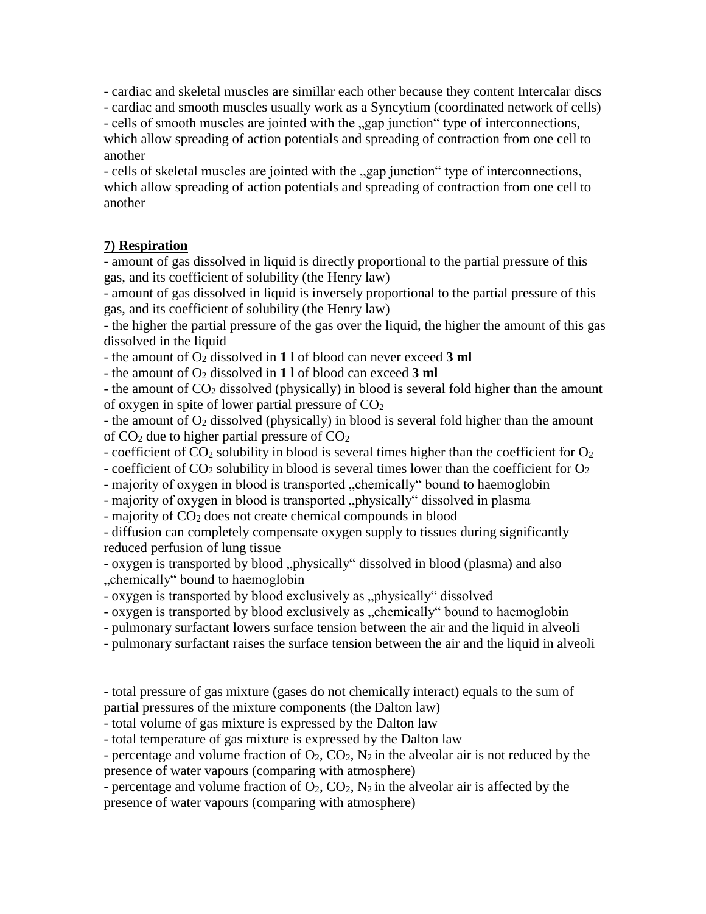- cardiac and skeletal muscles are simillar each other because they content Intercalar discs

- cardiac and smooth muscles usually work as a Syncytium (coordinated network of cells)

- cells of smooth muscles are jointed with the "gap junction" type of interconnections, which allow spreading of action potentials and spreading of contraction from one cell to another

- cells of skeletal muscles are jointed with the "gap junction" type of interconnections, which allow spreading of action potentials and spreading of contraction from one cell to another

# **7) Respiration**

- amount of gas dissolved in liquid is directly proportional to the partial pressure of this gas, and its coefficient of solubility (the Henry law)

- amount of gas dissolved in liquid is inversely proportional to the partial pressure of this gas, and its coefficient of solubility (the Henry law)

- the higher the partial pressure of the gas over the liquid, the higher the amount of this gas dissolved in the liquid

- the amount of O<sup>2</sup> dissolved in **1 l** of blood can never exceed **3 ml**

- the amount of O<sup>2</sup> dissolved in **1 l** of blood can exceed **3 ml**

- the amount of CO<sub>2</sub> dissolved (physically) in blood is several fold higher than the amount of oxygen in spite of lower partial pressure of  $CO<sub>2</sub>$ 

- the amount of  $O_2$  dissolved (physically) in blood is several fold higher than the amount of  $CO<sub>2</sub>$  due to higher partial pressure of  $CO<sub>2</sub>$ 

- coefficient of  $CO_2$  solubility in blood is several times higher than the coefficient for  $O_2$ 

- coefficient of  $CO_2$  solubility in blood is several times lower than the coefficient for  $O_2$ 

- majority of oxygen in blood is transported "chemically" bound to haemoglobin

- majority of oxygen in blood is transported "physically" dissolved in plasma

- majority of CO<sub>2</sub> does not create chemical compounds in blood

- diffusion can completely compensate oxygen supply to tissues during significantly reduced perfusion of lung tissue

- oxygen is transported by blood "physically" dissolved in blood (plasma) and also "chemically" bound to haemoglobin

- oxygen is transported by blood exclusively as "physically" dissolved

- oxygen is transported by blood exclusively as "chemically" bound to haemoglobin

- pulmonary surfactant lowers surface tension between the air and the liquid in alveoli

- pulmonary surfactant raises the surface tension between the air and the liquid in alveoli

- total pressure of gas mixture (gases do not chemically interact) equals to the sum of partial pressures of the mixture components (the Dalton law)

- total volume of gas mixture is expressed by the Dalton law

- total temperature of gas mixture is expressed by the Dalton law

- percentage and volume fraction of  $O_2$ ,  $CO_2$ ,  $N_2$  in the alveolar air is not reduced by the presence of water vapours (comparing with atmosphere)

- percentage and volume fraction of  $O_2$ ,  $CO_2$ ,  $N_2$  in the alveolar air is affected by the presence of water vapours (comparing with atmosphere)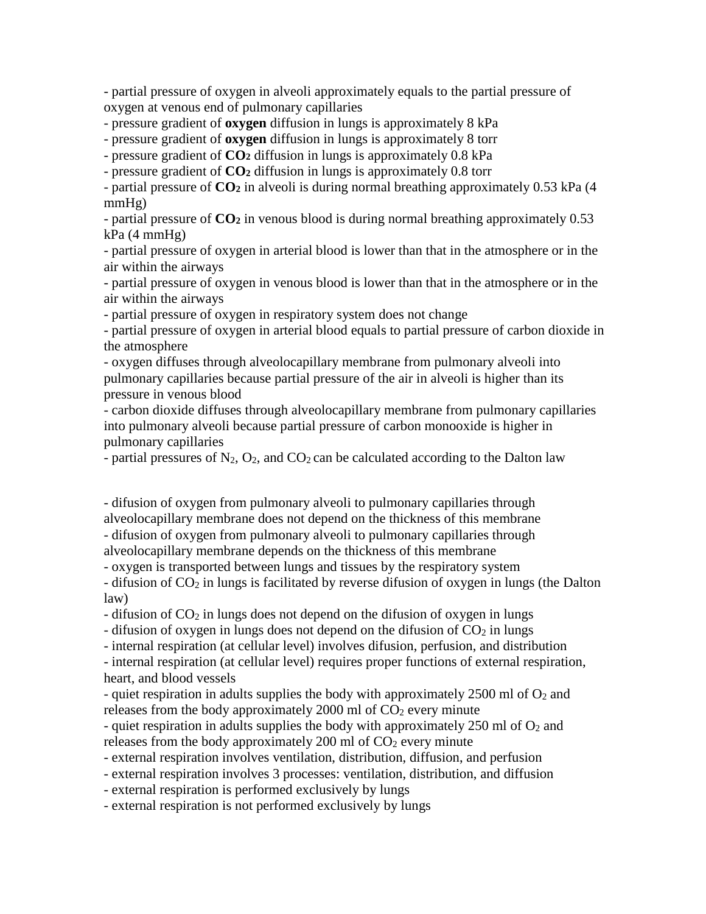- partial pressure of oxygen in alveoli approximately equals to the partial pressure of oxygen at venous end of pulmonary capillaries

- pressure gradient of **oxygen** diffusion in lungs is approximately 8 kPa

- pressure gradient of **oxygen** diffusion in lungs is approximately 8 torr

- pressure gradient of **CO<sup>2</sup>** diffusion in lungs is approximately 0.8 kPa

- pressure gradient of **CO<sup>2</sup>** diffusion in lungs is approximately 0.8 torr

- partial pressure of **CO<sup>2</sup>** in alveoli is during normal breathing approximately 0.53 kPa (4 mmHg)

- partial pressure of **CO<sup>2</sup>** in venous blood is during normal breathing approximately 0.53 kPa (4 mmHg)

- partial pressure of oxygen in arterial blood is lower than that in the atmosphere or in the air within the airways

- partial pressure of oxygen in venous blood is lower than that in the atmosphere or in the air within the airways

- partial pressure of oxygen in respiratory system does not change

- partial pressure of oxygen in arterial blood equals to partial pressure of carbon dioxide in the atmosphere

- oxygen diffuses through alveolocapillary membrane from pulmonary alveoli into pulmonary capillaries because partial pressure of the air in alveoli is higher than its pressure in venous blood

- carbon dioxide diffuses through alveolocapillary membrane from pulmonary capillaries into pulmonary alveoli because partial pressure of carbon monooxide is higher in pulmonary capillaries

- partial pressures of  $N_2$ ,  $O_2$ , and  $CO_2$  can be calculated according to the Dalton law

- difusion of oxygen from pulmonary alveoli to pulmonary capillaries through alveolocapillary membrane does not depend on the thickness of this membrane - difusion of oxygen from pulmonary alveoli to pulmonary capillaries through alveolocapillary membrane depends on the thickness of this membrane

- oxygen is transported between lungs and tissues by the respiratory system

- difusion of CO<sub>2</sub> in lungs is facilitated by reverse difusion of oxygen in lungs (the Dalton law)

- difusion of  $CO<sub>2</sub>$  in lungs does not depend on the difusion of oxygen in lungs

- difusion of oxygen in lungs does not depend on the difusion of  $CO<sub>2</sub>$  in lungs

- internal respiration (at cellular level) involves difusion, perfusion, and distribution

- internal respiration (at cellular level) requires proper functions of external respiration,

heart, and blood vessels

- quiet respiration in adults supplies the body with approximately 2500 ml of  $O_2$  and releases from the body approximately  $2000$  ml of  $CO<sub>2</sub>$  every minute

- quiet respiration in adults supplies the body with approximately 250 ml of  $O<sub>2</sub>$  and releases from the body approximately  $200$  ml of  $CO<sub>2</sub>$  every minute

- external respiration involves ventilation, distribution, diffusion, and perfusion

- external respiration involves 3 processes: ventilation, distribution, and diffusion

- external respiration is performed exclusively by lungs

- external respiration is not performed exclusively by lungs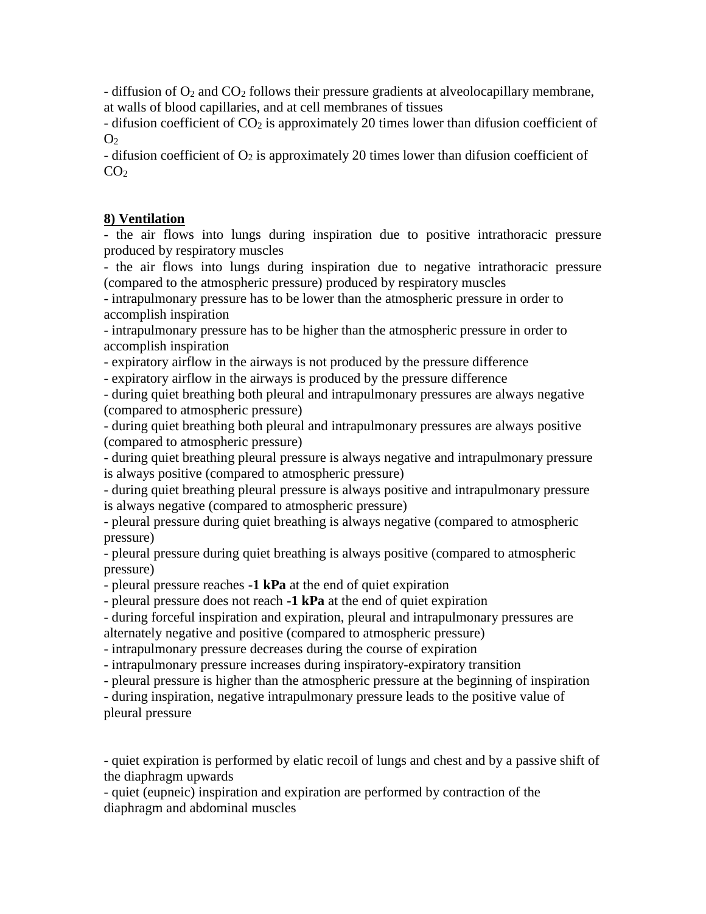- diffusion of  $O_2$  and  $CO_2$  follows their pressure gradients at alveolocapillary membrane, at walls of blood capillaries, and at cell membranes of tissues

- difusion coefficient of  $CO<sub>2</sub>$  is approximately 20 times lower than difusion coefficient of  $O<sub>2</sub>$ 

- difusion coefficient of  $O_2$  is approximately 20 times lower than difusion coefficient of  $CO<sub>2</sub>$ 

# **8) Ventilation**

- the air flows into lungs during inspiration due to positive intrathoracic pressure produced by respiratory muscles

- the air flows into lungs during inspiration due to negative intrathoracic pressure (compared to the atmospheric pressure) produced by respiratory muscles

- intrapulmonary pressure has to be lower than the atmospheric pressure in order to accomplish inspiration

- intrapulmonary pressure has to be higher than the atmospheric pressure in order to accomplish inspiration

- expiratory airflow in the airways is not produced by the pressure difference

- expiratory airflow in the airways is produced by the pressure difference

- during quiet breathing both pleural and intrapulmonary pressures are always negative (compared to atmospheric pressure)

- during quiet breathing both pleural and intrapulmonary pressures are always positive (compared to atmospheric pressure)

- during quiet breathing pleural pressure is always negative and intrapulmonary pressure is always positive (compared to atmospheric pressure)

- during quiet breathing pleural pressure is always positive and intrapulmonary pressure is always negative (compared to atmospheric pressure)

- pleural pressure during quiet breathing is always negative (compared to atmospheric pressure)

- pleural pressure during quiet breathing is always positive (compared to atmospheric pressure)

- pleural pressure reaches **-1 kPa** at the end of quiet expiration

- pleural pressure does not reach **-1 kPa** at the end of quiet expiration

- during forceful inspiration and expiration, pleural and intrapulmonary pressures are alternately negative and positive (compared to atmospheric pressure)

- intrapulmonary pressure decreases during the course of expiration

- intrapulmonary pressure increases during inspiratory-expiratory transition

- pleural pressure is higher than the atmospheric pressure at the beginning of inspiration

- during inspiration, negative intrapulmonary pressure leads to the positive value of pleural pressure

- quiet expiration is performed by elatic recoil of lungs and chest and by a passive shift of the diaphragm upwards

- quiet (eupneic) inspiration and expiration are performed by contraction of the diaphragm and abdominal muscles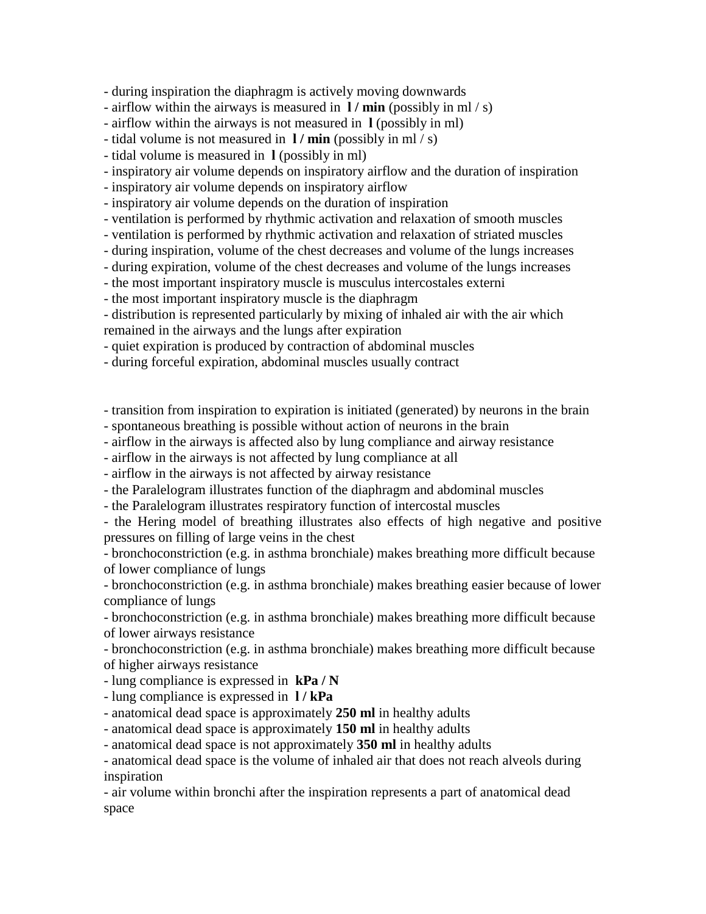- during inspiration the diaphragm is actively moving downwards

- airflow within the airways is measured in **l / min** (possibly in ml / s)

- airflow within the airways is not measured in **l** (possibly in ml)

- tidal volume is not measured in **l / min** (possibly in ml / s)

- tidal volume is measured in **l** (possibly in ml)

- inspiratory air volume depends on inspiratory airflow and the duration of inspiration

- inspiratory air volume depends on inspiratory airflow

- inspiratory air volume depends on the duration of inspiration

- ventilation is performed by rhythmic activation and relaxation of smooth muscles

- ventilation is performed by rhythmic activation and relaxation of striated muscles

- during inspiration, volume of the chest decreases and volume of the lungs increases

- during expiration, volume of the chest decreases and volume of the lungs increases

- the most important inspiratory muscle is musculus intercostales externi

- the most important inspiratory muscle is the diaphragm

- distribution is represented particularly by mixing of inhaled air with the air which remained in the airways and the lungs after expiration

- quiet expiration is produced by contraction of abdominal muscles

- during forceful expiration, abdominal muscles usually contract

- transition from inspiration to expiration is initiated (generated) by neurons in the brain

- spontaneous breathing is possible without action of neurons in the brain

- airflow in the airways is affected also by lung compliance and airway resistance

- airflow in the airways is not affected by lung compliance at all

- airflow in the airways is not affected by airway resistance

- the Paralelogram illustrates function of the diaphragm and abdominal muscles

- the Paralelogram illustrates respiratory function of intercostal muscles

- the Hering model of breathing illustrates also effects of high negative and positive pressures on filling of large veins in the chest

- bronchoconstriction (e.g. in asthma bronchiale) makes breathing more difficult because of lower compliance of lungs

- bronchoconstriction (e.g. in asthma bronchiale) makes breathing easier because of lower compliance of lungs

- bronchoconstriction (e.g. in asthma bronchiale) makes breathing more difficult because of lower airways resistance

- bronchoconstriction (e.g. in asthma bronchiale) makes breathing more difficult because of higher airways resistance

- lung compliance is expressed in **kPa / N**

- lung compliance is expressed in **l / kPa**

- anatomical dead space is approximately **250 ml** in healthy adults

- anatomical dead space is approximately **150 ml** in healthy adults

- anatomical dead space is not approximately **350 ml** in healthy adults

- anatomical dead space is the volume of inhaled air that does not reach alveols during inspiration

- air volume within bronchi after the inspiration represents a part of anatomical dead space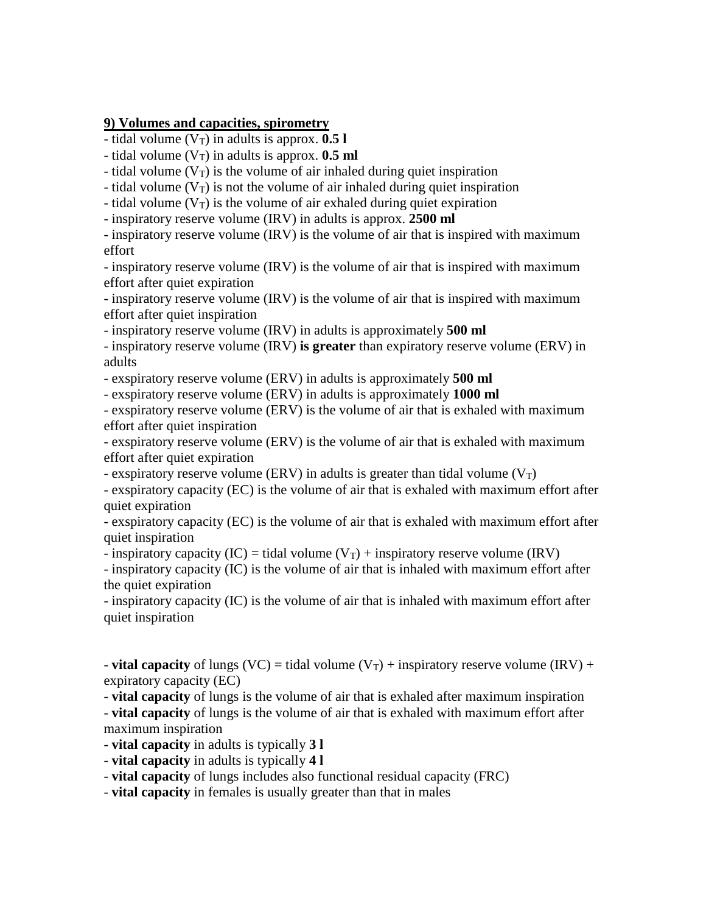### **9) Volumes and capacities, spirometry**

- tidal volume  $(V_T)$  in adults is approx.  $0.51$ 

- tidal volume  $(V_T)$  in adults is approx. **0.5 ml** 

- tidal volume  $(V_T)$  is the volume of air inhaled during quiet inspiration

- tidal volume  $(V_T)$  is not the volume of air inhaled during quiet inspiration

- tidal volume  $(V_T)$  is the volume of air exhaled during quiet expiration

- inspiratory reserve volume (IRV) in adults is approx. **2500 ml**

- inspiratory reserve volume (IRV) is the volume of air that is inspired with maximum effort

- inspiratory reserve volume (IRV) is the volume of air that is inspired with maximum effort after quiet expiration

- inspiratory reserve volume (IRV) is the volume of air that is inspired with maximum effort after quiet inspiration

- inspiratory reserve volume (IRV) in adults is approximately **500 ml**

- inspiratory reserve volume (IRV) **is greater** than expiratory reserve volume (ERV) in adults

- exspiratory reserve volume (ERV) in adults is approximately **500 ml**

- exspiratory reserve volume (ERV) in adults is approximately **1000 ml**

- exspiratory reserve volume (ERV) is the volume of air that is exhaled with maximum effort after quiet inspiration

- exspiratory reserve volume (ERV) is the volume of air that is exhaled with maximum effort after quiet expiration

- exspiratory reserve volume (ERV) in adults is greater than tidal volume ( $V_T$ )

- exspiratory capacity (EC) is the volume of air that is exhaled with maximum effort after quiet expiration

- exspiratory capacity (EC) is the volume of air that is exhaled with maximum effort after quiet inspiration

- inspiratory capacity (IC) = tidal volume ( $V_T$ ) + inspiratory reserve volume (IRV)

- inspiratory capacity (IC) is the volume of air that is inhaled with maximum effort after the quiet expiration

- inspiratory capacity (IC) is the volume of air that is inhaled with maximum effort after quiet inspiration

- **vital capacity** of lungs (VC) = tidal volume (V<sub>T</sub>) + inspiratory reserve volume (IRV) + expiratory capacity (EC)

- **vital capacity** of lungs is the volume of air that is exhaled after maximum inspiration

- **vital capacity** of lungs is the volume of air that is exhaled with maximum effort after maximum inspiration

- **vital capacity** in adults is typically **3 l**

- **vital capacity** in adults is typically **4 l**

- **vital capacity** of lungs includes also functional residual capacity (FRC)

- **vital capacity** in females is usually greater than that in males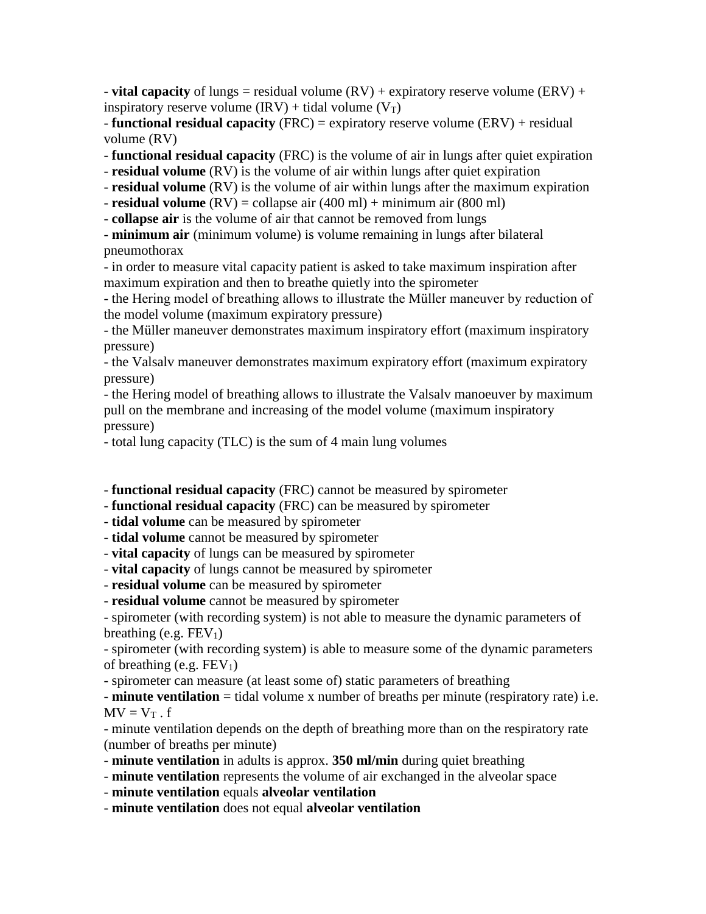- **vital capacity** of lungs = residual volume  $(RV)$  + expiratory reserve volume  $(RV)$  + inspiratory reserve volume  $\text{IRV)} + \text{tidal volume } \text{V}_\text{T}$ 

- **functional residual capacity** (FRC) = expiratory reserve volume (ERV) + residual volume (RV)

- **functional residual capacity** (FRC) is the volume of air in lungs after quiet expiration

- **residual volume** (RV) is the volume of air within lungs after quiet expiration

- **residual volume** (RV) is the volume of air within lungs after the maximum expiration

- **residual volume** (RV) = collapse air (400 ml) + minimum air (800 ml)

- **collapse air** is the volume of air that cannot be removed from lungs

- **minimum air** (minimum volume) is volume remaining in lungs after bilateral pneumothorax

- in order to measure vital capacity patient is asked to take maximum inspiration after maximum expiration and then to breathe quietly into the spirometer

- the Hering model of breathing allows to illustrate the Müller maneuver by reduction of the model volume (maximum expiratory pressure)

- the Müller maneuver demonstrates maximum inspiratory effort (maximum inspiratory pressure)

- the Valsalv maneuver demonstrates maximum expiratory effort (maximum expiratory pressure)

- the Hering model of breathing allows to illustrate the Valsalv manoeuver by maximum pull on the membrane and increasing of the model volume (maximum inspiratory pressure)

- total lung capacity (TLC) is the sum of 4 main lung volumes

- **functional residual capacity** (FRC) cannot be measured by spirometer

- **functional residual capacity** (FRC) can be measured by spirometer

- **tidal volume** can be measured by spirometer

- **tidal volume** cannot be measured by spirometer

- **vital capacity** of lungs can be measured by spirometer

- **vital capacity** of lungs cannot be measured by spirometer

- **residual volume** can be measured by spirometer

- **residual volume** cannot be measured by spirometer

- spirometer (with recording system) is not able to measure the dynamic parameters of breathing (e.g.  $FEV<sub>1</sub>$ )

- spirometer (with recording system) is able to measure some of the dynamic parameters of breathing (e.g.  $FEV<sub>1</sub>$ )

- spirometer can measure (at least some of) static parameters of breathing

- **minute ventilation** = tidal volume x number of breaths per minute (respiratory rate) i.e.  $MV = V_T$ . f

- minute ventilation depends on the depth of breathing more than on the respiratory rate (number of breaths per minute)

- **minute ventilation** in adults is approx. **350 ml/min** during quiet breathing
- **minute ventilation** represents the volume of air exchanged in the alveolar space

- **minute ventilation** equals **alveolar ventilation**

- **minute ventilation** does not equal **alveolar ventilation**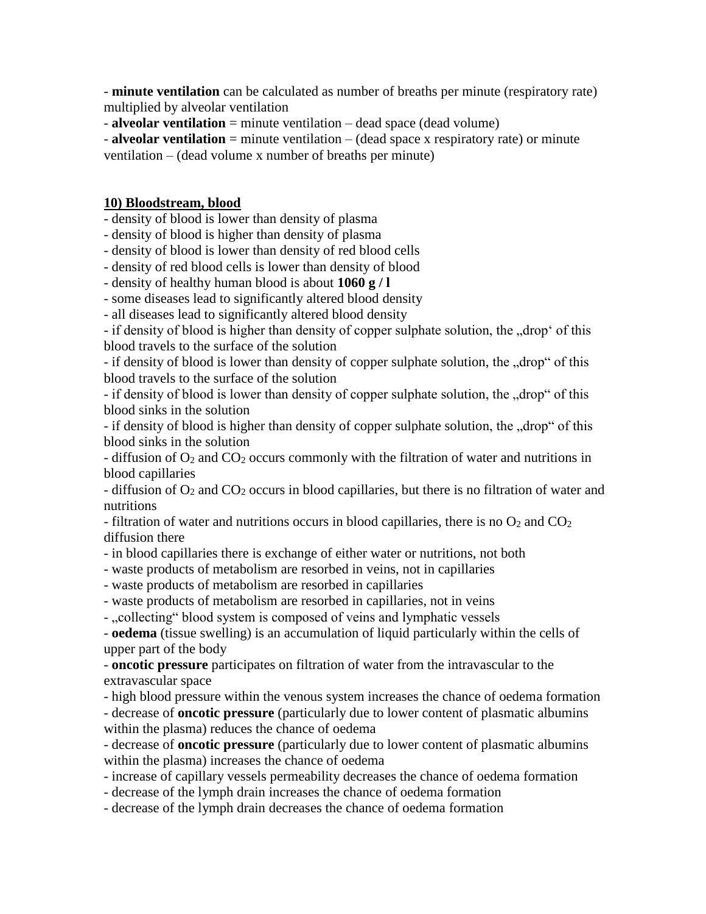- **minute ventilation** can be calculated as number of breaths per minute (respiratory rate) multiplied by alveolar ventilation

- **alveolar ventilation** = minute ventilation – dead space (dead volume)

- **alveolar ventilation** = minute ventilation – (dead space x respiratory rate) or minute ventilation – (dead volume x number of breaths per minute)

## **10) Bloodstream, blood**

- density of blood is lower than density of plasma

- density of blood is higher than density of plasma

- density of blood is lower than density of red blood cells

- density of red blood cells is lower than density of blood

- density of healthy human blood is about **1060 g / l**

- some diseases lead to significantly altered blood density

- all diseases lead to significantly altered blood density

- if density of blood is higher than density of copper sulphate solution, the "drop' of this blood travels to the surface of the solution

- if density of blood is lower than density of copper sulphate solution, the "drop" of this blood travels to the surface of the solution

- if density of blood is lower than density of copper sulphate solution, the "drop" of this blood sinks in the solution

- if density of blood is higher than density of copper sulphate solution, the "drop" of this blood sinks in the solution

- diffusion of  $O_2$  and  $CO_2$  occurs commonly with the filtration of water and nutritions in blood capillaries

- diffusion of  $O_2$  and  $CO_2$  occurs in blood capillaries, but there is no filtration of water and nutritions

- filtration of water and nutritions occurs in blood capillaries, there is no  $O_2$  and  $CO_2$ diffusion there

- in blood capillaries there is exchange of either water or nutritions, not both

- waste products of metabolism are resorbed in veins, not in capillaries

- waste products of metabolism are resorbed in capillaries

- waste products of metabolism are resorbed in capillaries, not in veins

- "collecting" blood system is composed of veins and lymphatic vessels

- **oedema** (tissue swelling) is an accumulation of liquid particularly within the cells of upper part of the body

- **oncotic pressure** participates on filtration of water from the intravascular to the extravascular space

- high blood pressure within the venous system increases the chance of oedema formation

- decrease of **oncotic pressure** (particularly due to lower content of plasmatic albumins within the plasma) reduces the chance of oedema

- decrease of **oncotic pressure** (particularly due to lower content of plasmatic albumins within the plasma) increases the chance of oedema

- increase of capillary vessels permeability decreases the chance of oedema formation

- decrease of the lymph drain increases the chance of oedema formation

- decrease of the lymph drain decreases the chance of oedema formation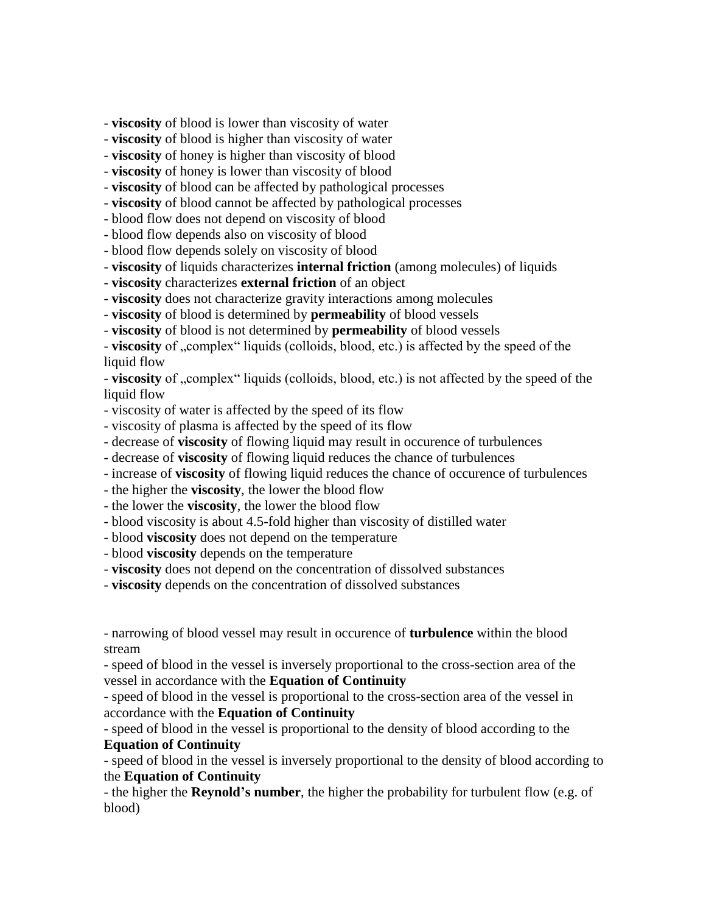- **viscosity** of blood is lower than viscosity of water

- **viscosity** of blood is higher than viscosity of water

- **viscosity** of honey is higher than viscosity of blood

- **viscosity** of honey is lower than viscosity of blood

- **viscosity** of blood can be affected by pathological processes

- **viscosity** of blood cannot be affected by pathological processes

- blood flow does not depend on viscosity of blood

- blood flow depends also on viscosity of blood

- blood flow depends solely on viscosity of blood

- **viscosity** of liquids characterizes **internal friction** (among molecules) of liquids

- **viscosity** characterizes **external friction** of an object

- **viscosity** does not characterize gravity interactions among molecules

- **viscosity** of blood is determined by **permeability** of blood vessels

- **viscosity** of blood is not determined by **permeability** of blood vessels

- **viscosity** of "complex" liquids (colloids, blood, etc.) is affected by the speed of the liquid flow

- **viscosity** of "complex" liquids (colloids, blood, etc.) is not affected by the speed of the liquid flow

- viscosity of water is affected by the speed of its flow

- viscosity of plasma is affected by the speed of its flow

- decrease of **viscosity** of flowing liquid may result in occurence of turbulences

- decrease of **viscosity** of flowing liquid reduces the chance of turbulences

- increase of **viscosity** of flowing liquid reduces the chance of occurence of turbulences

- the higher the **viscosity**, the lower the blood flow

- the lower the **viscosity**, the lower the blood flow

- blood viscosity is about 4.5-fold higher than viscosity of distilled water

- blood **viscosity** does not depend on the temperature

- blood **viscosity** depends on the temperature

- **viscosity** does not depend on the concentration of dissolved substances

- **viscosity** depends on the concentration of dissolved substances

- narrowing of blood vessel may result in occurence of **turbulence** within the blood stream

- speed of blood in the vessel is inversely proportional to the cross-section area of the vessel in accordance with the **Equation of Continuity**

- speed of blood in the vessel is proportional to the cross-section area of the vessel in accordance with the **Equation of Continuity**

- speed of blood in the vessel is proportional to the density of blood according to the **Equation of Continuity**

- speed of blood in the vessel is inversely proportional to the density of blood according to the **Equation of Continuity**

- the higher the **Reynold's number**, the higher the probability for turbulent flow (e.g. of blood)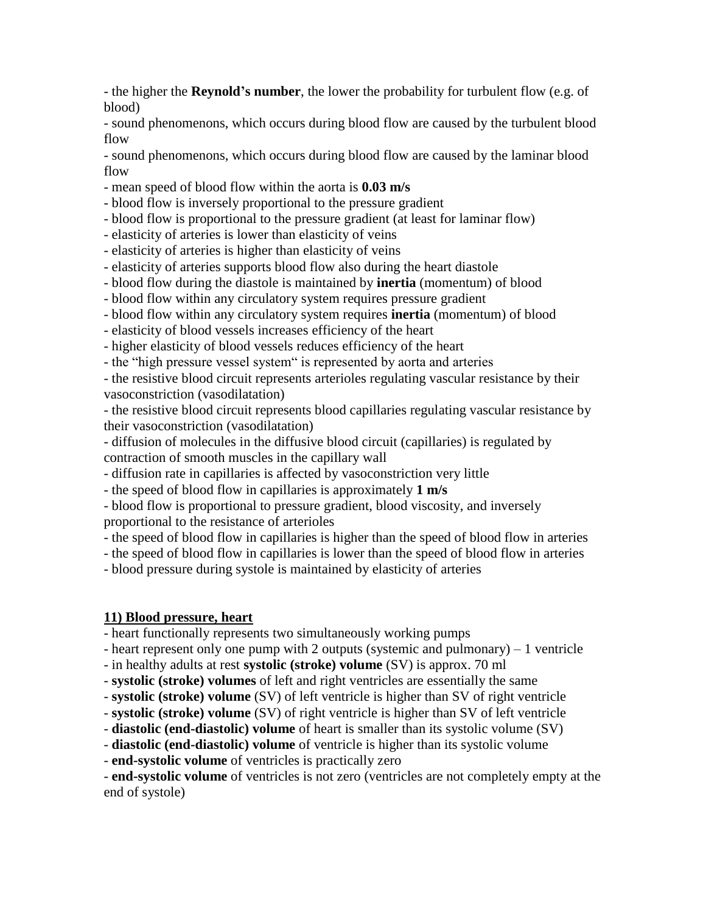- the higher the **Reynold's number**, the lower the probability for turbulent flow (e.g. of blood)

- sound phenomenons, which occurs during blood flow are caused by the turbulent blood flow

- sound phenomenons, which occurs during blood flow are caused by the laminar blood flow

- mean speed of blood flow within the aorta is **0.03 m/s**

- blood flow is inversely proportional to the pressure gradient

- blood flow is proportional to the pressure gradient (at least for laminar flow)

- elasticity of arteries is lower than elasticity of veins

- elasticity of arteries is higher than elasticity of veins

- elasticity of arteries supports blood flow also during the heart diastole

- blood flow during the diastole is maintained by **inertia** (momentum) of blood

- blood flow within any circulatory system requires pressure gradient

- blood flow within any circulatory system requires **inertia** (momentum) of blood
- elasticity of blood vessels increases efficiency of the heart

- higher elasticity of blood vessels reduces efficiency of the heart

- the "high pressure vessel system" is represented by aorta and arteries

- the resistive blood circuit represents arterioles regulating vascular resistance by their vasoconstriction (vasodilatation)

- the resistive blood circuit represents blood capillaries regulating vascular resistance by their vasoconstriction (vasodilatation)

- diffusion of molecules in the diffusive blood circuit (capillaries) is regulated by contraction of smooth muscles in the capillary wall

- diffusion rate in capillaries is affected by vasoconstriction very little

- the speed of blood flow in capillaries is approximately **1 m/s**

- blood flow is proportional to pressure gradient, blood viscosity, and inversely proportional to the resistance of arterioles

- the speed of blood flow in capillaries is higher than the speed of blood flow in arteries

- the speed of blood flow in capillaries is lower than the speed of blood flow in arteries

- blood pressure during systole is maintained by elasticity of arteries

# **11) Blood pressure, heart**

- heart functionally represents two simultaneously working pumps

- heart represent only one pump with 2 outputs (systemic and pulmonary) – 1 ventricle

- in healthy adults at rest **systolic (stroke) volume** (SV) is approx. 70 ml

- **systolic (stroke) volumes** of left and right ventricles are essentially the same

- **systolic (stroke) volume** (SV) of left ventricle is higher than SV of right ventricle

- **systolic (stroke) volume** (SV) of right ventricle is higher than SV of left ventricle

- **diastolic (end-diastolic) volume** of heart is smaller than its systolic volume (SV)

- **diastolic (end-diastolic) volume** of ventricle is higher than its systolic volume

- **end-systolic volume** of ventricles is practically zero

- **end-systolic volume** of ventricles is not zero (ventricles are not completely empty at the end of systole)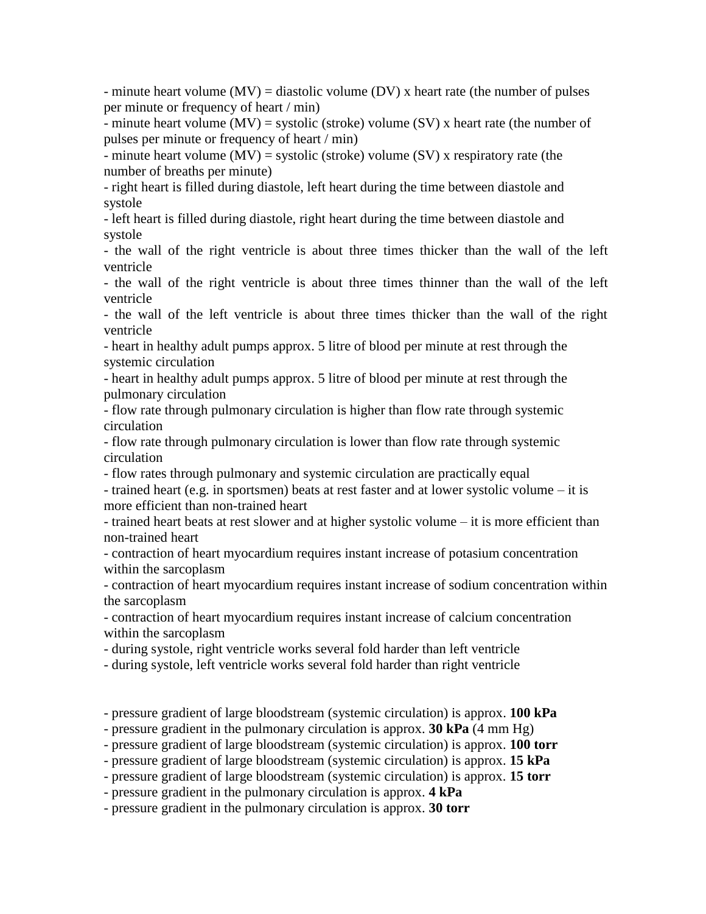- minute heart volume  $(MV)$  = diastolic volume  $(DV)$  x heart rate (the number of pulses per minute or frequency of heart / min)

- minute heart volume  $(MV)$  = systolic (stroke) volume  $(SV)$  x heart rate (the number of pulses per minute or frequency of heart / min)

- minute heart volume  $(MV)$  = systolic (stroke) volume  $(SV)$  x respiratory rate (the number of breaths per minute)

- right heart is filled during diastole, left heart during the time between diastole and systole

- left heart is filled during diastole, right heart during the time between diastole and systole

- the wall of the right ventricle is about three times thicker than the wall of the left ventricle

- the wall of the right ventricle is about three times thinner than the wall of the left ventricle

- the wall of the left ventricle is about three times thicker than the wall of the right ventricle

- heart in healthy adult pumps approx. 5 litre of blood per minute at rest through the systemic circulation

- heart in healthy adult pumps approx. 5 litre of blood per minute at rest through the pulmonary circulation

- flow rate through pulmonary circulation is higher than flow rate through systemic circulation

- flow rate through pulmonary circulation is lower than flow rate through systemic circulation

- flow rates through pulmonary and systemic circulation are practically equal

- trained heart (e.g. in sportsmen) beats at rest faster and at lower systolic volume – it is more efficient than non-trained heart

- trained heart beats at rest slower and at higher systolic volume – it is more efficient than non-trained heart

- contraction of heart myocardium requires instant increase of potasium concentration within the sarcoplasm

- contraction of heart myocardium requires instant increase of sodium concentration within the sarcoplasm

- contraction of heart myocardium requires instant increase of calcium concentration within the sarcoplasm

- during systole, right ventricle works several fold harder than left ventricle

- during systole, left ventricle works several fold harder than right ventricle

- pressure gradient of large bloodstream (systemic circulation) is approx. **100 kPa**

- pressure gradient in the pulmonary circulation is approx. **30 kPa** (4 mm Hg)

- pressure gradient of large bloodstream (systemic circulation) is approx. **100 torr**

- pressure gradient of large bloodstream (systemic circulation) is approx. **15 kPa**

- pressure gradient of large bloodstream (systemic circulation) is approx. **15 torr**

- pressure gradient in the pulmonary circulation is approx. **4 kPa**

- pressure gradient in the pulmonary circulation is approx. **30 torr**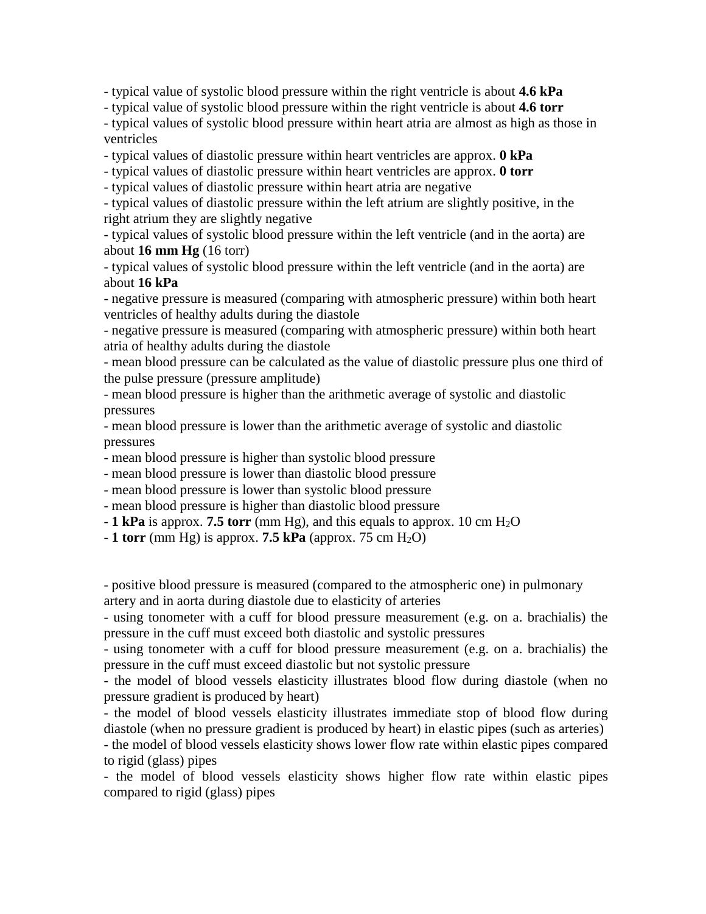- typical value of systolic blood pressure within the right ventricle is about **4.6 kPa**

- typical value of systolic blood pressure within the right ventricle is about **4.6 torr**

- typical values of systolic blood pressure within heart atria are almost as high as those in ventricles

- typical values of diastolic pressure within heart ventricles are approx. **0 kPa**

- typical values of diastolic pressure within heart ventricles are approx. **0 torr**

- typical values of diastolic pressure within heart atria are negative

- typical values of diastolic pressure within the left atrium are slightly positive, in the right atrium they are slightly negative

- typical values of systolic blood pressure within the left ventricle (and in the aorta) are about **16 mm Hg** (16 torr)

- typical values of systolic blood pressure within the left ventricle (and in the aorta) are about **16 kPa**

- negative pressure is measured (comparing with atmospheric pressure) within both heart ventricles of healthy adults during the diastole

- negative pressure is measured (comparing with atmospheric pressure) within both heart atria of healthy adults during the diastole

- mean blood pressure can be calculated as the value of diastolic pressure plus one third of the pulse pressure (pressure amplitude)

- mean blood pressure is higher than the arithmetic average of systolic and diastolic pressures

- mean blood pressure is lower than the arithmetic average of systolic and diastolic pressures

- mean blood pressure is higher than systolic blood pressure

- mean blood pressure is lower than diastolic blood pressure

- mean blood pressure is lower than systolic blood pressure

- mean blood pressure is higher than diastolic blood pressure

 $-$  **1 kPa** is approx. **7.5 torr** (mm Hg), and this equals to approx. 10 cm H<sub>2</sub>O

 $-1$  torr (mm Hg) is approx. **7.5 kPa** (approx. 75 cm H<sub>2</sub>O)

- positive blood pressure is measured (compared to the atmospheric one) in pulmonary artery and in aorta during diastole due to elasticity of arteries

- using tonometer with a cuff for blood pressure measurement (e.g. on a. brachialis) the pressure in the cuff must exceed both diastolic and systolic pressures

- using tonometer with a cuff for blood pressure measurement (e.g. on a. brachialis) the pressure in the cuff must exceed diastolic but not systolic pressure

- the model of blood vessels elasticity illustrates blood flow during diastole (when no pressure gradient is produced by heart)

- the model of blood vessels elasticity illustrates immediate stop of blood flow during diastole (when no pressure gradient is produced by heart) in elastic pipes (such as arteries)

- the model of blood vessels elasticity shows lower flow rate within elastic pipes compared to rigid (glass) pipes

- the model of blood vessels elasticity shows higher flow rate within elastic pipes compared to rigid (glass) pipes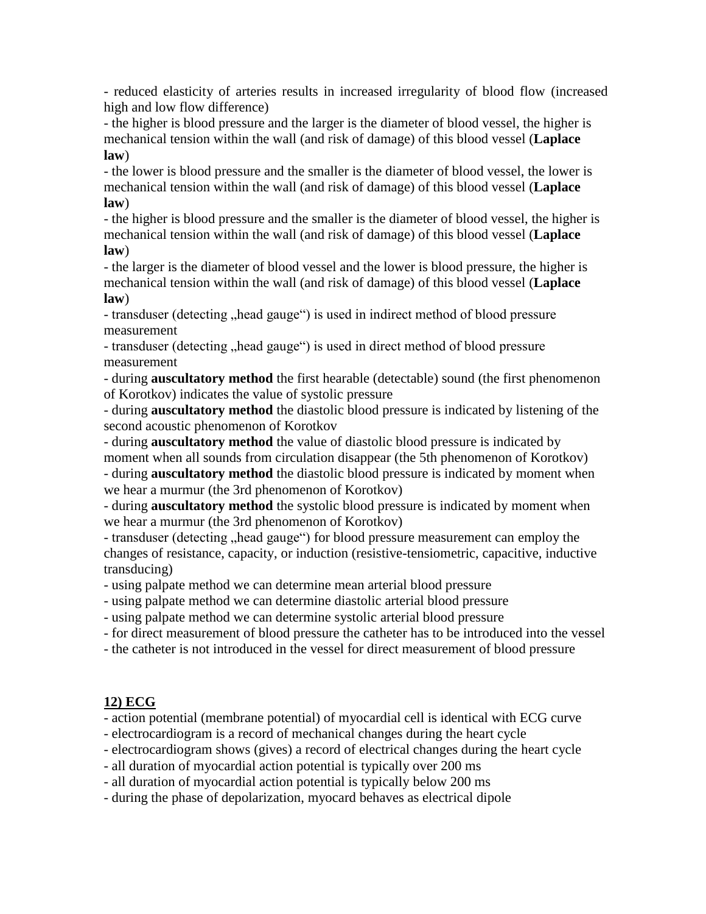- reduced elasticity of arteries results in increased irregularity of blood flow (increased high and low flow difference)

- the higher is blood pressure and the larger is the diameter of blood vessel, the higher is mechanical tension within the wall (and risk of damage) of this blood vessel (**Laplace law**)

- the lower is blood pressure and the smaller is the diameter of blood vessel, the lower is mechanical tension within the wall (and risk of damage) of this blood vessel (**Laplace law**)

- the higher is blood pressure and the smaller is the diameter of blood vessel, the higher is mechanical tension within the wall (and risk of damage) of this blood vessel (**Laplace law**)

- the larger is the diameter of blood vessel and the lower is blood pressure, the higher is mechanical tension within the wall (and risk of damage) of this blood vessel (**Laplace law**)

- transduser (detecting , head gauge") is used in indirect method of blood pressure measurement

- transduser (detecting , head gauge") is used in direct method of blood pressure measurement

- during **auscultatory method** the first hearable (detectable) sound (the first phenomenon of Korotkov) indicates the value of systolic pressure

- during **auscultatory method** the diastolic blood pressure is indicated by listening of the second acoustic phenomenon of Korotkov

- during **auscultatory method** the value of diastolic blood pressure is indicated by moment when all sounds from circulation disappear (the 5th phenomenon of Korotkov) - during **auscultatory method** the diastolic blood pressure is indicated by moment when we hear a murmur (the 3rd phenomenon of Korotkov)

- during **auscultatory method** the systolic blood pressure is indicated by moment when we hear a murmur (the 3rd phenomenon of Korotkov)

- transduser (detecting "head gauge") for blood pressure measurement can employ the changes of resistance, capacity, or induction (resistive-tensiometric, capacitive, inductive transducing)

- using palpate method we can determine mean arterial blood pressure

- using palpate method we can determine diastolic arterial blood pressure

- using palpate method we can determine systolic arterial blood pressure

- for direct measurement of blood pressure the catheter has to be introduced into the vessel

- the catheter is not introduced in the vessel for direct measurement of blood pressure

# **12) ECG**

- action potential (membrane potential) of myocardial cell is identical with ECG curve

- electrocardiogram is a record of mechanical changes during the heart cycle

- electrocardiogram shows (gives) a record of electrical changes during the heart cycle

- all duration of myocardial action potential is typically over 200 ms

- all duration of myocardial action potential is typically below 200 ms

- during the phase of depolarization, myocard behaves as electrical dipole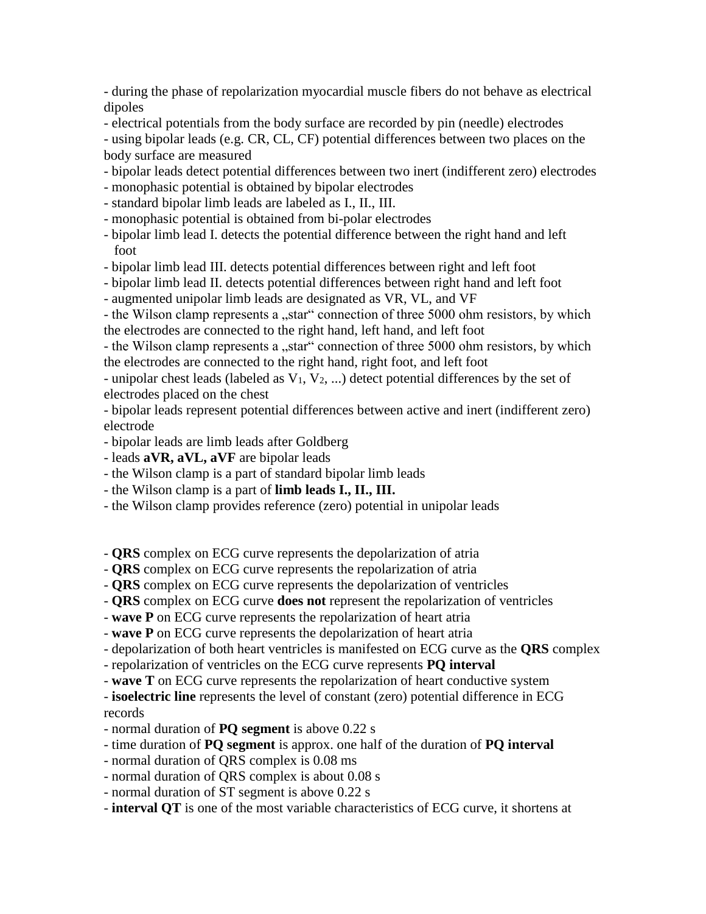- during the phase of repolarization myocardial muscle fibers do not behave as electrical dipoles

- electrical potentials from the body surface are recorded by pin (needle) electrodes

- using bipolar leads (e.g. CR, CL, CF) potential differences between two places on the body surface are measured

- bipolar leads detect potential differences between two inert (indifferent zero) electrodes
- monophasic potential is obtained by bipolar electrodes
- standard bipolar limb leads are labeled as I., II., III.
- monophasic potential is obtained from bi-polar electrodes
- bipolar limb lead I. detects the potential difference between the right hand and left foot
- bipolar limb lead III. detects potential differences between right and left foot
- bipolar limb lead II. detects potential differences between right hand and left foot
- augmented unipolar limb leads are designated as VR, VL, and VF

- the Wilson clamp represents a "star" connection of three 5000 ohm resistors, by which the electrodes are connected to the right hand, left hand, and left foot

- the Wilson clamp represents a "star" connection of three 5000 ohm resistors, by which the electrodes are connected to the right hand, right foot, and left foot

- unipolar chest leads (labeled as  $V_1$ ,  $V_2$ , ...) detect potential differences by the set of electrodes placed on the chest

- bipolar leads represent potential differences between active and inert (indifferent zero) electrode

- bipolar leads are limb leads after Goldberg
- leads **aVR, aVL, aVF** are bipolar leads
- the Wilson clamp is a part of standard bipolar limb leads
- the Wilson clamp is a part of **limb leads I., II., III.**
- the Wilson clamp provides reference (zero) potential in unipolar leads

- **QRS** complex on ECG curve represents the depolarization of atria

- **QRS** complex on ECG curve represents the repolarization of atria
- **QRS** complex on ECG curve represents the depolarization of ventricles
- **QRS** complex on ECG curve **does not** represent the repolarization of ventricles
- **wave P** on ECG curve represents the repolarization of heart atria

- **wave P** on ECG curve represents the depolarization of heart atria

- depolarization of both heart ventricles is manifested on ECG curve as the **QRS** complex
- repolarization of ventricles on the ECG curve represents **PQ interval**
- **wave T** on ECG curve represents the repolarization of heart conductive system

- **isoelectric line** represents the level of constant (zero) potential difference in ECG records

- normal duration of **PQ segment** is above 0.22 s
- time duration of **PQ segment** is approx. one half of the duration of **PQ interval**
- normal duration of QRS complex is 0.08 ms
- normal duration of QRS complex is about 0.08 s
- normal duration of ST segment is above 0.22 s
- **interval QT** is one of the most variable characteristics of ECG curve, it shortens at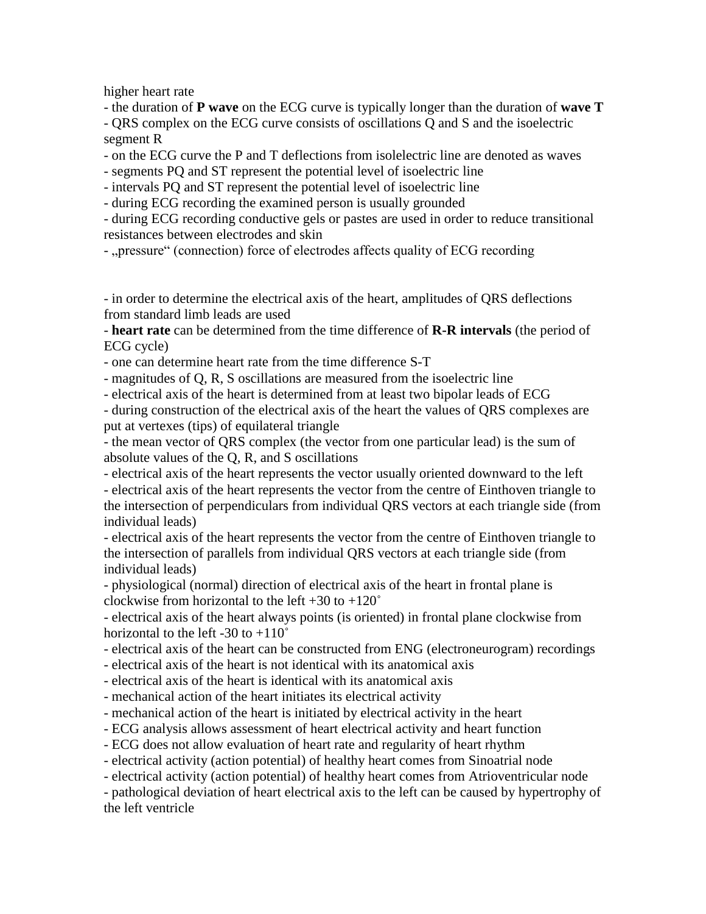higher heart rate

- the duration of **P wave** on the ECG curve is typically longer than the duration of **wave T** - QRS complex on the ECG curve consists of oscillations Q and S and the isoelectric segment R

- on the ECG curve the P and T deflections from isolelectric line are denoted as waves

- segments PQ and ST represent the potential level of isoelectric line

- intervals PQ and ST represent the potential level of isoelectric line

- during ECG recording the examined person is usually grounded

- during ECG recording conductive gels or pastes are used in order to reduce transitional resistances between electrodes and skin

- "pressure" (connection) force of electrodes affects quality of ECG recording

- in order to determine the electrical axis of the heart, amplitudes of QRS deflections from standard limb leads are used

- **heart rate** can be determined from the time difference of **R-R intervals** (the period of ECG cycle)

- one can determine heart rate from the time difference S-T

- magnitudes of Q, R, S oscillations are measured from the isoelectric line

- electrical axis of the heart is determined from at least two bipolar leads of ECG

- during construction of the electrical axis of the heart the values of QRS complexes are put at vertexes (tips) of equilateral triangle

- the mean vector of QRS complex (the vector from one particular lead) is the sum of absolute values of the Q, R, and S oscillations

- electrical axis of the heart represents the vector usually oriented downward to the left - electrical axis of the heart represents the vector from the centre of Einthoven triangle to the intersection of perpendiculars from individual QRS vectors at each triangle side (from individual leads)

- electrical axis of the heart represents the vector from the centre of Einthoven triangle to the intersection of parallels from individual QRS vectors at each triangle side (from individual leads)

- physiological (normal) direction of electrical axis of the heart in frontal plane is clockwise from horizontal to the left  $+30$  to  $+120^\circ$ 

- electrical axis of the heart always points (is oriented) in frontal plane clockwise from horizontal to the left  $-30$  to  $+110^\circ$ 

- electrical axis of the heart can be constructed from ENG (electroneurogram) recordings

- electrical axis of the heart is not identical with its anatomical axis

- electrical axis of the heart is identical with its anatomical axis

- mechanical action of the heart initiates its electrical activity

- mechanical action of the heart is initiated by electrical activity in the heart

- ECG analysis allows assessment of heart electrical activity and heart function

- ECG does not allow evaluation of heart rate and regularity of heart rhythm

- electrical activity (action potential) of healthy heart comes from Sinoatrial node

- electrical activity (action potential) of healthy heart comes from Atrioventricular node

- pathological deviation of heart electrical axis to the left can be caused by hypertrophy of the left ventricle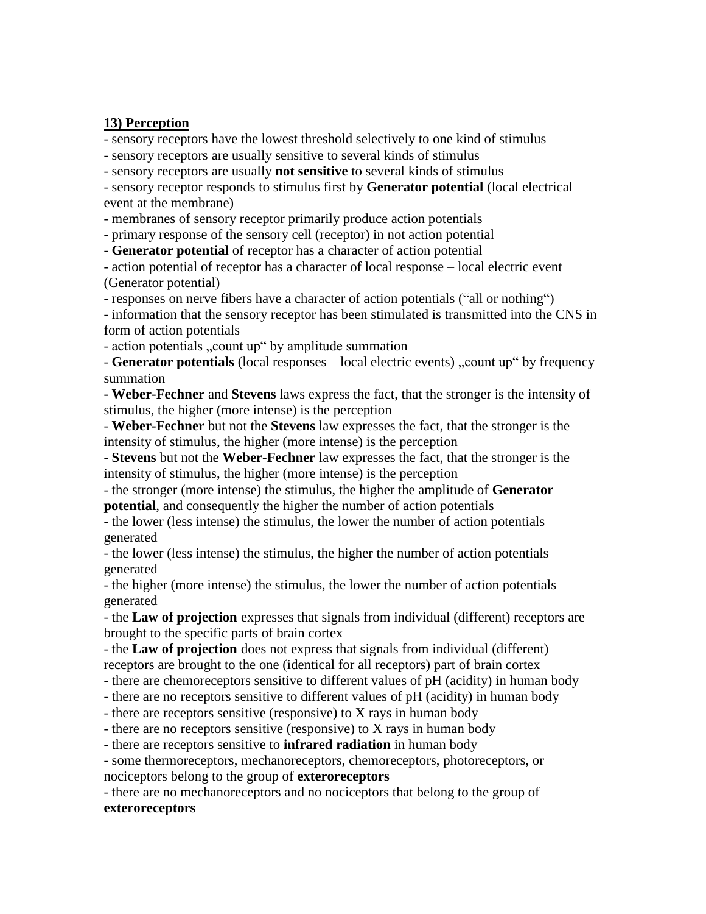#### **13) Perception**

- sensory receptors have the lowest threshold selectively to one kind of stimulus

- sensory receptors are usually sensitive to several kinds of stimulus

- sensory receptors are usually **not sensitive** to several kinds of stimulus

- sensory receptor responds to stimulus first by **Generator potential** (local electrical event at the membrane)

- membranes of sensory receptor primarily produce action potentials

- primary response of the sensory cell (receptor) in not action potential

- **Generator potential** of receptor has a character of action potential

- action potential of receptor has a character of local response – local electric event (Generator potential)

- responses on nerve fibers have a character of action potentials ("all or nothing")

- information that the sensory receptor has been stimulated is transmitted into the CNS in form of action potentials

- action potentials "count up" by amplitude summation

- **Generator potentials** (local responses – local electric events), count up" by frequency summation

**- Weber-Fechner** and **Stevens** laws express the fact, that the stronger is the intensity of stimulus, the higher (more intense) is the perception

- **Weber-Fechner** but not the **Stevens** law expresses the fact, that the stronger is the intensity of stimulus, the higher (more intense) is the perception

- **Stevens** but not the **Weber-Fechner** law expresses the fact, that the stronger is the intensity of stimulus, the higher (more intense) is the perception

- the stronger (more intense) the stimulus, the higher the amplitude of **Generator potential**, and consequently the higher the number of action potentials

- the lower (less intense) the stimulus, the lower the number of action potentials generated

- the lower (less intense) the stimulus, the higher the number of action potentials generated

- the higher (more intense) the stimulus, the lower the number of action potentials generated

- the **Law of projection** expresses that signals from individual (different) receptors are brought to the specific parts of brain cortex

- the **Law of projection** does not express that signals from individual (different) receptors are brought to the one (identical for all receptors) part of brain cortex

- there are chemoreceptors sensitive to different values of pH (acidity) in human body

- there are no receptors sensitive to different values of pH (acidity) in human body

- there are receptors sensitive (responsive) to X rays in human body

- there are no receptors sensitive (responsive) to X rays in human body

- there are receptors sensitive to **infrared radiation** in human body

- some thermoreceptors, mechanoreceptors, chemoreceptors, photoreceptors, or nociceptors belong to the group of **exteroreceptors**

- there are no mechanoreceptors and no nociceptors that belong to the group of

#### **exteroreceptors**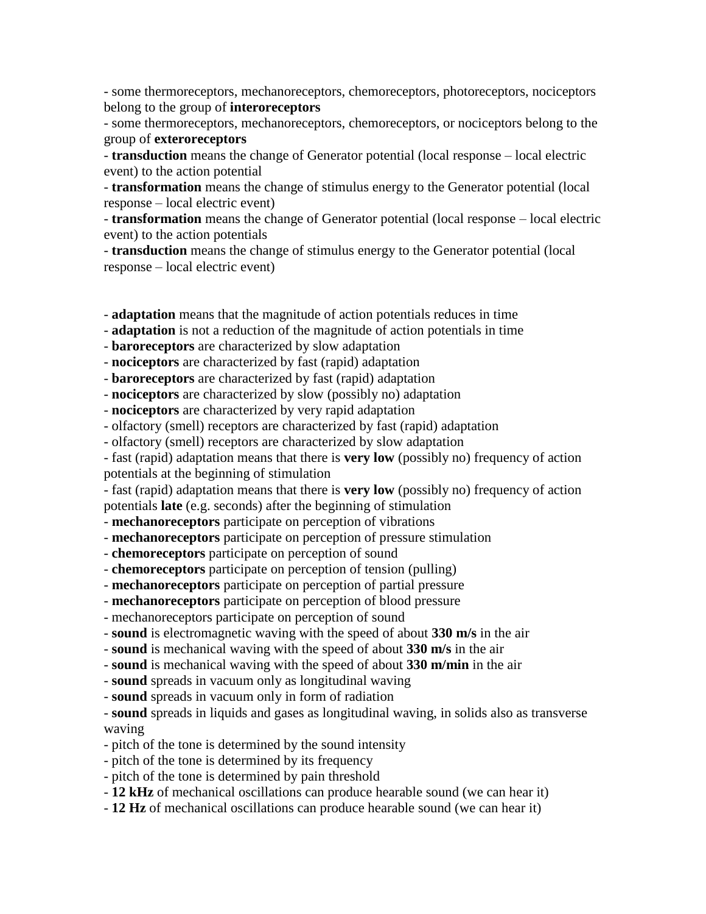- some thermoreceptors, mechanoreceptors, chemoreceptors, photoreceptors, nociceptors belong to the group of **interoreceptors**

- some thermoreceptors, mechanoreceptors, chemoreceptors, or nociceptors belong to the group of **exteroreceptors**

- **transduction** means the change of Generator potential (local response – local electric event) to the action potential

- **transformation** means the change of stimulus energy to the Generator potential (local response – local electric event)

- **transformation** means the change of Generator potential (local response – local electric event) to the action potentials

- **transduction** means the change of stimulus energy to the Generator potential (local response – local electric event)

- **adaptation** means that the magnitude of action potentials reduces in time

- **adaptation** is not a reduction of the magnitude of action potentials in time

- **baroreceptors** are characterized by slow adaptation

- **nociceptors** are characterized by fast (rapid) adaptation

- **baroreceptors** are characterized by fast (rapid) adaptation

- **nociceptors** are characterized by slow (possibly no) adaptation

- **nociceptors** are characterized by very rapid adaptation

- olfactory (smell) receptors are characterized by fast (rapid) adaptation

- olfactory (smell) receptors are characterized by slow adaptation

- fast (rapid) adaptation means that there is **very low** (possibly no) frequency of action

potentials at the beginning of stimulation

- fast (rapid) adaptation means that there is **very low** (possibly no) frequency of action potentials **late** (e.g. seconds) after the beginning of stimulation

- **mechanoreceptors** participate on perception of vibrations

- **mechanoreceptors** participate on perception of pressure stimulation

- **chemoreceptors** participate on perception of sound

- **chemoreceptors** participate on perception of tension (pulling)

- **mechanoreceptors** participate on perception of partial pressure

- **mechanoreceptors** participate on perception of blood pressure

- mechanoreceptors participate on perception of sound

- **sound** is electromagnetic waving with the speed of about **330 m/s** in the air

- **sound** is mechanical waving with the speed of about **330 m/s** in the air

- **sound** is mechanical waving with the speed of about **330 m/min** in the air

- **sound** spreads in vacuum only as longitudinal waving

- **sound** spreads in vacuum only in form of radiation

- **sound** spreads in liquids and gases as longitudinal waving, in solids also as transverse waving

- pitch of the tone is determined by the sound intensity

- pitch of the tone is determined by its frequency

- pitch of the tone is determined by pain threshold

- **12 kHz** of mechanical oscillations can produce hearable sound (we can hear it)

- **12 Hz** of mechanical oscillations can produce hearable sound (we can hear it)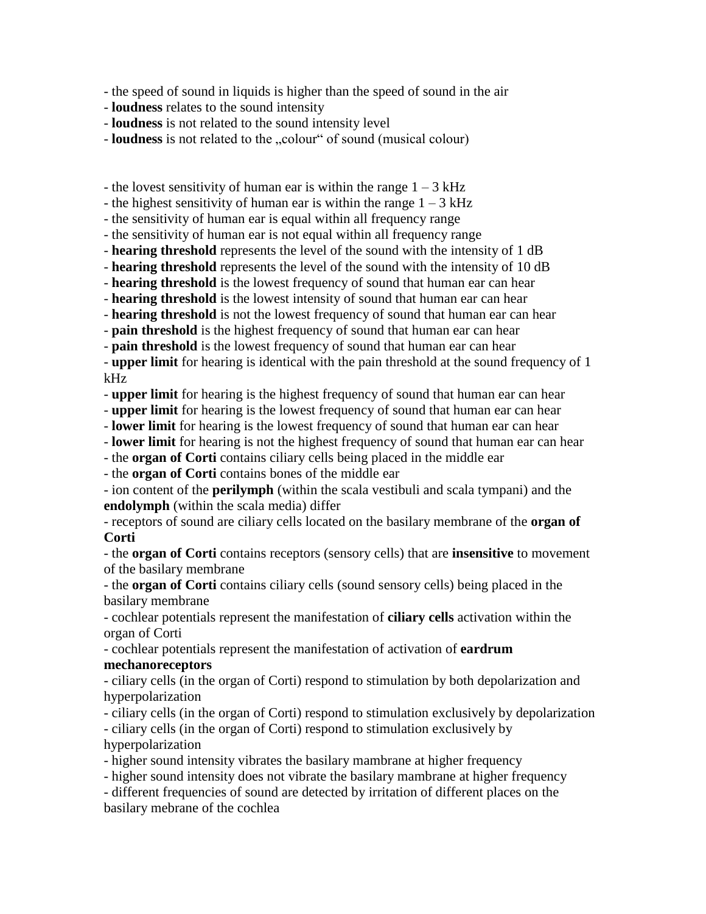- the speed of sound in liquids is higher than the speed of sound in the air

- **loudness** relates to the sound intensity

- **loudness** is not related to the sound intensity level

- **loudness** is not related to the "colour" of sound (musical colour)

- the lovest sensitivity of human ear is within the range  $1 - 3$  kHz

- the highest sensitivity of human ear is within the range  $1 - 3$  kHz

- the sensitivity of human ear is equal within all frequency range

- the sensitivity of human ear is not equal within all frequency range

- **hearing threshold** represents the level of the sound with the intensity of 1 dB

- **hearing threshold** represents the level of the sound with the intensity of 10 dB

- **hearing threshold** is the lowest frequency of sound that human ear can hear

- **hearing threshold** is the lowest intensity of sound that human ear can hear

- **hearing threshold** is not the lowest frequency of sound that human ear can hear

- **pain threshold** is the highest frequency of sound that human ear can hear

- **pain threshold** is the lowest frequency of sound that human ear can hear

- **upper limit** for hearing is identical with the pain threshold at the sound frequency of 1 kHz

- **upper limit** for hearing is the highest frequency of sound that human ear can hear

- **upper limit** for hearing is the lowest frequency of sound that human ear can hear

- **lower limit** for hearing is the lowest frequency of sound that human ear can hear

- **lower limit** for hearing is not the highest frequency of sound that human ear can hear

- the **organ of Corti** contains ciliary cells being placed in the middle ear

- the **organ of Corti** contains bones of the middle ear

- ion content of the **perilymph** (within the scala vestibuli and scala tympani) and the **endolymph** (within the scala media) differ

- receptors of sound are ciliary cells located on the basilary membrane of the **organ of Corti**

- the **organ of Corti** contains receptors (sensory cells) that are **insensitive** to movement of the basilary membrane

- the **organ of Corti** contains ciliary cells (sound sensory cells) being placed in the basilary membrane

- cochlear potentials represent the manifestation of **ciliary cells** activation within the organ of Corti

- cochlear potentials represent the manifestation of activation of **eardrum mechanoreceptors**

- ciliary cells (in the organ of Corti) respond to stimulation by both depolarization and hyperpolarization

- ciliary cells (in the organ of Corti) respond to stimulation exclusively by depolarization

- ciliary cells (in the organ of Corti) respond to stimulation exclusively by hyperpolarization

- higher sound intensity vibrates the basilary mambrane at higher frequency

- higher sound intensity does not vibrate the basilary mambrane at higher frequency

- different frequencies of sound are detected by irritation of different places on the basilary mebrane of the cochlea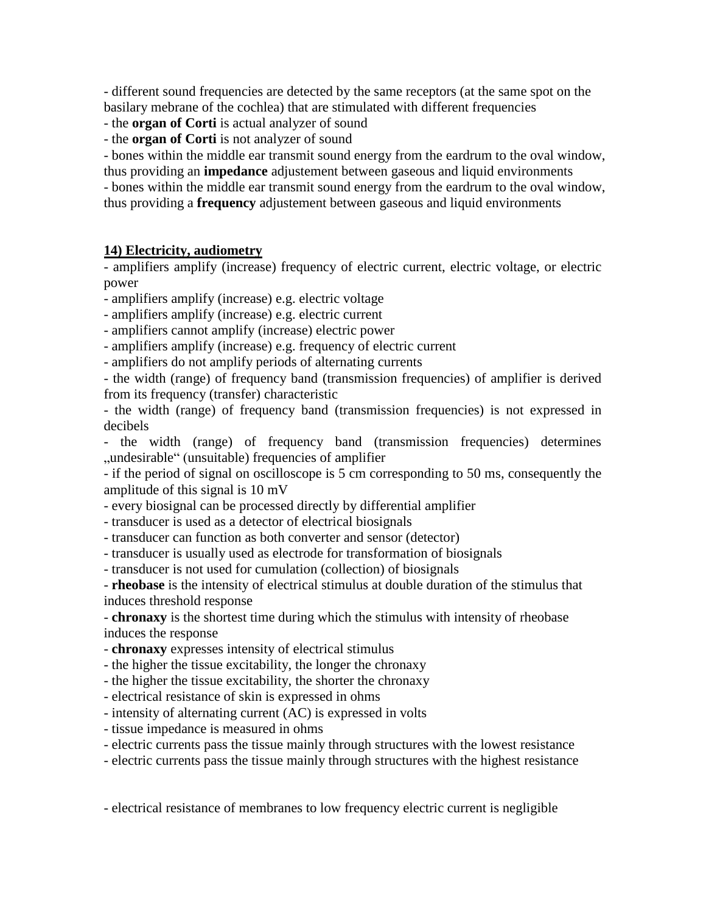- different sound frequencies are detected by the same receptors (at the same spot on the basilary mebrane of the cochlea) that are stimulated with different frequencies

## - the **organ of Corti** is actual analyzer of sound

- the **organ of Corti** is not analyzer of sound

- bones within the middle ear transmit sound energy from the eardrum to the oval window, thus providing an **impedance** adjustement between gaseous and liquid environments - bones within the middle ear transmit sound energy from the eardrum to the oval window, thus providing a **frequency** adjustement between gaseous and liquid environments

#### **14) Electricity, audiometry**

- amplifiers amplify (increase) frequency of electric current, electric voltage, or electric power

- amplifiers amplify (increase) e.g. electric voltage

- amplifiers amplify (increase) e.g. electric current

- amplifiers cannot amplify (increase) electric power

- amplifiers amplify (increase) e.g. frequency of electric current

- amplifiers do not amplify periods of alternating currents

- the width (range) of frequency band (transmission frequencies) of amplifier is derived from its frequency (transfer) characteristic

- the width (range) of frequency band (transmission frequencies) is not expressed in decibels

- the width (range) of frequency band (transmission frequencies) determines "undesirable" (unsuitable) frequencies of amplifier.

- if the period of signal on oscilloscope is 5 cm corresponding to 50 ms, consequently the amplitude of this signal is 10 mV

- every biosignal can be processed directly by differential amplifier

- transducer is used as a detector of electrical biosignals

- transducer can function as both converter and sensor (detector)

- transducer is usually used as electrode for transformation of biosignals

- transducer is not used for cumulation (collection) of biosignals

- **rheobase** is the intensity of electrical stimulus at double duration of the stimulus that induces threshold response

- **chronaxy** is the shortest time during which the stimulus with intensity of rheobase induces the response

- **chronaxy** expresses intensity of electrical stimulus

- the higher the tissue excitability, the longer the chronaxy

- the higher the tissue excitability, the shorter the chronaxy

- electrical resistance of skin is expressed in ohms

- intensity of alternating current (AC) is expressed in volts

- tissue impedance is measured in ohms

- electric currents pass the tissue mainly through structures with the lowest resistance

- electric currents pass the tissue mainly through structures with the highest resistance

- electrical resistance of membranes to low frequency electric current is negligible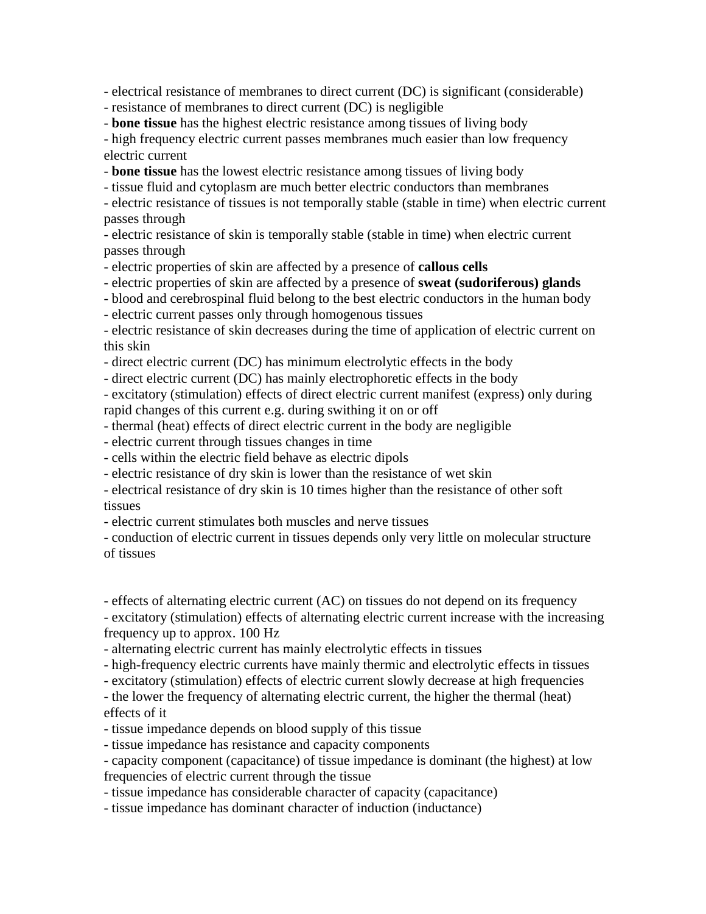- electrical resistance of membranes to direct current (DC) is significant (considerable)

- resistance of membranes to direct current (DC) is negligible

- **bone tissue** has the highest electric resistance among tissues of living body

- high frequency electric current passes membranes much easier than low frequency electric current

- **bone tissue** has the lowest electric resistance among tissues of living body

- tissue fluid and cytoplasm are much better electric conductors than membranes

- electric resistance of tissues is not temporally stable (stable in time) when electric current passes through

- electric resistance of skin is temporally stable (stable in time) when electric current passes through

- electric properties of skin are affected by a presence of **callous cells**

- electric properties of skin are affected by a presence of **sweat (sudoriferous) glands**

- blood and cerebrospinal fluid belong to the best electric conductors in the human body

- electric current passes only through homogenous tissues

- electric resistance of skin decreases during the time of application of electric current on this skin

- direct electric current (DC) has minimum electrolytic effects in the body

- direct electric current (DC) has mainly electrophoretic effects in the body

- excitatory (stimulation) effects of direct electric current manifest (express) only during rapid changes of this current e.g. during swithing it on or off

- thermal (heat) effects of direct electric current in the body are negligible

- electric current through tissues changes in time

- cells within the electric field behave as electric dipols

- electric resistance of dry skin is lower than the resistance of wet skin

- electrical resistance of dry skin is 10 times higher than the resistance of other soft tissues

- electric current stimulates both muscles and nerve tissues

- conduction of electric current in tissues depends only very little on molecular structure of tissues

- effects of alternating electric current (AC) on tissues do not depend on its frequency

- excitatory (stimulation) effects of alternating electric current increase with the increasing frequency up to approx. 100 Hz

- alternating electric current has mainly electrolytic effects in tissues

- high-frequency electric currents have mainly thermic and electrolytic effects in tissues

- excitatory (stimulation) effects of electric current slowly decrease at high frequencies

- the lower the frequency of alternating electric current, the higher the thermal (heat) effects of it

- tissue impedance depends on blood supply of this tissue

- tissue impedance has resistance and capacity components

- capacity component (capacitance) of tissue impedance is dominant (the highest) at low frequencies of electric current through the tissue

- tissue impedance has considerable character of capacity (capacitance)

- tissue impedance has dominant character of induction (inductance)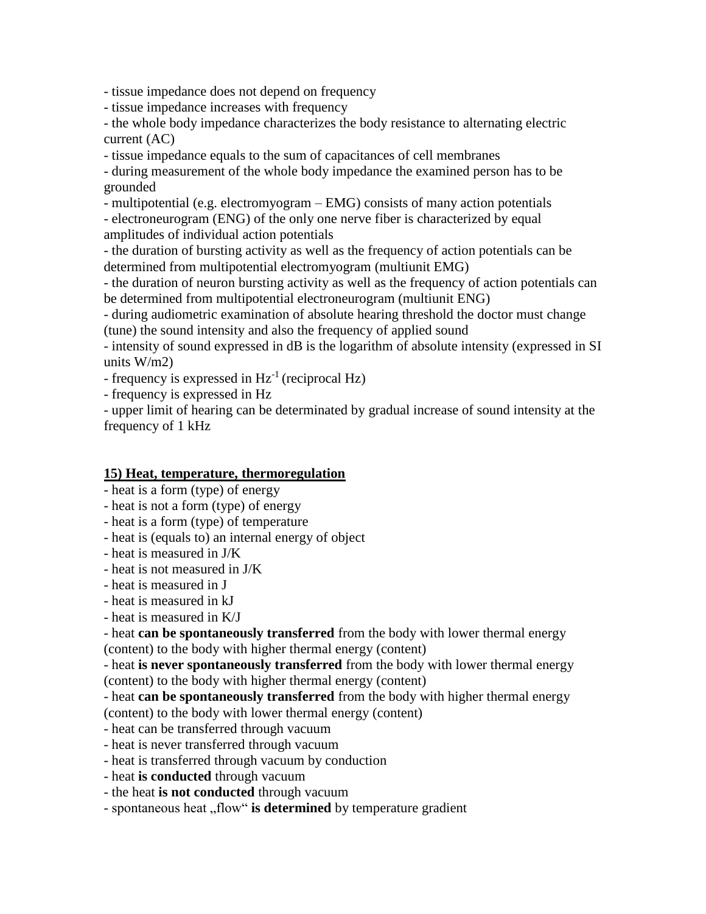- tissue impedance does not depend on frequency

- tissue impedance increases with frequency

- the whole body impedance characterizes the body resistance to alternating electric current (AC)

- tissue impedance equals to the sum of capacitances of cell membranes

- during measurement of the whole body impedance the examined person has to be grounded

- multipotential (e.g. electromyogram – EMG) consists of many action potentials

- electroneurogram (ENG) of the only one nerve fiber is characterized by equal amplitudes of individual action potentials

- the duration of bursting activity as well as the frequency of action potentials can be determined from multipotential electromyogram (multiunit EMG)

- the duration of neuron bursting activity as well as the frequency of action potentials can be determined from multipotential electroneurogram (multiunit ENG)

- during audiometric examination of absolute hearing threshold the doctor must change (tune) the sound intensity and also the frequency of applied sound

- intensity of sound expressed in dB is the logarithm of absolute intensity (expressed in SI units W/m2)

- frequency is expressed in  $Hz^{-1}$  (reciprocal Hz)

- frequency is expressed in Hz

- upper limit of hearing can be determinated by gradual increase of sound intensity at the frequency of 1 kHz

# **15) Heat, temperature, thermoregulation**

- heat is a form (type) of energy
- heat is not a form (type) of energy
- heat is a form (type) of temperature

- heat is (equals to) an internal energy of object

- heat is measured in J/K
- heat is not measured in J/K
- heat is measured in J
- heat is measured in kJ
- heat is measured in K/J

- heat **can be spontaneously transferred** from the body with lower thermal energy (content) to the body with higher thermal energy (content)

- heat **is never spontaneously transferred** from the body with lower thermal energy (content) to the body with higher thermal energy (content)

- heat **can be spontaneously transferred** from the body with higher thermal energy (content) to the body with lower thermal energy (content)

- heat can be transferred through vacuum

- heat is never transferred through vacuum

- heat is transferred through vacuum by conduction
- heat **is conducted** through vacuum
- the heat **is not conducted** through vacuum

- spontaneous heat "flow" is determined by temperature gradient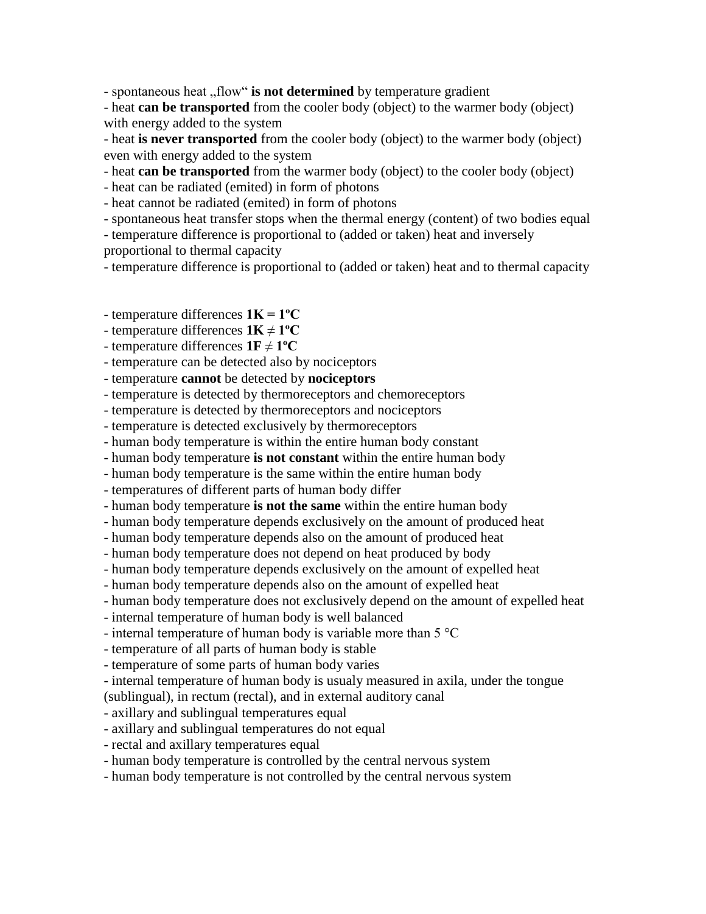- spontaneous heat "flow" is not determined by temperature gradient

- heat **can be transported** from the cooler body (object) to the warmer body (object) with energy added to the system

- heat **is never transported** from the cooler body (object) to the warmer body (object) even with energy added to the system

- heat **can be transported** from the warmer body (object) to the cooler body (object)

- heat can be radiated (emited) in form of photons

- heat cannot be radiated (emited) in form of photons

- spontaneous heat transfer stops when the thermal energy (content) of two bodies equal

- temperature difference is proportional to (added or taken) heat and inversely proportional to thermal capacity

- temperature difference is proportional to (added or taken) heat and to thermal capacity

- temperature differences **1K = 1ºC**

- temperature differences **1K** ≠ **1ºC**

- temperature differences  $1F \neq 1^{\circ}C$ 

- temperature can be detected also by nociceptors

- temperature **cannot** be detected by **nociceptors**

- temperature is detected by thermoreceptors and chemoreceptors

- temperature is detected by thermoreceptors and nociceptors

- temperature is detected exclusively by thermoreceptors

- human body temperature is within the entire human body constant

- human body temperature **is not constant** within the entire human body

- human body temperature is the same within the entire human body

- temperatures of different parts of human body differ

- human body temperature **is not the same** within the entire human body

- human body temperature depends exclusively on the amount of produced heat

- human body temperature depends also on the amount of produced heat

- human body temperature does not depend on heat produced by body

- human body temperature depends exclusively on the amount of expelled heat

- human body temperature depends also on the amount of expelled heat

- human body temperature does not exclusively depend on the amount of expelled heat

- internal temperature of human body is well balanced

- internal temperature of human body is variable more than  $5^{\circ}$ C

- temperature of all parts of human body is stable

- temperature of some parts of human body varies

- internal temperature of human body is usualy measured in axila, under the tongue

(sublingual), in rectum (rectal), and in external auditory canal

- axillary and sublingual temperatures equal

- axillary and sublingual temperatures do not equal

- rectal and axillary temperatures equal

- human body temperature is controlled by the central nervous system

- human body temperature is not controlled by the central nervous system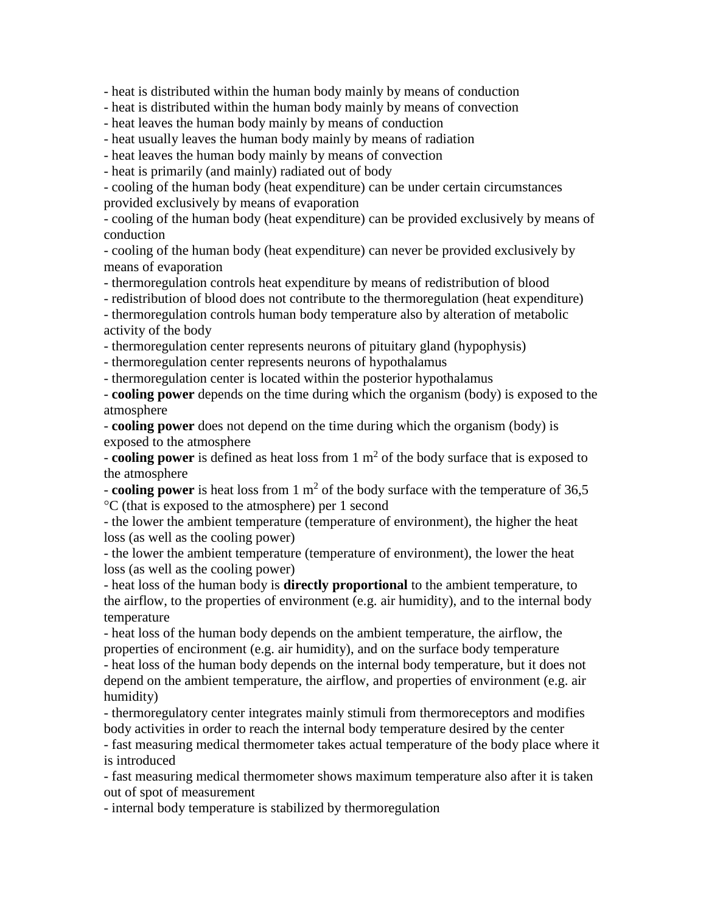- heat is distributed within the human body mainly by means of conduction

- heat is distributed within the human body mainly by means of convection

- heat leaves the human body mainly by means of conduction

- heat usually leaves the human body mainly by means of radiation

- heat leaves the human body mainly by means of convection

- heat is primarily (and mainly) radiated out of body

- cooling of the human body (heat expenditure) can be under certain circumstances provided exclusively by means of evaporation

- cooling of the human body (heat expenditure) can be provided exclusively by means of conduction

- cooling of the human body (heat expenditure) can never be provided exclusively by means of evaporation

- thermoregulation controls heat expenditure by means of redistribution of blood

- redistribution of blood does not contribute to the thermoregulation (heat expenditure)

- thermoregulation controls human body temperature also by alteration of metabolic activity of the body

- thermoregulation center represents neurons of pituitary gland (hypophysis)

- thermoregulation center represents neurons of hypothalamus

- thermoregulation center is located within the posterior hypothalamus

- **cooling power** depends on the time during which the organism (body) is exposed to the atmosphere

- **cooling power** does not depend on the time during which the organism (body) is exposed to the atmosphere

- **cooling power** is defined as heat loss from 1 m<sup>2</sup> of the body surface that is exposed to the atmosphere

- **cooling power** is heat loss from  $1 \text{ m}^2$  of the body surface with the temperature of 36,5 °C (that is exposed to the atmosphere) per 1 second

- the lower the ambient temperature (temperature of environment), the higher the heat loss (as well as the cooling power)

- the lower the ambient temperature (temperature of environment), the lower the heat loss (as well as the cooling power)

- heat loss of the human body is **directly proportional** to the ambient temperature, to the airflow, to the properties of environment (e.g. air humidity), and to the internal body temperature

- heat loss of the human body depends on the ambient temperature, the airflow, the properties of encironment (e.g. air humidity), and on the surface body temperature - heat loss of the human body depends on the internal body temperature, but it does not depend on the ambient temperature, the airflow, and properties of environment (e.g. air humidity)

- thermoregulatory center integrates mainly stimuli from thermoreceptors and modifies body activities in order to reach the internal body temperature desired by the center

- fast measuring medical thermometer takes actual temperature of the body place where it is introduced

- fast measuring medical thermometer shows maximum temperature also after it is taken out of spot of measurement

- internal body temperature is stabilized by thermoregulation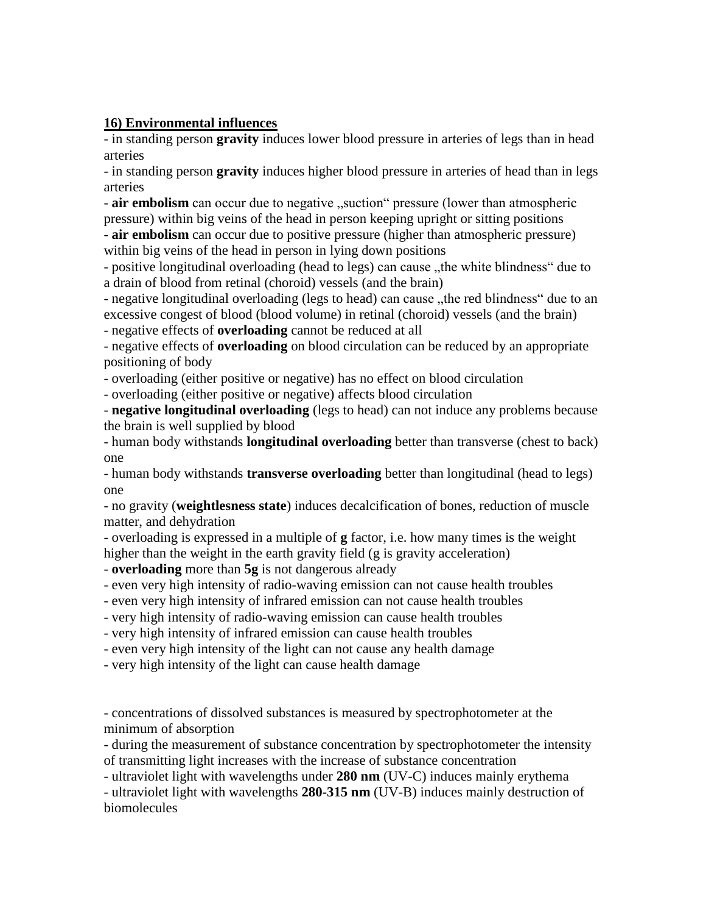## **16) Environmental influences**

- in standing person **gravity** induces lower blood pressure in arteries of legs than in head arteries

- in standing person **gravity** induces higher blood pressure in arteries of head than in legs arteries

- air embolism can occur due to negative "suction" pressure (lower than atmospheric pressure) within big veins of the head in person keeping upright or sitting positions

- **air embolism** can occur due to positive pressure (higher than atmospheric pressure) within big veins of the head in person in lying down positions

- positive longitudinal overloading (head to legs) can cause "the white blindness" due to a drain of blood from retinal (choroid) vessels (and the brain)

- negative longitudinal overloading (legs to head) can cause "the red blindness" due to an excessive congest of blood (blood volume) in retinal (choroid) vessels (and the brain) - negative effects of **overloading** cannot be reduced at all

- negative effects of **overloading** on blood circulation can be reduced by an appropriate positioning of body

- overloading (either positive or negative) has no effect on blood circulation

- overloading (either positive or negative) affects blood circulation

- **negative longitudinal overloading** (legs to head) can not induce any problems because the brain is well supplied by blood

- human body withstands **longitudinal overloading** better than transverse (chest to back) one

- human body withstands **transverse overloading** better than longitudinal (head to legs) one

- no gravity (**weightlesness state**) induces decalcification of bones, reduction of muscle matter, and dehydration

- overloading is expressed in a multiple of **g** factor, i.e. how many times is the weight higher than the weight in the earth gravity field (g is gravity acceleration)

- **overloading** more than **5g** is not dangerous already

- even very high intensity of radio-waving emission can not cause health troubles

- even very high intensity of infrared emission can not cause health troubles

- very high intensity of radio-waving emission can cause health troubles

- very high intensity of infrared emission can cause health troubles

- even very high intensity of the light can not cause any health damage

- very high intensity of the light can cause health damage

- concentrations of dissolved substances is measured by spectrophotometer at the minimum of absorption

- during the measurement of substance concentration by spectrophotometer the intensity of transmitting light increases with the increase of substance concentration

- ultraviolet light with wavelengths under **280 nm** (UV-C) induces mainly erythema

- ultraviolet light with wavelengths **280-315 nm** (UV-B) induces mainly destruction of biomolecules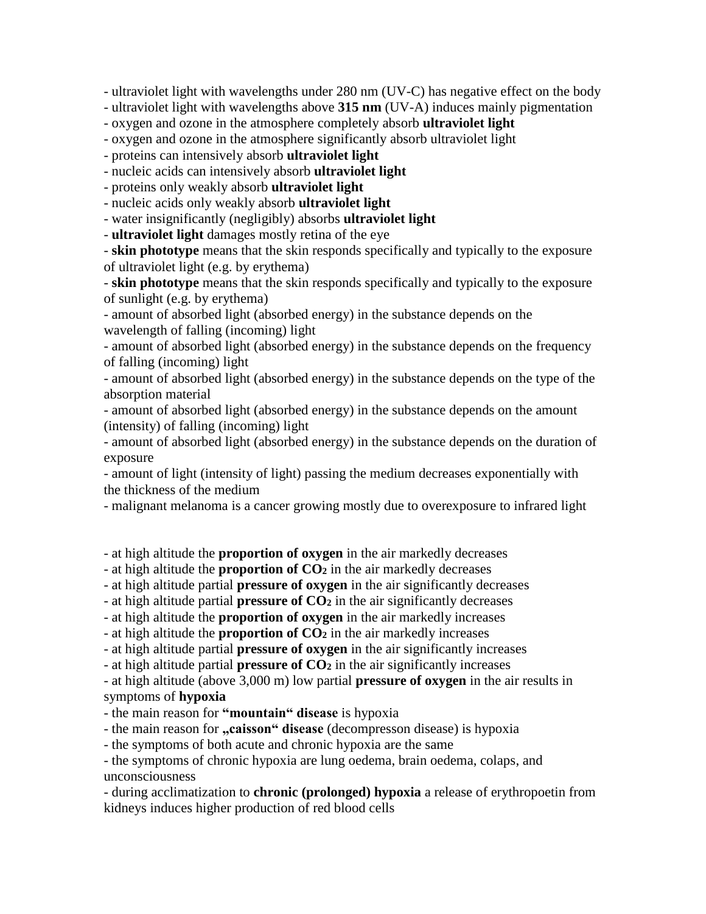- ultraviolet light with wavelengths under 280 nm (UV-C) has negative effect on the body

- ultraviolet light with wavelengths above **315 nm** (UV-A) induces mainly pigmentation

- oxygen and ozone in the atmosphere completely absorb **ultraviolet light**

- oxygen and ozone in the atmosphere significantly absorb ultraviolet light

- proteins can intensively absorb **ultraviolet light**

- nucleic acids can intensively absorb **ultraviolet light**

- proteins only weakly absorb **ultraviolet light**

- nucleic acids only weakly absorb **ultraviolet light**

- water insignificantly (negligibly) absorbs **ultraviolet light**

- **ultraviolet light** damages mostly retina of the eye

- **skin phototype** means that the skin responds specifically and typically to the exposure of ultraviolet light (e.g. by erythema)

- **skin phototype** means that the skin responds specifically and typically to the exposure of sunlight (e.g. by erythema)

- amount of absorbed light (absorbed energy) in the substance depends on the wavelength of falling (incoming) light

- amount of absorbed light (absorbed energy) in the substance depends on the frequency of falling (incoming) light

- amount of absorbed light (absorbed energy) in the substance depends on the type of the absorption material

- amount of absorbed light (absorbed energy) in the substance depends on the amount (intensity) of falling (incoming) light

- amount of absorbed light (absorbed energy) in the substance depends on the duration of exposure

- amount of light (intensity of light) passing the medium decreases exponentially with the thickness of the medium

- malignant melanoma is a cancer growing mostly due to overexposure to infrared light

- at high altitude the **proportion of oxygen** in the air markedly decreases

- at high altitude the **proportion of CO<sup>2</sup>** in the air markedly decreases

- at high altitude partial **pressure of oxygen** in the air significantly decreases

- at high altitude partial **pressure of CO<sup>2</sup>** in the air significantly decreases

- at high altitude the **proportion of oxygen** in the air markedly increases

- at high altitude the **proportion of CO<sup>2</sup>** in the air markedly increases

- at high altitude partial **pressure of oxygen** in the air significantly increases

- at high altitude partial **pressure of CO<sup>2</sup>** in the air significantly increases

- at high altitude (above 3,000 m) low partial **pressure of oxygen** in the air results in symptoms of **hypoxia**

- the main reason for **"mountain" disease** is hypoxia

- the main reason for **"caisson" disease** (decompresson disease) is hypoxia

- the symptoms of both acute and chronic hypoxia are the same

- the symptoms of chronic hypoxia are lung oedema, brain oedema, colaps, and unconsciousness

- during acclimatization to **chronic (prolonged) hypoxia** a release of erythropoetin from kidneys induces higher production of red blood cells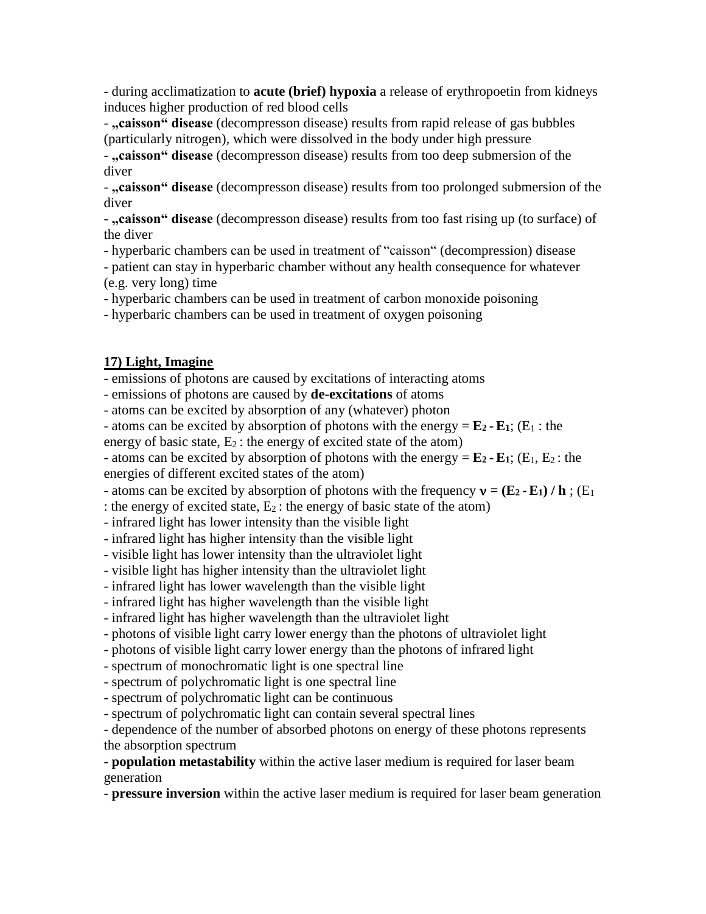- during acclimatization to **acute (brief) hypoxia** a release of erythropoetin from kidneys induces higher production of red blood cells

- "caisson" disease (decompresson disease) results from rapid release of gas bubbles (particularly nitrogen), which were dissolved in the body under high pressure

- "caisson" disease (decompresson disease) results from too deep submersion of the diver

- **"caisson" disease** (decompresson disease) results from too prolonged submersion of the diver

- **"caisson" disease** (decompresson disease) results from too fast rising up (to surface) of the diver

- hyperbaric chambers can be used in treatment of "caisson" (decompression) disease

- patient can stay in hyperbaric chamber without any health consequence for whatever (e.g. very long) time

- hyperbaric chambers can be used in treatment of carbon monoxide poisoning

- hyperbaric chambers can be used in treatment of oxygen poisoning

## **17) Light, Imagine**

- emissions of photons are caused by excitations of interacting atoms

- emissions of photons are caused by **de-excitations** of atoms

- atoms can be excited by absorption of any (whatever) photon

- atoms can be excited by absorption of photons with the energy  $= \mathbf{E}_2 - \mathbf{E}_1$ ; (E<sub>1</sub> : the

energy of basic state,  $E_2$ : the energy of excited state of the atom)

- atoms can be excited by absorption of photons with the energy  $= \mathbf{E}_2 - \mathbf{E}_1$ ; (E<sub>1</sub>, E<sub>2</sub>: the

energies of different excited states of the atom)

- atoms can be excited by absorption of photons with the frequency  $\mathbf{v} = (\mathbf{E}_2 \cdot \mathbf{E}_1) / \mathbf{h}$ ; (E<sub>1</sub>)

: the energy of excited state,  $E_2$ : the energy of basic state of the atom)

- infrared light has lower intensity than the visible light

- infrared light has higher intensity than the visible light

- visible light has lower intensity than the ultraviolet light

- visible light has higher intensity than the ultraviolet light

- infrared light has lower wavelength than the visible light

- infrared light has higher wavelength than the visible light

- infrared light has higher wavelength than the ultraviolet light

- photons of visible light carry lower energy than the photons of ultraviolet light

- photons of visible light carry lower energy than the photons of infrared light

- spectrum of monochromatic light is one spectral line

- spectrum of polychromatic light is one spectral line

- spectrum of polychromatic light can be continuous

- spectrum of polychromatic light can contain several spectral lines

- dependence of the number of absorbed photons on energy of these photons represents the absorption spectrum

- **population metastability** within the active laser medium is required for laser beam generation

- **pressure inversion** within the active laser medium is required for laser beam generation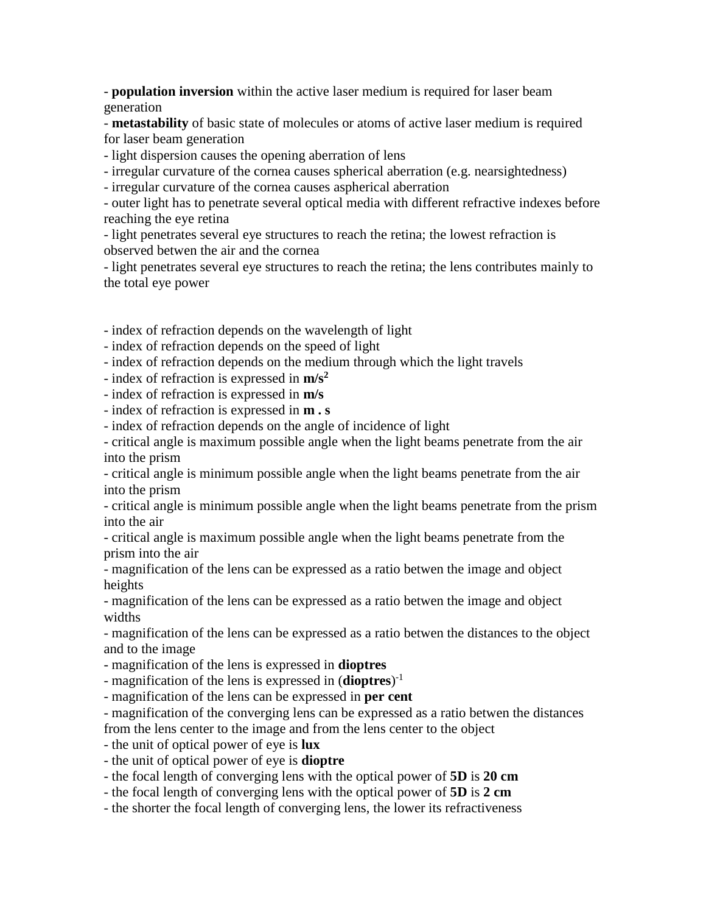- **population inversion** within the active laser medium is required for laser beam generation

- **metastability** of basic state of molecules or atoms of active laser medium is required for laser beam generation

- light dispersion causes the opening aberration of lens

- irregular curvature of the cornea causes spherical aberration (e.g. nearsightedness)

- irregular curvature of the cornea causes aspherical aberration

- outer light has to penetrate several optical media with different refractive indexes before reaching the eye retina

- light penetrates several eye structures to reach the retina; the lowest refraction is observed betwen the air and the cornea

- light penetrates several eye structures to reach the retina; the lens contributes mainly to the total eye power

- index of refraction depends on the wavelength of light

- index of refraction depends on the speed of light

- index of refraction depends on the medium through which the light travels

- index of refraction is expressed in **m/s<sup>2</sup>**

- index of refraction is expressed in **m/s**

- index of refraction is expressed in **m . s**

- index of refraction depends on the angle of incidence of light

- critical angle is maximum possible angle when the light beams penetrate from the air into the prism

- critical angle is minimum possible angle when the light beams penetrate from the air into the prism

- critical angle is minimum possible angle when the light beams penetrate from the prism into the air

- critical angle is maximum possible angle when the light beams penetrate from the prism into the air

- magnification of the lens can be expressed as a ratio betwen the image and object heights

- magnification of the lens can be expressed as a ratio betwen the image and object widths

- magnification of the lens can be expressed as a ratio betwen the distances to the object and to the image

- magnification of the lens is expressed in **dioptres**

- magnification of the lens is expressed in (**dioptres**)<sup>-1</sup>

- magnification of the lens can be expressed in **per cent**

- magnification of the converging lens can be expressed as a ratio betwen the distances from the lens center to the image and from the lens center to the object

- the unit of optical power of eye is **lux**

- the unit of optical power of eye is **dioptre**
- the focal length of converging lens with the optical power of **5D** is **20 cm**
- the focal length of converging lens with the optical power of **5D** is **2 cm**
- the shorter the focal length of converging lens, the lower its refractiveness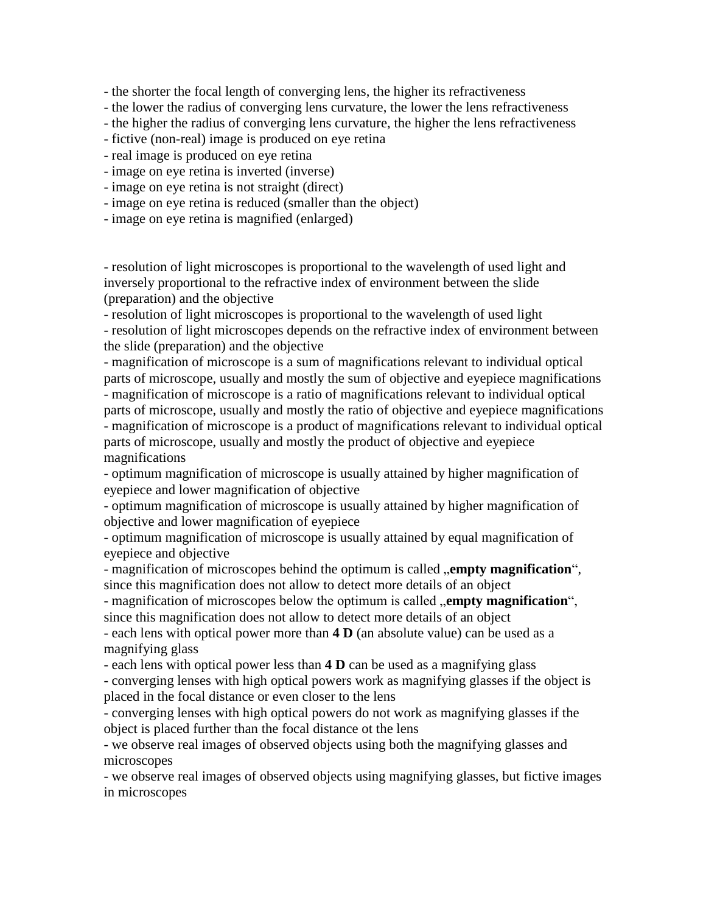- the shorter the focal length of converging lens, the higher its refractiveness

- the lower the radius of converging lens curvature, the lower the lens refractiveness

- the higher the radius of converging lens curvature, the higher the lens refractiveness

- fictive (non-real) image is produced on eye retina
- real image is produced on eye retina
- image on eye retina is inverted (inverse)
- image on eye retina is not straight (direct)
- image on eye retina is reduced (smaller than the object)
- image on eye retina is magnified (enlarged)

- resolution of light microscopes is proportional to the wavelength of used light and inversely proportional to the refractive index of environment between the slide (preparation) and the objective

- resolution of light microscopes is proportional to the wavelength of used light

- resolution of light microscopes depends on the refractive index of environment between the slide (preparation) and the objective

- magnification of microscope is a sum of magnifications relevant to individual optical parts of microscope, usually and mostly the sum of objective and eyepiece magnifications - magnification of microscope is a ratio of magnifications relevant to individual optical parts of microscope, usually and mostly the ratio of objective and eyepiece magnifications - magnification of microscope is a product of magnifications relevant to individual optical parts of microscope, usually and mostly the product of objective and eyepiece magnifications

- optimum magnification of microscope is usually attained by higher magnification of eyepiece and lower magnification of objective

- optimum magnification of microscope is usually attained by higher magnification of objective and lower magnification of eyepiece

- optimum magnification of microscope is usually attained by equal magnification of eyepiece and objective

- magnification of microscopes behind the optimum is called **, empty magnification**", since this magnification does not allow to detect more details of an object

- magnification of microscopes below the optimum is called **, empty magnification**", since this magnification does not allow to detect more details of an object

- each lens with optical power more than **4 D** (an absolute value) can be used as a magnifying glass

- each lens with optical power less than **4 D** can be used as a magnifying glass

- converging lenses with high optical powers work as magnifying glasses if the object is placed in the focal distance or even closer to the lens

- converging lenses with high optical powers do not work as magnifying glasses if the object is placed further than the focal distance ot the lens

- we observe real images of observed objects using both the magnifying glasses and microscopes

- we observe real images of observed objects using magnifying glasses, but fictive images in microscopes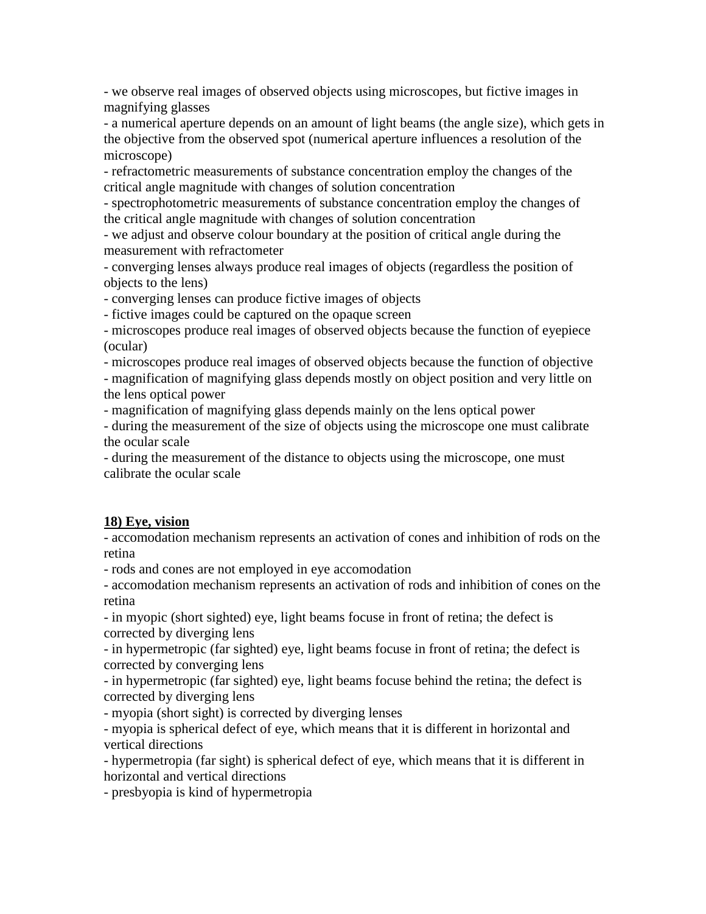- we observe real images of observed objects using microscopes, but fictive images in magnifying glasses

- a numerical aperture depends on an amount of light beams (the angle size), which gets in the objective from the observed spot (numerical aperture influences a resolution of the microscope)

- refractometric measurements of substance concentration employ the changes of the critical angle magnitude with changes of solution concentration

- spectrophotometric measurements of substance concentration employ the changes of the critical angle magnitude with changes of solution concentration

- we adjust and observe colour boundary at the position of critical angle during the measurement with refractometer

- converging lenses always produce real images of objects (regardless the position of objects to the lens)

- converging lenses can produce fictive images of objects

- fictive images could be captured on the opaque screen

- microscopes produce real images of observed objects because the function of eyepiece (ocular)

- microscopes produce real images of observed objects because the function of objective

- magnification of magnifying glass depends mostly on object position and very little on the lens optical power

- magnification of magnifying glass depends mainly on the lens optical power

- during the measurement of the size of objects using the microscope one must calibrate the ocular scale

- during the measurement of the distance to objects using the microscope, one must calibrate the ocular scale

# **18) Eye, vision**

- accomodation mechanism represents an activation of cones and inhibition of rods on the retina

- rods and cones are not employed in eye accomodation

- accomodation mechanism represents an activation of rods and inhibition of cones on the retina

- in myopic (short sighted) eye, light beams focuse in front of retina; the defect is corrected by diverging lens

- in hypermetropic (far sighted) eye, light beams focuse in front of retina; the defect is corrected by converging lens

- in hypermetropic (far sighted) eye, light beams focuse behind the retina; the defect is corrected by diverging lens

- myopia (short sight) is corrected by diverging lenses

- myopia is spherical defect of eye, which means that it is different in horizontal and vertical directions

- hypermetropia (far sight) is spherical defect of eye, which means that it is different in horizontal and vertical directions

- presbyopia is kind of hypermetropia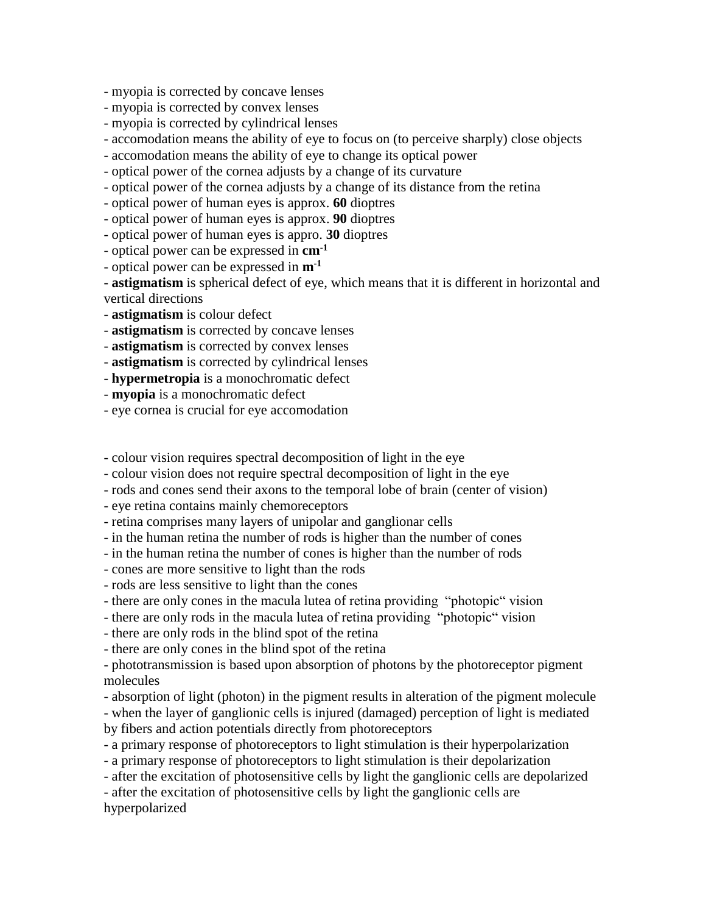- myopia is corrected by concave lenses

- myopia is corrected by convex lenses
- myopia is corrected by cylindrical lenses
- accomodation means the ability of eye to focus on (to perceive sharply) close objects
- accomodation means the ability of eye to change its optical power

- optical power of the cornea adjusts by a change of its curvature

- optical power of the cornea adjusts by a change of its distance from the retina

- optical power of human eyes is approx. **60** dioptres

- optical power of human eyes is approx. **90** dioptres

- optical power of human eyes is appro. **30** dioptres

- optical power can be expressed in **cm-1**

- optical power can be expressed in **m-1**

- **astigmatism** is spherical defect of eye, which means that it is different in horizontal and vertical directions

- **astigmatism** is colour defect
- **astigmatism** is corrected by concave lenses
- **astigmatism** is corrected by convex lenses

- **astigmatism** is corrected by cylindrical lenses

- **hypermetropia** is a monochromatic defect
- **myopia** is a monochromatic defect
- eye cornea is crucial for eye accomodation

- colour vision requires spectral decomposition of light in the eye

- colour vision does not require spectral decomposition of light in the eye

- rods and cones send their axons to the temporal lobe of brain (center of vision)

- eye retina contains mainly chemoreceptors

- retina comprises many layers of unipolar and ganglionar cells

- in the human retina the number of rods is higher than the number of cones
- in the human retina the number of cones is higher than the number of rods
- cones are more sensitive to light than the rods
- rods are less sensitive to light than the cones
- there are only cones in the macula lutea of retina providing "photopic" vision
- there are only rods in the macula lutea of retina providing "photopic" vision
- there are only rods in the blind spot of the retina
- there are only cones in the blind spot of the retina

- phototransmission is based upon absorption of photons by the photoreceptor pigment molecules

- absorption of light (photon) in the pigment results in alteration of the pigment molecule

- when the layer of ganglionic cells is injured (damaged) perception of light is mediated by fibers and action potentials directly from photoreceptors

- a primary response of photoreceptors to light stimulation is their hyperpolarization

- a primary response of photoreceptors to light stimulation is their depolarization

- after the excitation of photosensitive cells by light the ganglionic cells are depolarized
- after the excitation of photosensitive cells by light the ganglionic cells are

hyperpolarized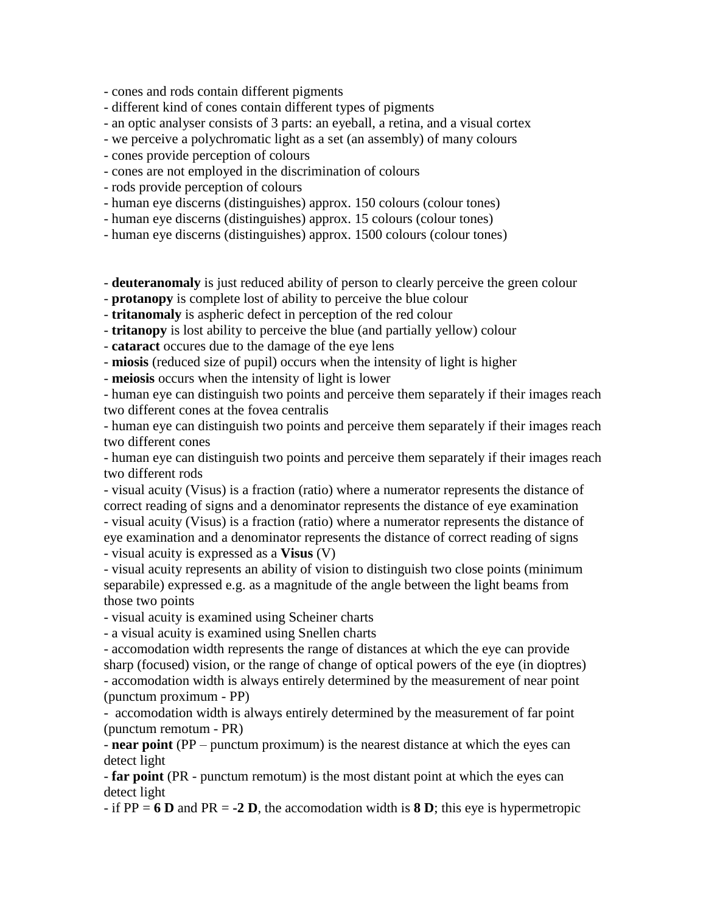- cones and rods contain different pigments

- different kind of cones contain different types of pigments

- an optic analyser consists of 3 parts: an eyeball, a retina, and a visual cortex

- we perceive a polychromatic light as a set (an assembly) of many colours

- cones provide perception of colours

- cones are not employed in the discrimination of colours

- rods provide perception of colours

- human eye discerns (distinguishes) approx. 150 colours (colour tones)

- human eye discerns (distinguishes) approx. 15 colours (colour tones)

- human eye discerns (distinguishes) approx. 1500 colours (colour tones)

- **deuteranomaly** is just reduced ability of person to clearly perceive the green colour

- **protanopy** is complete lost of ability to perceive the blue colour

- **tritanomaly** is aspheric defect in perception of the red colour

- **tritanopy** is lost ability to perceive the blue (and partially yellow) colour

- **cataract** occures due to the damage of the eye lens

- **miosis** (reduced size of pupil) occurs when the intensity of light is higher

- **meiosis** occurs when the intensity of light is lower

- human eye can distinguish two points and perceive them separately if their images reach two different cones at the fovea centralis

- human eye can distinguish two points and perceive them separately if their images reach two different cones

- human eye can distinguish two points and perceive them separately if their images reach two different rods

- visual acuity (Visus) is a fraction (ratio) where a numerator represents the distance of correct reading of signs and a denominator represents the distance of eye examination - visual acuity (Visus) is a fraction (ratio) where a numerator represents the distance of

eye examination and a denominator represents the distance of correct reading of signs - visual acuity is expressed as a **Visus** (V)

- visual acuity represents an ability of vision to distinguish two close points (minimum separabile) expressed e.g. as a magnitude of the angle between the light beams from those two points

- visual acuity is examined using Scheiner charts

- a visual acuity is examined using Snellen charts

- accomodation width represents the range of distances at which the eye can provide sharp (focused) vision, or the range of change of optical powers of the eye (in dioptres) - accomodation width is always entirely determined by the measurement of near point (punctum proximum - PP)

- accomodation width is always entirely determined by the measurement of far point (punctum remotum - PR)

- **near point** (PP – punctum proximum) is the nearest distance at which the eyes can detect light

- **far point** (PR - punctum remotum) is the most distant point at which the eyes can detect light

- if PP = **6 D** and PR = **-2 D**, the accomodation width is **8 D**; this eye is hypermetropic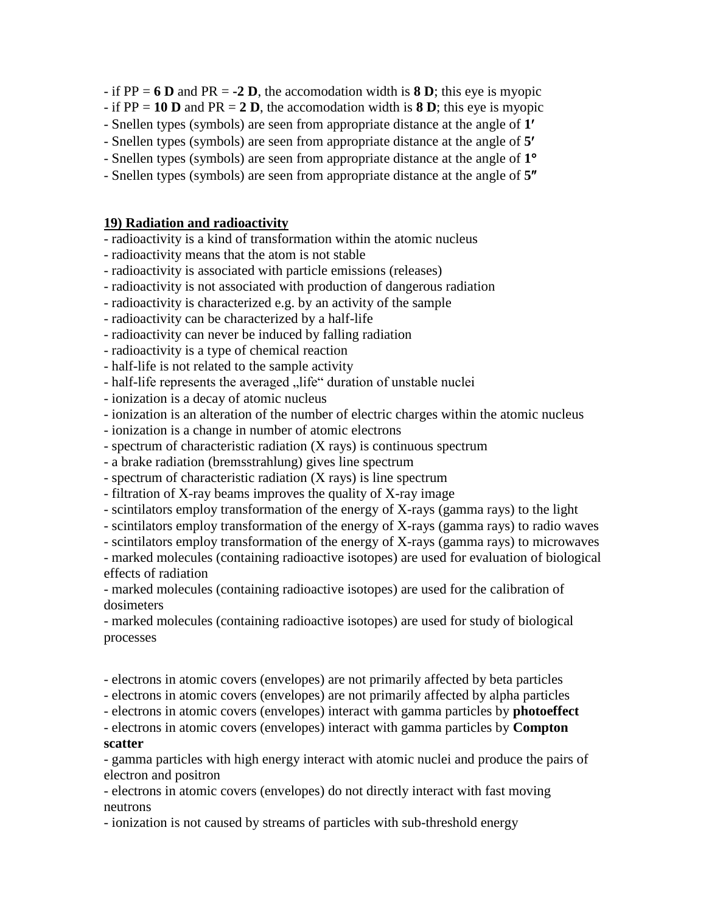- if PP = **6 D** and PR = **-2 D**, the accomodation width is **8 D**; this eye is myopic
- $-$  if PP = 10 **D** and PR = 2 **D**, the accomodation width is **8 D**; this eye is myopic
- Snellen types (symbols) are seen from appropriate distance at the angle of **1**
- Snellen types (symbols) are seen from appropriate distance at the angle of **5**
- Snellen types (symbols) are seen from appropriate distance at the angle of **1**
- Snellen types (symbols) are seen from appropriate distance at the angle of **5**

#### **19) Radiation and radioactivity**

- radioactivity is a kind of transformation within the atomic nucleus
- radioactivity means that the atom is not stable
- radioactivity is associated with particle emissions (releases)
- radioactivity is not associated with production of dangerous radiation
- radioactivity is characterized e.g. by an activity of the sample
- radioactivity can be characterized by a half-life
- radioactivity can never be induced by falling radiation
- radioactivity is a type of chemical reaction
- half-life is not related to the sample activity
- half-life represents the averaged "life" duration of unstable nuclei
- ionization is a decay of atomic nucleus
- ionization is an alteration of the number of electric charges within the atomic nucleus
- ionization is a change in number of atomic electrons
- spectrum of characteristic radiation (X rays) is continuous spectrum
- a brake radiation (bremsstrahlung) gives line spectrum
- spectrum of characteristic radiation (X rays) is line spectrum
- filtration of X-ray beams improves the quality of X-ray image
- scintilators employ transformation of the energy of X-rays (gamma rays) to the light
- scintilators employ transformation of the energy of X-rays (gamma rays) to radio waves
- scintilators employ transformation of the energy of X-rays (gamma rays) to microwaves
- marked molecules (containing radioactive isotopes) are used for evaluation of biological effects of radiation
- marked molecules (containing radioactive isotopes) are used for the calibration of dosimeters
- marked molecules (containing radioactive isotopes) are used for study of biological processes
- electrons in atomic covers (envelopes) are not primarily affected by beta particles
- electrons in atomic covers (envelopes) are not primarily affected by alpha particles
- electrons in atomic covers (envelopes) interact with gamma particles by **photoeffect**
- electrons in atomic covers (envelopes) interact with gamma particles by **Compton scatter**
- gamma particles with high energy interact with atomic nuclei and produce the pairs of electron and positron
- electrons in atomic covers (envelopes) do not directly interact with fast moving neutrons
- ionization is not caused by streams of particles with sub-threshold energy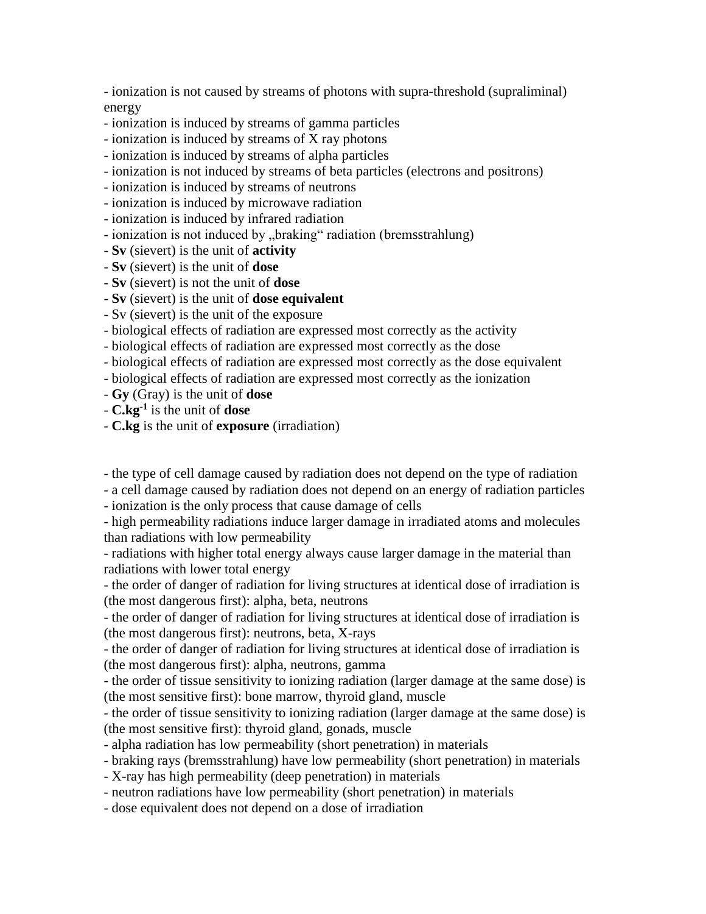- ionization is not caused by streams of photons with supra-threshold (supraliminal) energy

- ionization is induced by streams of gamma particles
- ionization is induced by streams of X ray photons
- ionization is induced by streams of alpha particles
- ionization is not induced by streams of beta particles (electrons and positrons)
- ionization is induced by streams of neutrons
- ionization is induced by microwave radiation
- ionization is induced by infrared radiation
- ionization is not induced by "braking" radiation (bremsstrahlung)
- **Sv** (sievert) is the unit of **activity**
- **Sv** (sievert) is the unit of **dose**
- **Sv** (sievert) is not the unit of **dose**
- **Sv** (sievert) is the unit of **dose equivalent**
- Sv (sievert) is the unit of the exposure
- biological effects of radiation are expressed most correctly as the activity
- biological effects of radiation are expressed most correctly as the dose
- biological effects of radiation are expressed most correctly as the dose equivalent
- biological effects of radiation are expressed most correctly as the ionization
- **Gy** (Gray) is the unit of **dose**
- **C.kg-1** is the unit of **dose**
- **C.kg** is the unit of **exposure** (irradiation)

- the type of cell damage caused by radiation does not depend on the type of radiation

- a cell damage caused by radiation does not depend on an energy of radiation particles

- ionization is the only process that cause damage of cells

- high permeability radiations induce larger damage in irradiated atoms and molecules than radiations with low permeability

- radiations with higher total energy always cause larger damage in the material than radiations with lower total energy

- the order of danger of radiation for living structures at identical dose of irradiation is (the most dangerous first): alpha, beta, neutrons

- the order of danger of radiation for living structures at identical dose of irradiation is (the most dangerous first): neutrons, beta, X-rays

- the order of danger of radiation for living structures at identical dose of irradiation is (the most dangerous first): alpha, neutrons, gamma

- the order of tissue sensitivity to ionizing radiation (larger damage at the same dose) is (the most sensitive first): bone marrow, thyroid gland, muscle

- the order of tissue sensitivity to ionizing radiation (larger damage at the same dose) is (the most sensitive first): thyroid gland, gonads, muscle

- alpha radiation has low permeability (short penetration) in materials
- braking rays (bremsstrahlung) have low permeability (short penetration) in materials
- X-ray has high permeability (deep penetration) in materials
- neutron radiations have low permeability (short penetration) in materials
- dose equivalent does not depend on a dose of irradiation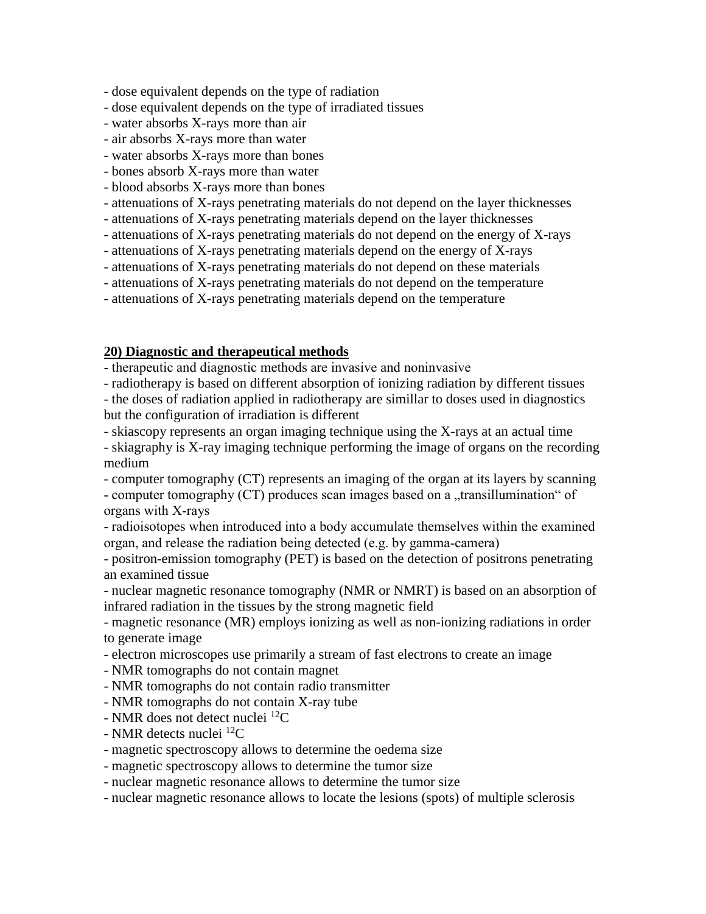- dose equivalent depends on the type of radiation
- dose equivalent depends on the type of irradiated tissues
- water absorbs X-rays more than air
- air absorbs X-rays more than water
- water absorbs X-rays more than bones
- bones absorb X-rays more than water
- blood absorbs X-rays more than bones
- attenuations of X-rays penetrating materials do not depend on the layer thicknesses
- attenuations of X-rays penetrating materials depend on the layer thicknesses
- attenuations of X-rays penetrating materials do not depend on the energy of X-rays
- attenuations of X-rays penetrating materials depend on the energy of X-rays
- attenuations of X-rays penetrating materials do not depend on these materials
- attenuations of X-rays penetrating materials do not depend on the temperature
- attenuations of X-rays penetrating materials depend on the temperature

## **20) Diagnostic and therapeutical methods**

- therapeutic and diagnostic methods are invasive and noninvasive

- radiotherapy is based on different absorption of ionizing radiation by different tissues

- the doses of radiation applied in radiotherapy are simillar to doses used in diagnostics but the configuration of irradiation is different

- skiascopy represents an organ imaging technique using the X-rays at an actual time

- skiagraphy is X-ray imaging technique performing the image of organs on the recording medium

- computer tomography (CT) represents an imaging of the organ at its layers by scanning - computer tomography (CT) produces scan images based on a "transillumination" of organs with X-rays

- radioisotopes when introduced into a body accumulate themselves within the examined organ, and release the radiation being detected (e.g. by gamma-camera)

- positron-emission tomography (PET) is based on the detection of positrons penetrating an examined tissue

- nuclear magnetic resonance tomography (NMR or NMRT) is based on an absorption of infrared radiation in the tissues by the strong magnetic field

- magnetic resonance (MR) employs ionizing as well as non-ionizing radiations in order to generate image

- electron microscopes use primarily a stream of fast electrons to create an image
- NMR tomographs do not contain magnet
- NMR tomographs do not contain radio transmitter
- NMR tomographs do not contain X-ray tube
- NMR does not detect nuclei <sup>12</sup>C
- NMR detects nuclei  ${}^{12}C$
- magnetic spectroscopy allows to determine the oedema size
- magnetic spectroscopy allows to determine the tumor size
- nuclear magnetic resonance allows to determine the tumor size
- nuclear magnetic resonance allows to locate the lesions (spots) of multiple sclerosis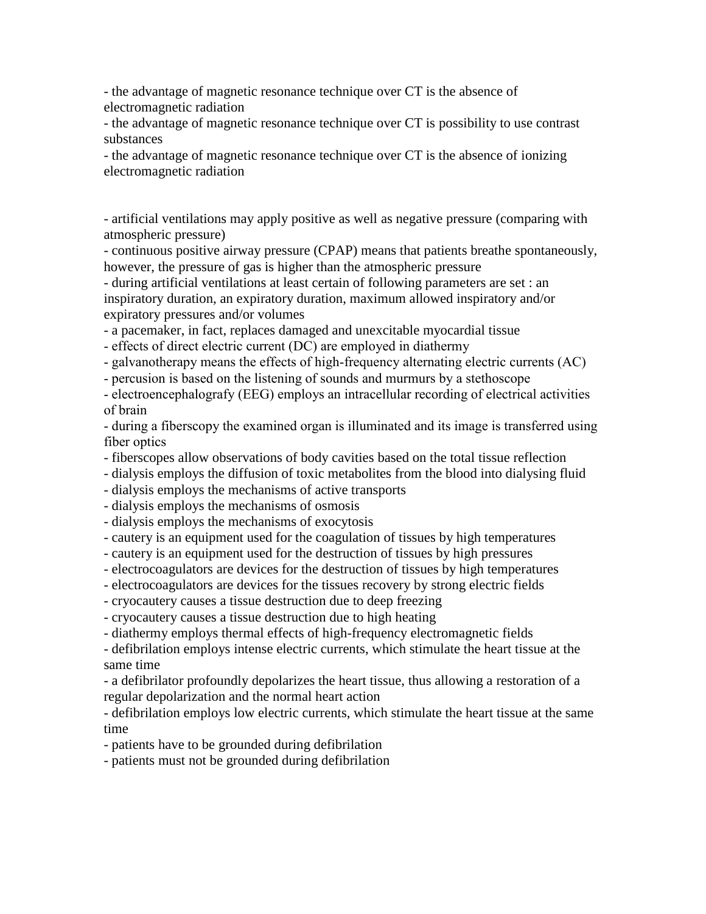- the advantage of magnetic resonance technique over CT is the absence of electromagnetic radiation

- the advantage of magnetic resonance technique over CT is possibility to use contrast substances

- the advantage of magnetic resonance technique over CT is the absence of ionizing electromagnetic radiation

- artificial ventilations may apply positive as well as negative pressure (comparing with atmospheric pressure)

- continuous positive airway pressure (CPAP) means that patients breathe spontaneously, however, the pressure of gas is higher than the atmospheric pressure

- during artificial ventilations at least certain of following parameters are set : an inspiratory duration, an expiratory duration, maximum allowed inspiratory and/or expiratory pressures and/or volumes

- a pacemaker, in fact, replaces damaged and unexcitable myocardial tissue

- effects of direct electric current (DC) are employed in diathermy

- galvanotherapy means the effects of high-frequency alternating electric currents (AC)

- percusion is based on the listening of sounds and murmurs by a stethoscope

- electroencephalografy (EEG) employs an intracellular recording of electrical activities of brain

- during a fiberscopy the examined organ is illuminated and its image is transferred using fiber optics

- fiberscopes allow observations of body cavities based on the total tissue reflection

- dialysis employs the diffusion of toxic metabolites from the blood into dialysing fluid

- dialysis employs the mechanisms of active transports

- dialysis employs the mechanisms of osmosis

- dialysis employs the mechanisms of exocytosis

- cautery is an equipment used for the coagulation of tissues by high temperatures

- cautery is an equipment used for the destruction of tissues by high pressures

- electrocoagulators are devices for the destruction of tissues by high temperatures

- electrocoagulators are devices for the tissues recovery by strong electric fields

- cryocautery causes a tissue destruction due to deep freezing

- cryocautery causes a tissue destruction due to high heating

- diathermy employs thermal effects of high-frequency electromagnetic fields

- defibrilation employs intense electric currents, which stimulate the heart tissue at the same time

- a defibrilator profoundly depolarizes the heart tissue, thus allowing a restoration of a regular depolarization and the normal heart action

- defibrilation employs low electric currents, which stimulate the heart tissue at the same time

- patients have to be grounded during defibrilation

- patients must not be grounded during defibrilation